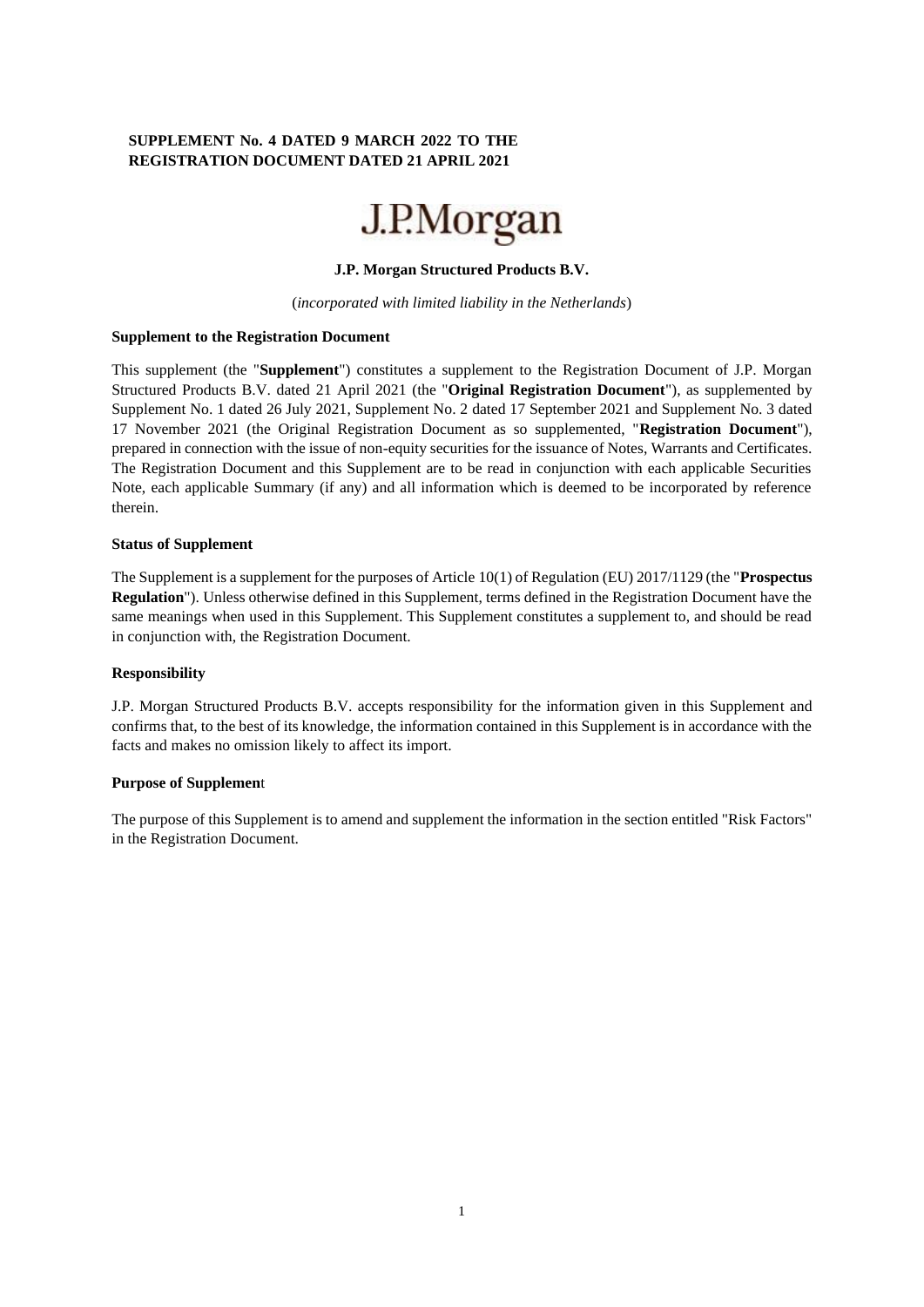### **SUPPLEMENT No. 4 DATED 9 MARCH 2022 TO THE REGISTRATION DOCUMENT DATED 21 APRIL 2021**



### **J.P. Morgan Structured Products B.V.**

(*incorporated with limited liability in the Netherlands*)

#### **Supplement to the Registration Document**

This supplement (the "**Supplement**") constitutes a supplement to the Registration Document of J.P. Morgan Structured Products B.V. dated 21 April 2021 (the "**Original Registration Document**"), as supplemented by Supplement No. 1 dated 26 July 2021, Supplement No. 2 dated 17 September 2021 and Supplement No. 3 dated 17 November 2021 (the Original Registration Document as so supplemented, "**Registration Document**"), prepared in connection with the issue of non-equity securities for the issuance of Notes, Warrants and Certificates. The Registration Document and this Supplement are to be read in conjunction with each applicable Securities Note, each applicable Summary (if any) and all information which is deemed to be incorporated by reference therein.

#### **Status of Supplement**

The Supplement is a supplement for the purposes of Article 10(1) of Regulation (EU) 2017/1129 (the "**Prospectus Regulation**"). Unless otherwise defined in this Supplement, terms defined in the Registration Document have the same meanings when used in this Supplement. This Supplement constitutes a supplement to, and should be read in conjunction with, the Registration Document.

### **Responsibility**

J.P. Morgan Structured Products B.V. accepts responsibility for the information given in this Supplement and confirms that, to the best of its knowledge, the information contained in this Supplement is in accordance with the facts and makes no omission likely to affect its import.

### **Purpose of Supplemen**t

The purpose of this Supplement is to amend and supplement the information in the section entitled "Risk Factors" in the Registration Document.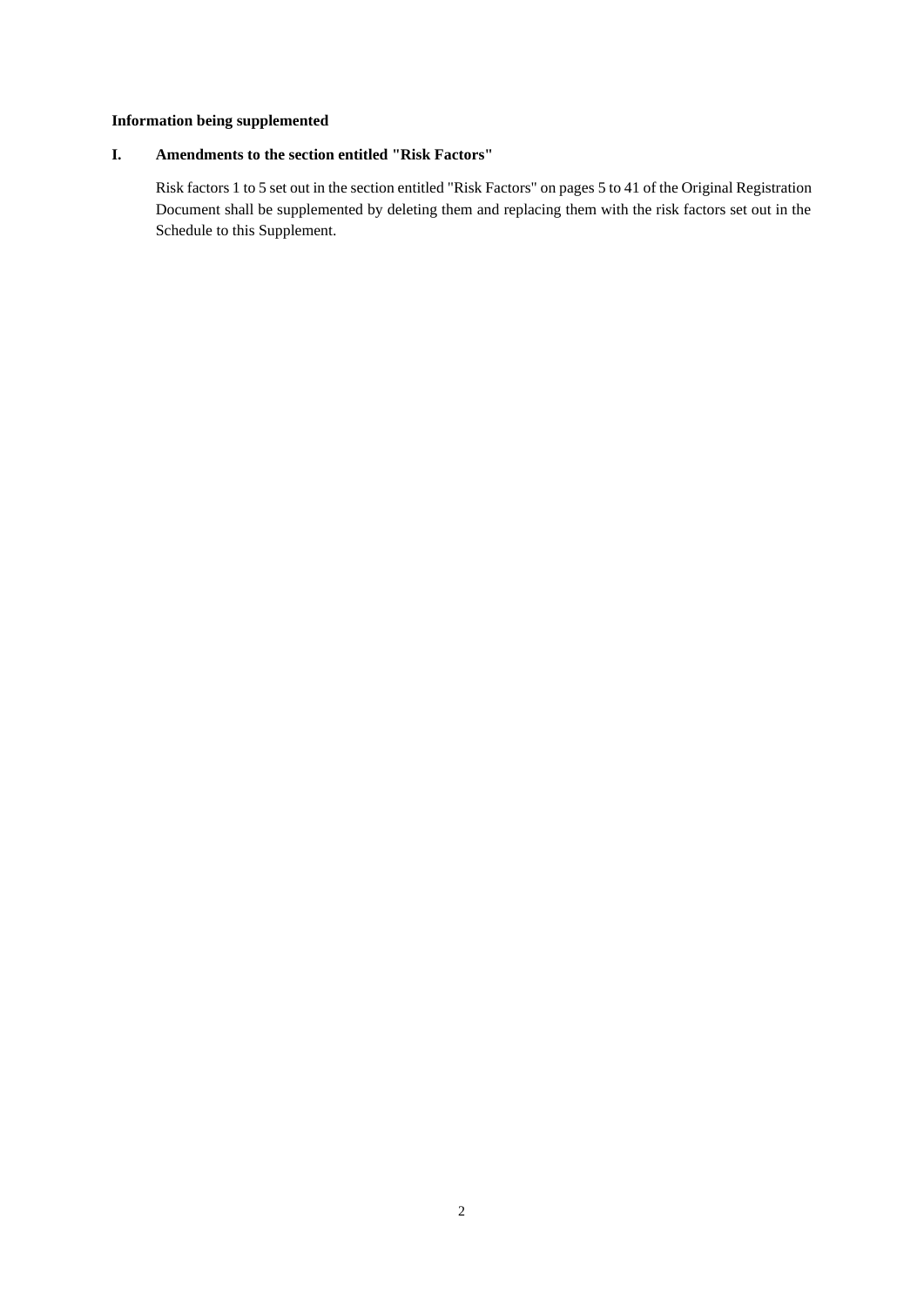# **Information being supplemented**

## **I. Amendments to the section entitled "Risk Factors"**

Risk factors 1 to 5 set out in the section entitled "Risk Factors" on pages 5 to 41 of the Original Registration Document shall be supplemented by deleting them and replacing them with the risk factors set out in the Schedule to this Supplement.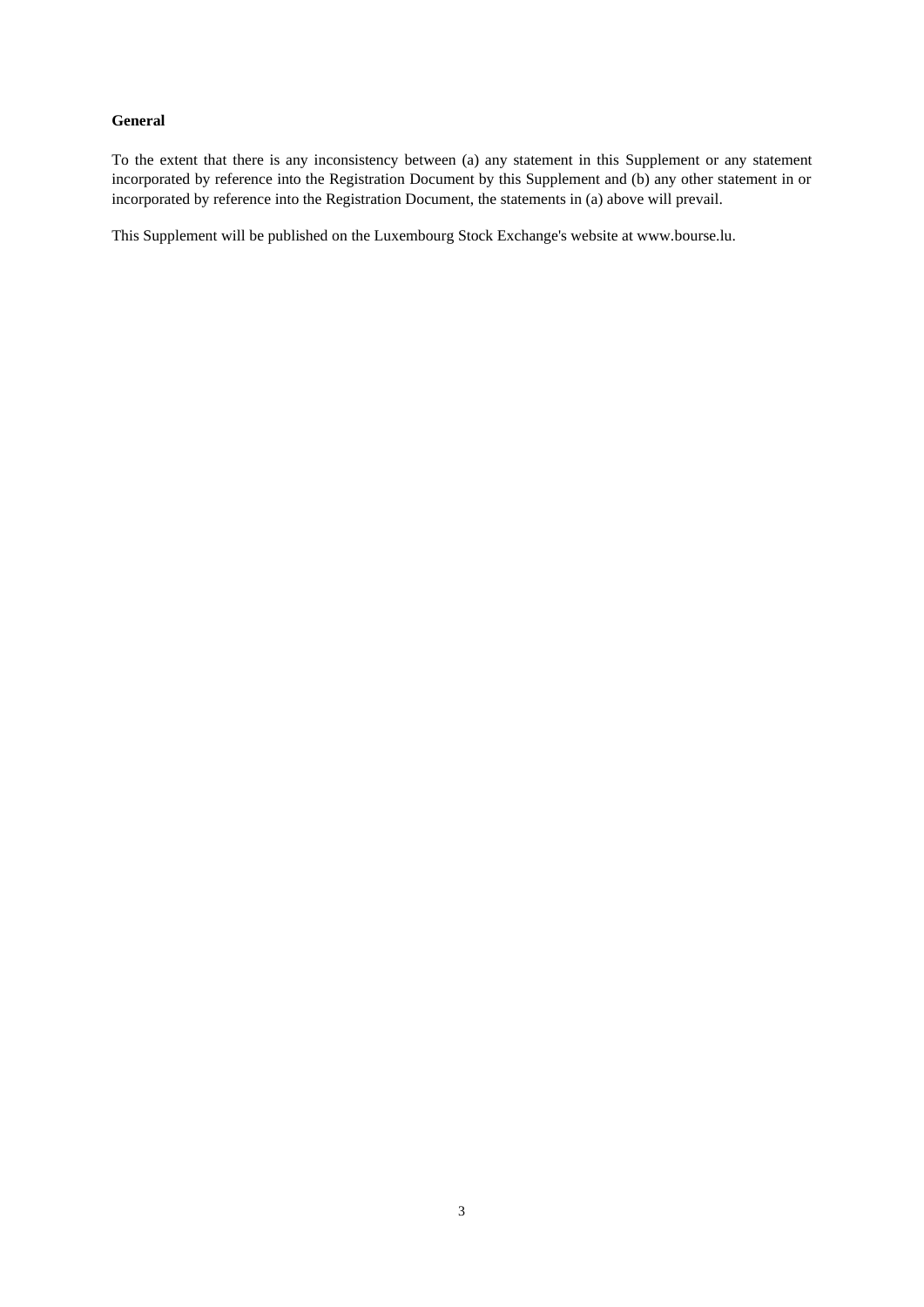### **General**

To the extent that there is any inconsistency between (a) any statement in this Supplement or any statement incorporated by reference into the Registration Document by this Supplement and (b) any other statement in or incorporated by reference into the Registration Document, the statements in (a) above will prevail.

This Supplement will be published on the Luxembourg Stock Exchange's website at www.bourse.lu.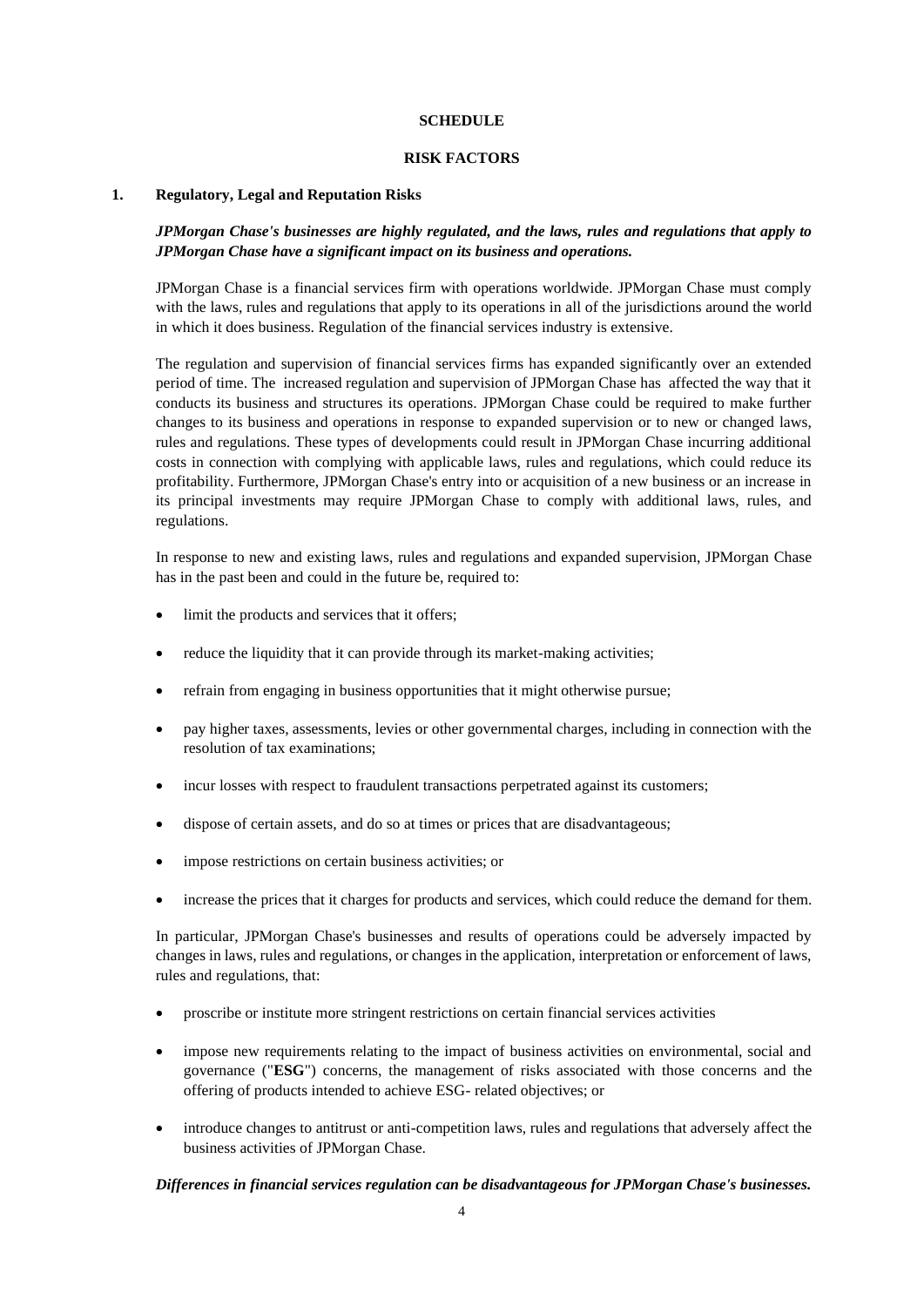### **SCHEDULE**

#### **RISK FACTORS**

### **1. Regulatory, Legal and Reputation Risks**

*JPMorgan Chase's businesses are highly regulated, and the laws, rules and regulations that apply to JPMorgan Chase have a significant impact on its business and operations.*

JPMorgan Chase is a financial services firm with operations worldwide. JPMorgan Chase must comply with the laws, rules and regulations that apply to its operations in all of the jurisdictions around the world in which it does business. Regulation of the financial services industry is extensive.

The regulation and supervision of financial services firms has expanded significantly over an extended period of time. The increased regulation and supervision of JPMorgan Chase has affected the way that it conducts its business and structures its operations. JPMorgan Chase could be required to make further changes to its business and operations in response to expanded supervision or to new or changed laws, rules and regulations. These types of developments could result in JPMorgan Chase incurring additional costs in connection with complying with applicable laws, rules and regulations, which could reduce its profitability. Furthermore, JPMorgan Chase's entry into or acquisition of a new business or an increase in its principal investments may require JPMorgan Chase to comply with additional laws, rules, and regulations.

In response to new and existing laws, rules and regulations and expanded supervision, JPMorgan Chase has in the past been and could in the future be, required to:

- limit the products and services that it offers;
- reduce the liquidity that it can provide through its market-making activities;
- refrain from engaging in business opportunities that it might otherwise pursue;
- pay higher taxes, assessments, levies or other governmental charges, including in connection with the resolution of tax examinations;
- incur losses with respect to fraudulent transactions perpetrated against its customers;
- dispose of certain assets, and do so at times or prices that are disadvantageous;
- impose restrictions on certain business activities; or
- increase the prices that it charges for products and services, which could reduce the demand for them.

In particular, JPMorgan Chase's businesses and results of operations could be adversely impacted by changes in laws, rules and regulations, or changes in the application, interpretation or enforcement of laws, rules and regulations, that:

- proscribe or institute more stringent restrictions on certain financial services activities
- impose new requirements relating to the impact of business activities on environmental, social and governance ("**ESG**") concerns, the management of risks associated with those concerns and the offering of products intended to achieve ESG- related objectives; or
- introduce changes to antitrust or anti-competition laws, rules and regulations that adversely affect the business activities of JPMorgan Chase.

#### *Differences in financial services regulation can be disadvantageous for JPMorgan Chase's businesses.*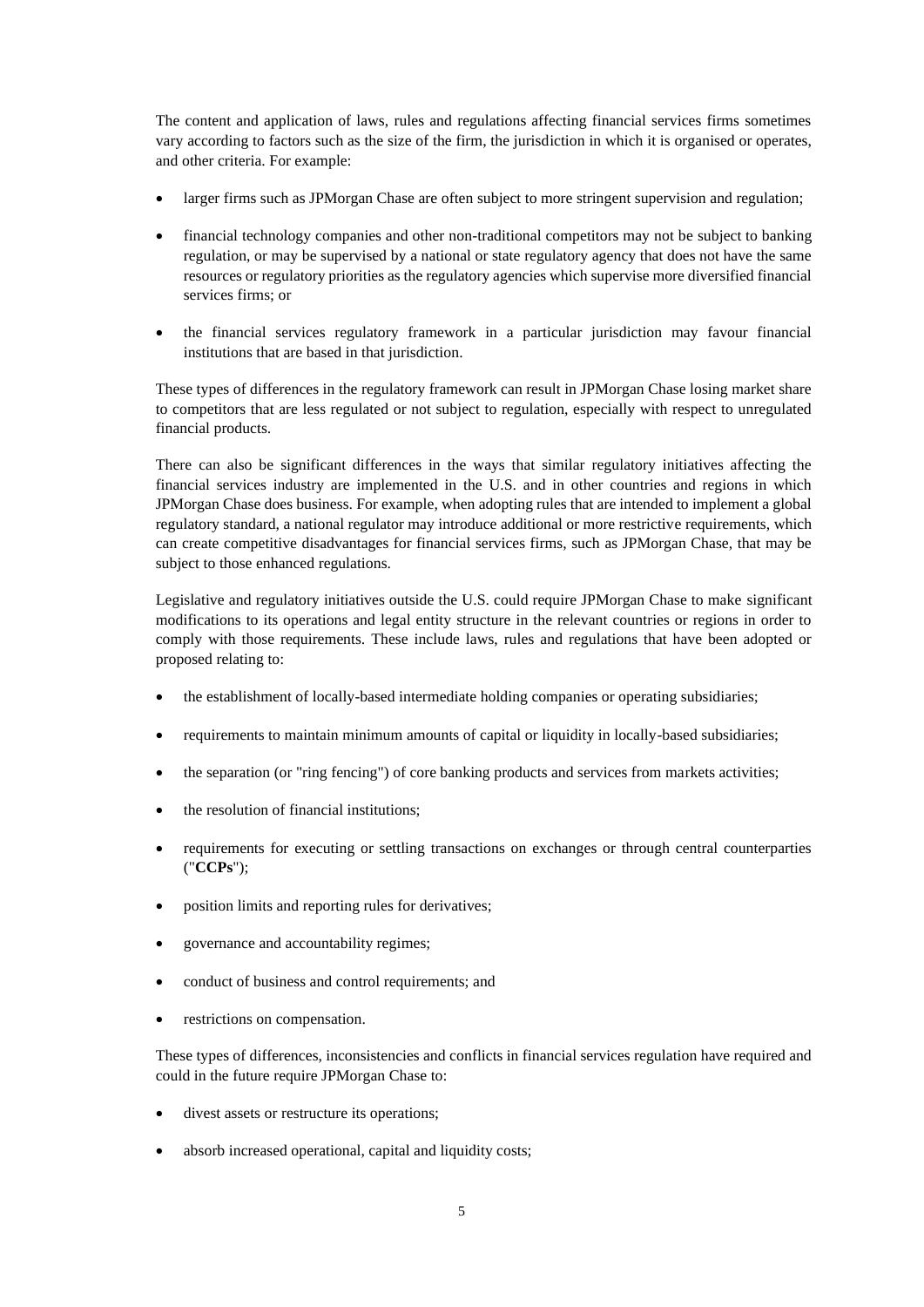The content and application of laws, rules and regulations affecting financial services firms sometimes vary according to factors such as the size of the firm, the jurisdiction in which it is organised or operates, and other criteria. For example:

- larger firms such as JPMorgan Chase are often subject to more stringent supervision and regulation;
- financial technology companies and other non-traditional competitors may not be subject to banking regulation, or may be supervised by a national or state regulatory agency that does not have the same resources or regulatory priorities as the regulatory agencies which supervise more diversified financial services firms; or
- the financial services regulatory framework in a particular jurisdiction may favour financial institutions that are based in that jurisdiction.

These types of differences in the regulatory framework can result in JPMorgan Chase losing market share to competitors that are less regulated or not subject to regulation, especially with respect to unregulated financial products.

There can also be significant differences in the ways that similar regulatory initiatives affecting the financial services industry are implemented in the U.S. and in other countries and regions in which JPMorgan Chase does business. For example, when adopting rules that are intended to implement a global regulatory standard, a national regulator may introduce additional or more restrictive requirements, which can create competitive disadvantages for financial services firms, such as JPMorgan Chase, that may be subject to those enhanced regulations.

Legislative and regulatory initiatives outside the U.S. could require JPMorgan Chase to make significant modifications to its operations and legal entity structure in the relevant countries or regions in order to comply with those requirements. These include laws, rules and regulations that have been adopted or proposed relating to:

- the establishment of locally-based intermediate holding companies or operating subsidiaries;
- requirements to maintain minimum amounts of capital or liquidity in locally-based subsidiaries;
- the separation (or "ring fencing") of core banking products and services from markets activities;
- the resolution of financial institutions;
- requirements for executing or settling transactions on exchanges or through central counterparties ("**CCPs**");
- position limits and reporting rules for derivatives;
- governance and accountability regimes;
- conduct of business and control requirements; and
- restrictions on compensation.

These types of differences, inconsistencies and conflicts in financial services regulation have required and could in the future require JPMorgan Chase to:

- divest assets or restructure its operations;
- absorb increased operational, capital and liquidity costs;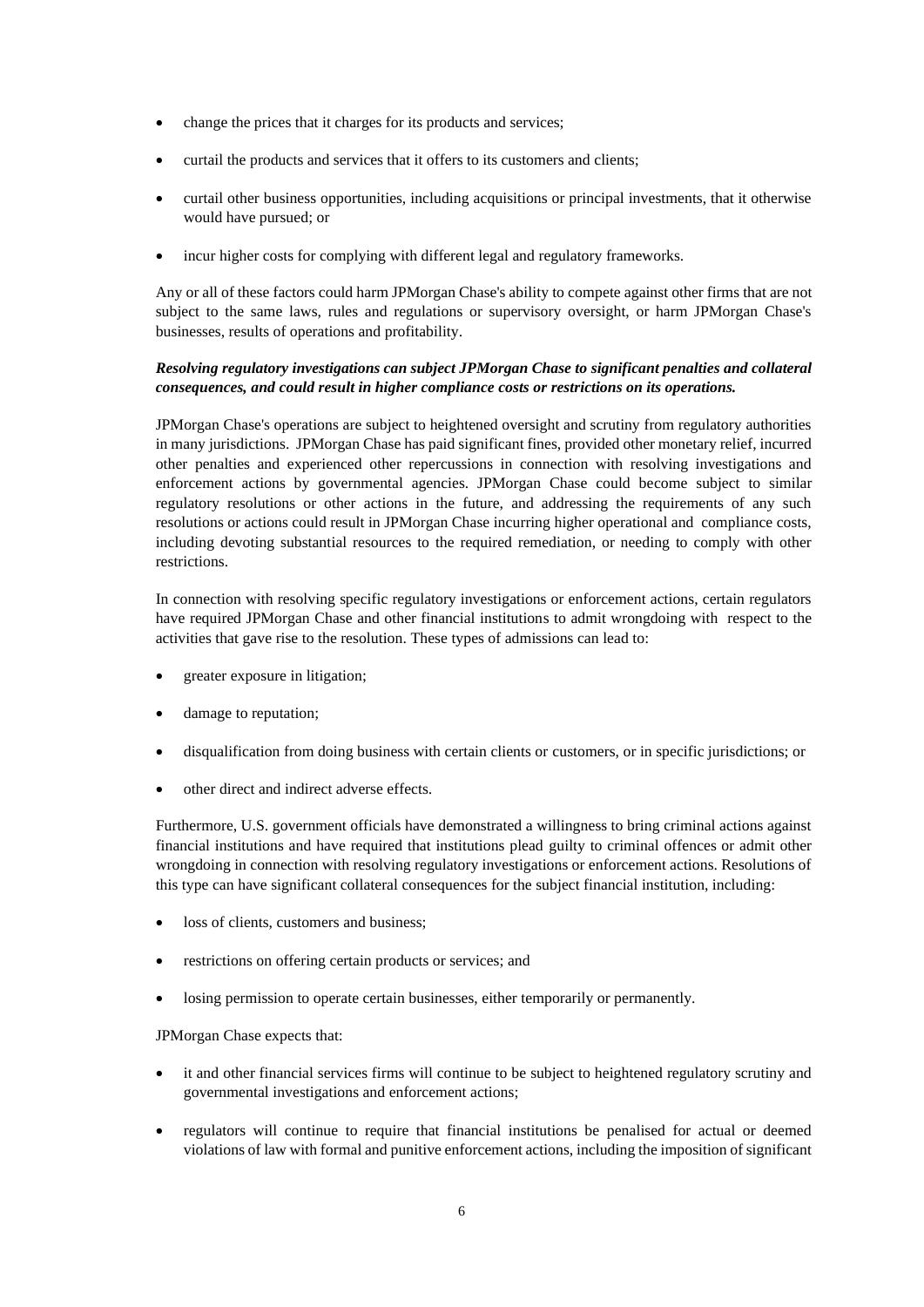- change the prices that it charges for its products and services;
- curtail the products and services that it offers to its customers and clients;
- curtail other business opportunities, including acquisitions or principal investments, that it otherwise would have pursued; or
- incur higher costs for complying with different legal and regulatory frameworks.

Any or all of these factors could harm JPMorgan Chase's ability to compete against other firms that are not subject to the same laws, rules and regulations or supervisory oversight, or harm JPMorgan Chase's businesses, results of operations and profitability.

# *Resolving regulatory investigations can subject JPMorgan Chase to significant penalties and collateral consequences, and could result in higher compliance costs or restrictions on its operations.*

JPMorgan Chase's operations are subject to heightened oversight and scrutiny from regulatory authorities in many jurisdictions. JPMorgan Chase has paid significant fines, provided other monetary relief, incurred other penalties and experienced other repercussions in connection with resolving investigations and enforcement actions by governmental agencies. JPMorgan Chase could become subject to similar regulatory resolutions or other actions in the future, and addressing the requirements of any such resolutions or actions could result in JPMorgan Chase incurring higher operational and compliance costs, including devoting substantial resources to the required remediation, or needing to comply with other restrictions.

In connection with resolving specific regulatory investigations or enforcement actions, certain regulators have required JPMorgan Chase and other financial institutions to admit wrongdoing with respect to the activities that gave rise to the resolution. These types of admissions can lead to:

- greater exposure in litigation;
- damage to reputation;
- disqualification from doing business with certain clients or customers, or in specific jurisdictions; or
- other direct and indirect adverse effects.

Furthermore, U.S. government officials have demonstrated a willingness to bring criminal actions against financial institutions and have required that institutions plead guilty to criminal offences or admit other wrongdoing in connection with resolving regulatory investigations or enforcement actions. Resolutions of this type can have significant collateral consequences for the subject financial institution, including:

- loss of clients, customers and business;
- restrictions on offering certain products or services; and
- losing permission to operate certain businesses, either temporarily or permanently.

JPMorgan Chase expects that:

- it and other financial services firms will continue to be subject to heightened regulatory scrutiny and governmental investigations and enforcement actions;
- regulators will continue to require that financial institutions be penalised for actual or deemed violations of law with formal and punitive enforcement actions, including the imposition of significant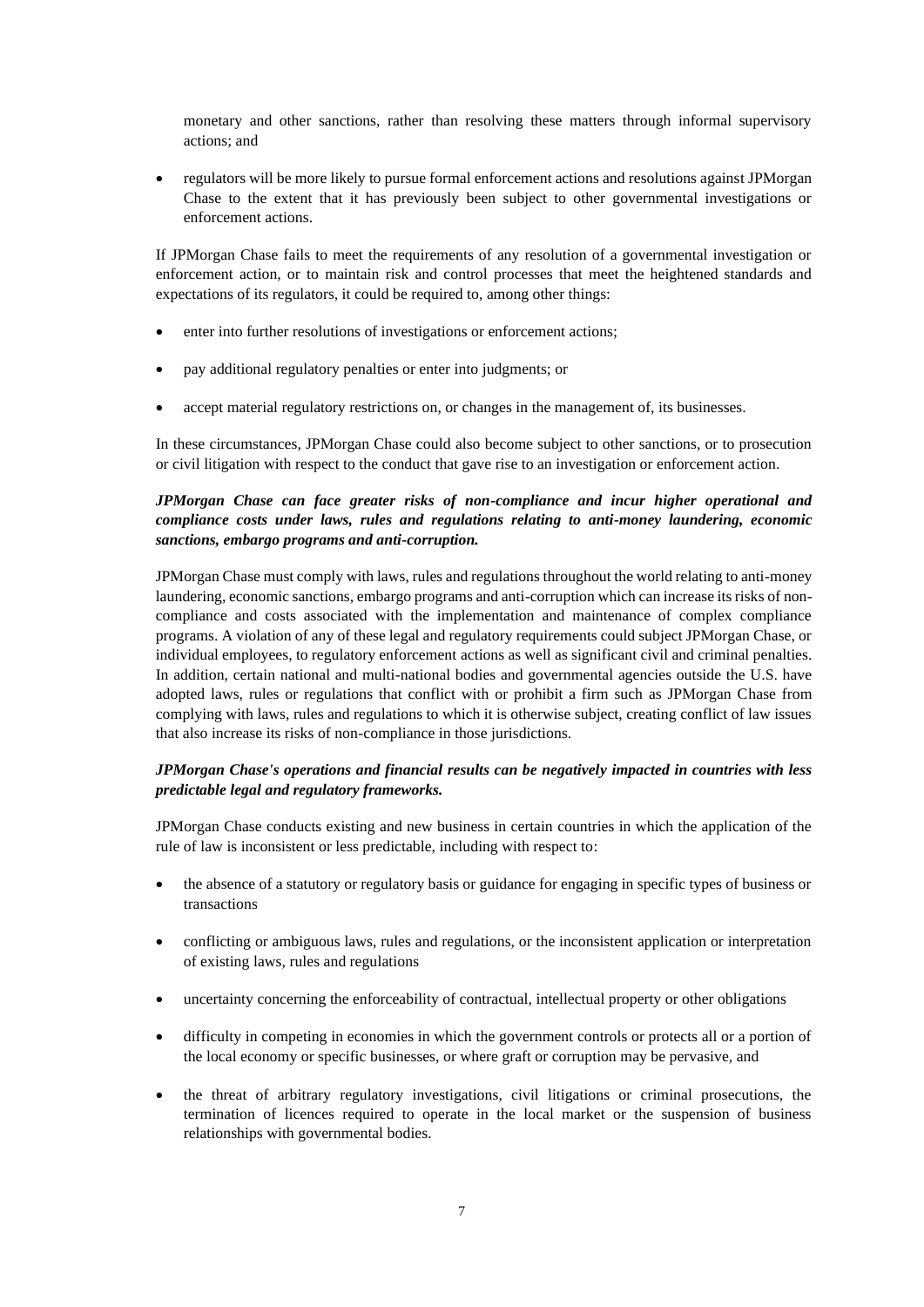monetary and other sanctions, rather than resolving these matters through informal supervisory actions; and

• regulators will be more likely to pursue formal enforcement actions and resolutions against JPMorgan Chase to the extent that it has previously been subject to other governmental investigations or enforcement actions.

If JPMorgan Chase fails to meet the requirements of any resolution of a governmental investigation or enforcement action, or to maintain risk and control processes that meet the heightened standards and expectations of its regulators, it could be required to, among other things:

- enter into further resolutions of investigations or enforcement actions;
- pay additional regulatory penalties or enter into judgments; or
- accept material regulatory restrictions on, or changes in the management of, its businesses.

In these circumstances, JPMorgan Chase could also become subject to other sanctions, or to prosecution or civil litigation with respect to the conduct that gave rise to an investigation or enforcement action.

# *JPMorgan Chase can face greater risks of non-compliance and incur higher operational and compliance costs under laws, rules and regulations relating to anti-money laundering, economic sanctions, embargo programs and anti-corruption.*

JPMorgan Chase must comply with laws, rules and regulations throughout the world relating to anti-money laundering, economic sanctions, embargo programs and anti-corruption which can increase its risks of noncompliance and costs associated with the implementation and maintenance of complex compliance programs. A violation of any of these legal and regulatory requirements could subject JPMorgan Chase, or individual employees, to regulatory enforcement actions as well as significant civil and criminal penalties. In addition, certain national and multi-national bodies and governmental agencies outside the U.S. have adopted laws, rules or regulations that conflict with or prohibit a firm such as JPMorgan Chase from complying with laws, rules and regulations to which it is otherwise subject, creating conflict of law issues that also increase its risks of non-compliance in those jurisdictions.

## *JPMorgan Chase's operations and financial results can be negatively impacted in countries with less predictable legal and regulatory frameworks.*

JPMorgan Chase conducts existing and new business in certain countries in which the application of the rule of law is inconsistent or less predictable, including with respect to:

- the absence of a statutory or regulatory basis or guidance for engaging in specific types of business or transactions
- conflicting or ambiguous laws, rules and regulations, or the inconsistent application or interpretation of existing laws, rules and regulations
- uncertainty concerning the enforceability of contractual, intellectual property or other obligations
- difficulty in competing in economies in which the government controls or protects all or a portion of the local economy or specific businesses, or where graft or corruption may be pervasive, and
- the threat of arbitrary regulatory investigations, civil litigations or criminal prosecutions, the termination of licences required to operate in the local market or the suspension of business relationships with governmental bodies.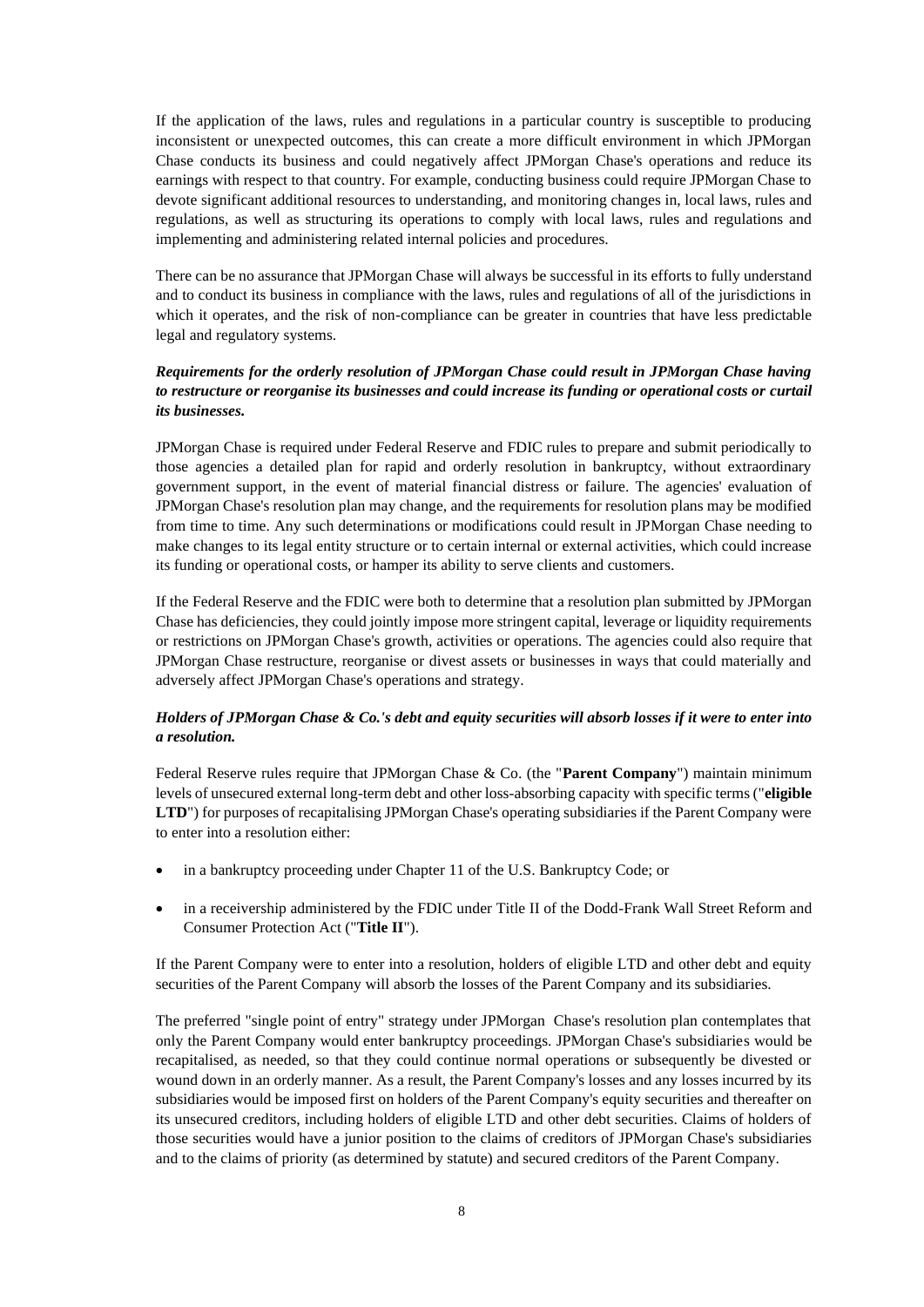If the application of the laws, rules and regulations in a particular country is susceptible to producing inconsistent or unexpected outcomes, this can create a more difficult environment in which JPMorgan Chase conducts its business and could negatively affect JPMorgan Chase's operations and reduce its earnings with respect to that country. For example, conducting business could require JPMorgan Chase to devote significant additional resources to understanding, and monitoring changes in, local laws, rules and regulations, as well as structuring its operations to comply with local laws, rules and regulations and implementing and administering related internal policies and procedures.

There can be no assurance that JPMorgan Chase will always be successful in its efforts to fully understand and to conduct its business in compliance with the laws, rules and regulations of all of the jurisdictions in which it operates, and the risk of non-compliance can be greater in countries that have less predictable legal and regulatory systems.

## *Requirements for the orderly resolution of JPMorgan Chase could result in JPMorgan Chase having to restructure or reorganise its businesses and could increase its funding or operational costs or curtail its businesses.*

JPMorgan Chase is required under Federal Reserve and FDIC rules to prepare and submit periodically to those agencies a detailed plan for rapid and orderly resolution in bankruptcy, without extraordinary government support, in the event of material financial distress or failure. The agencies' evaluation of JPMorgan Chase's resolution plan may change, and the requirements for resolution plans may be modified from time to time. Any such determinations or modifications could result in JPMorgan Chase needing to make changes to its legal entity structure or to certain internal or external activities, which could increase its funding or operational costs, or hamper its ability to serve clients and customers.

If the Federal Reserve and the FDIC were both to determine that a resolution plan submitted by JPMorgan Chase has deficiencies, they could jointly impose more stringent capital, leverage or liquidity requirements or restrictions on JPMorgan Chase's growth, activities or operations. The agencies could also require that JPMorgan Chase restructure, reorganise or divest assets or businesses in ways that could materially and adversely affect JPMorgan Chase's operations and strategy.

### *Holders of JPMorgan Chase & Co.'s debt and equity securities will absorb losses if it were to enter into a resolution.*

Federal Reserve rules require that JPMorgan Chase & Co. (the "**Parent Company**") maintain minimum levels of unsecured external long-term debt and other loss-absorbing capacity with specific terms ("**eligible LTD**") for purposes of recapitalising JPMorgan Chase's operating subsidiaries if the Parent Company were to enter into a resolution either:

- in a bankruptcy proceeding under Chapter 11 of the U.S. Bankruptcy Code; or
- in a receivership administered by the FDIC under Title II of the Dodd-Frank Wall Street Reform and Consumer Protection Act ("**Title II**").

If the Parent Company were to enter into a resolution, holders of eligible LTD and other debt and equity securities of the Parent Company will absorb the losses of the Parent Company and its subsidiaries.

The preferred "single point of entry" strategy under JPMorgan Chase's resolution plan contemplates that only the Parent Company would enter bankruptcy proceedings. JPMorgan Chase's subsidiaries would be recapitalised, as needed, so that they could continue normal operations or subsequently be divested or wound down in an orderly manner. As a result, the Parent Company's losses and any losses incurred by its subsidiaries would be imposed first on holders of the Parent Company's equity securities and thereafter on its unsecured creditors, including holders of eligible LTD and other debt securities. Claims of holders of those securities would have a junior position to the claims of creditors of JPMorgan Chase's subsidiaries and to the claims of priority (as determined by statute) and secured creditors of the Parent Company.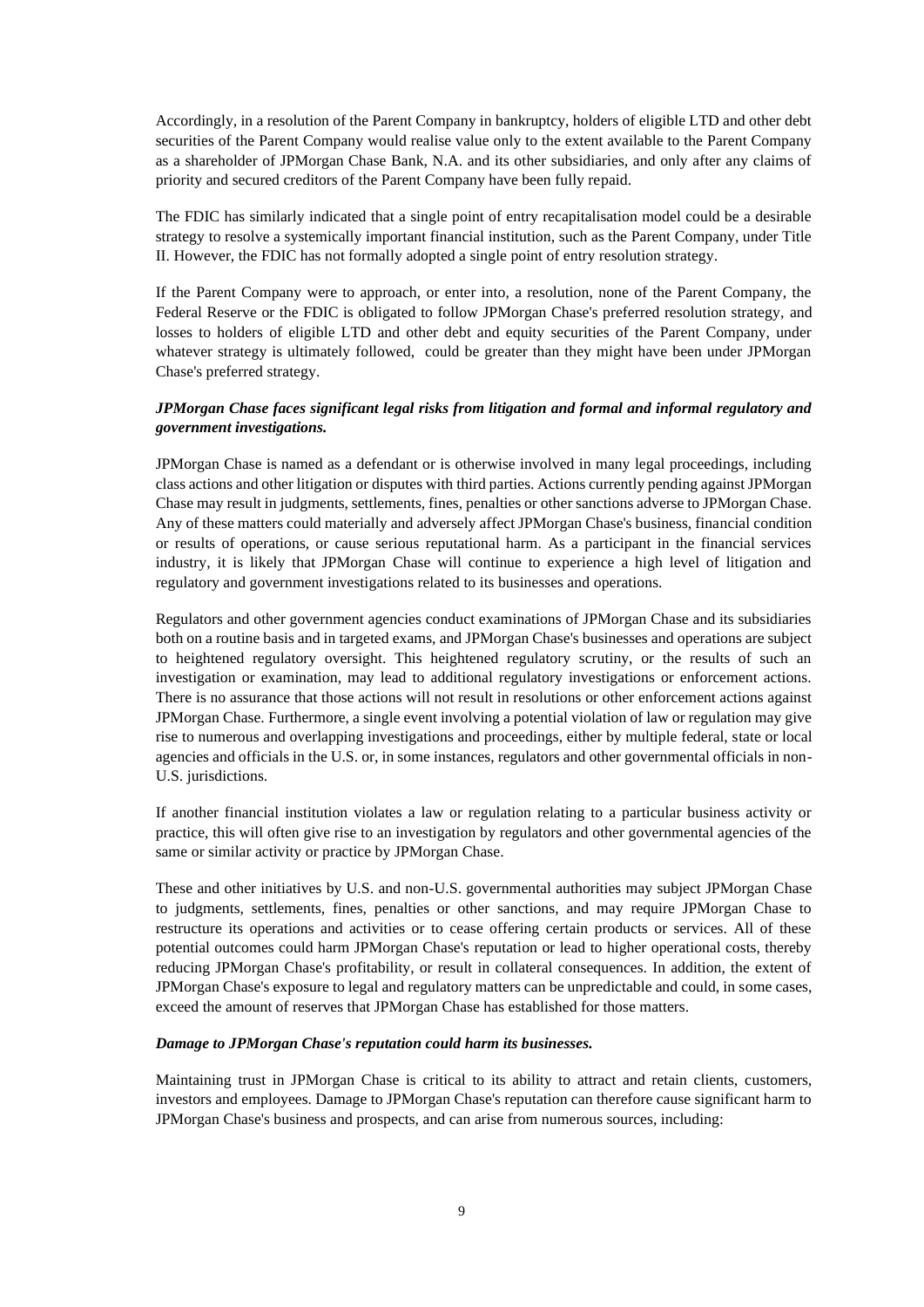Accordingly, in a resolution of the Parent Company in bankruptcy, holders of eligible LTD and other debt securities of the Parent Company would realise value only to the extent available to the Parent Company as a shareholder of JPMorgan Chase Bank, N.A. and its other subsidiaries, and only after any claims of priority and secured creditors of the Parent Company have been fully repaid.

The FDIC has similarly indicated that a single point of entry recapitalisation model could be a desirable strategy to resolve a systemically important financial institution, such as the Parent Company, under Title II. However, the FDIC has not formally adopted a single point of entry resolution strategy.

If the Parent Company were to approach, or enter into, a resolution, none of the Parent Company, the Federal Reserve or the FDIC is obligated to follow JPMorgan Chase's preferred resolution strategy, and losses to holders of eligible LTD and other debt and equity securities of the Parent Company, under whatever strategy is ultimately followed, could be greater than they might have been under JPMorgan Chase's preferred strategy.

## *JPMorgan Chase faces significant legal risks from litigation and formal and informal regulatory and government investigations.*

JPMorgan Chase is named as a defendant or is otherwise involved in many legal proceedings, including class actions and other litigation or disputes with third parties. Actions currently pending against JPMorgan Chase may result in judgments, settlements, fines, penalties or other sanctions adverse to JPMorgan Chase. Any of these matters could materially and adversely affect JPMorgan Chase's business, financial condition or results of operations, or cause serious reputational harm. As a participant in the financial services industry, it is likely that JPMorgan Chase will continue to experience a high level of litigation and regulatory and government investigations related to its businesses and operations.

Regulators and other government agencies conduct examinations of JPMorgan Chase and its subsidiaries both on a routine basis and in targeted exams, and JPMorgan Chase's businesses and operations are subject to heightened regulatory oversight. This heightened regulatory scrutiny, or the results of such an investigation or examination, may lead to additional regulatory investigations or enforcement actions. There is no assurance that those actions will not result in resolutions or other enforcement actions against JPMorgan Chase. Furthermore, a single event involving a potential violation of law or regulation may give rise to numerous and overlapping investigations and proceedings, either by multiple federal, state or local agencies and officials in the U.S. or, in some instances, regulators and other governmental officials in non-U.S. jurisdictions.

If another financial institution violates a law or regulation relating to a particular business activity or practice, this will often give rise to an investigation by regulators and other governmental agencies of the same or similar activity or practice by JPMorgan Chase.

These and other initiatives by U.S. and non-U.S. governmental authorities may subject JPMorgan Chase to judgments, settlements, fines, penalties or other sanctions, and may require JPMorgan Chase to restructure its operations and activities or to cease offering certain products or services. All of these potential outcomes could harm JPMorgan Chase's reputation or lead to higher operational costs, thereby reducing JPMorgan Chase's profitability, or result in collateral consequences. In addition, the extent of JPMorgan Chase's exposure to legal and regulatory matters can be unpredictable and could, in some cases, exceed the amount of reserves that JPMorgan Chase has established for those matters.

#### *Damage to JPMorgan Chase's reputation could harm its businesses.*

Maintaining trust in JPMorgan Chase is critical to its ability to attract and retain clients, customers, investors and employees. Damage to JPMorgan Chase's reputation can therefore cause significant harm to JPMorgan Chase's business and prospects, and can arise from numerous sources, including: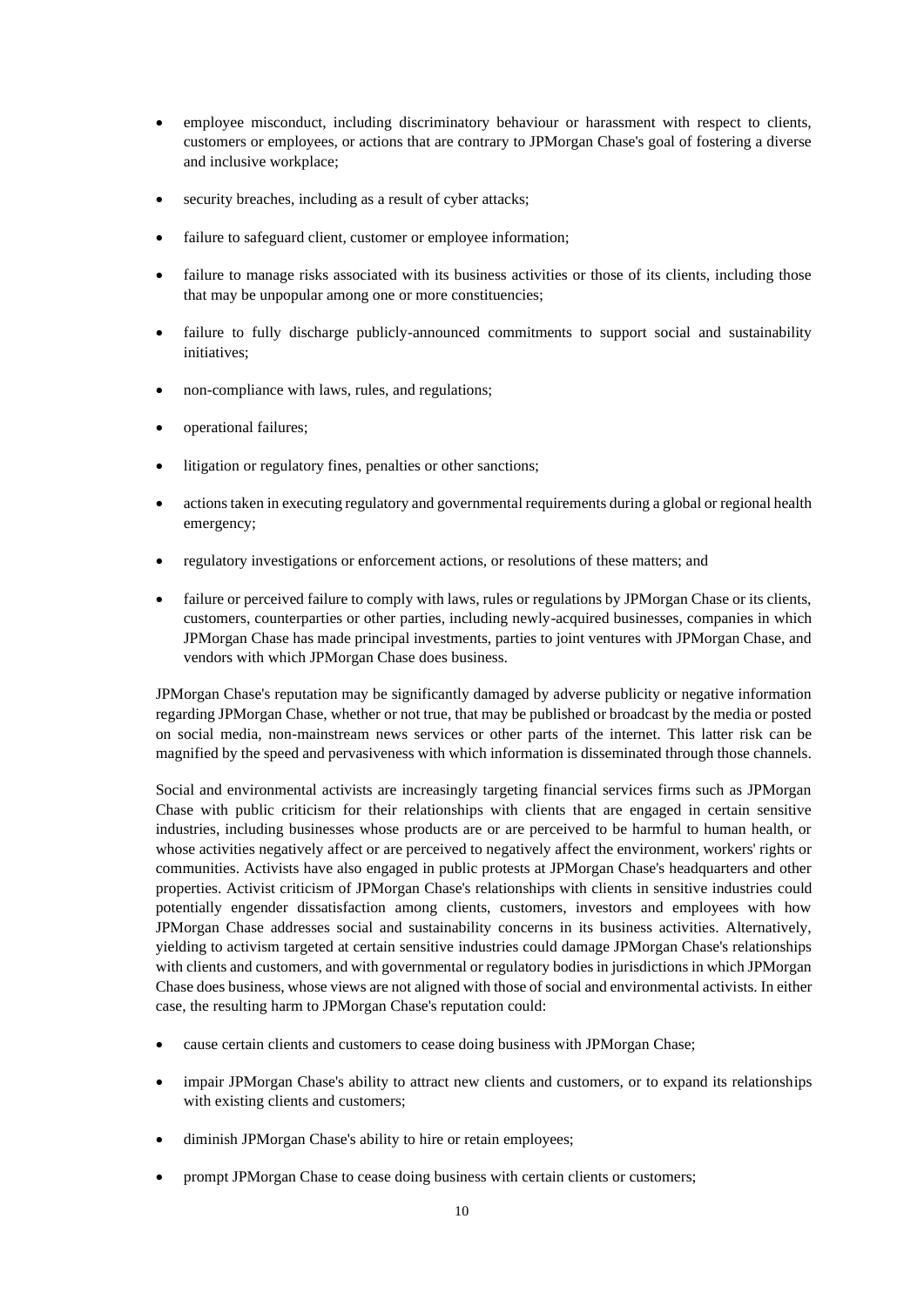- employee misconduct, including discriminatory behaviour or harassment with respect to clients, customers or employees, or actions that are contrary to JPMorgan Chase's goal of fostering a diverse and inclusive workplace;
- security breaches, including as a result of cyber attacks;
- failure to safeguard client, customer or employee information;
- failure to manage risks associated with its business activities or those of its clients, including those that may be unpopular among one or more constituencies;
- failure to fully discharge publicly-announced commitments to support social and sustainability initiatives;
- non-compliance with laws, rules, and regulations;
- operational failures;
- litigation or regulatory fines, penalties or other sanctions;
- actions taken in executing regulatory and governmental requirements during a global or regional health emergency;
- regulatory investigations or enforcement actions, or resolutions of these matters; and
- failure or perceived failure to comply with laws, rules or regulations by JPMorgan Chase or its clients, customers, counterparties or other parties, including newly-acquired businesses, companies in which JPMorgan Chase has made principal investments, parties to joint ventures with JPMorgan Chase, and vendors with which JPMorgan Chase does business.

JPMorgan Chase's reputation may be significantly damaged by adverse publicity or negative information regarding JPMorgan Chase, whether or not true, that may be published or broadcast by the media or posted on social media, non-mainstream news services or other parts of the internet. This latter risk can be magnified by the speed and pervasiveness with which information is disseminated through those channels.

Social and environmental activists are increasingly targeting financial services firms such as JPMorgan Chase with public criticism for their relationships with clients that are engaged in certain sensitive industries, including businesses whose products are or are perceived to be harmful to human health, or whose activities negatively affect or are perceived to negatively affect the environment, workers' rights or communities. Activists have also engaged in public protests at JPMorgan Chase's headquarters and other properties. Activist criticism of JPMorgan Chase's relationships with clients in sensitive industries could potentially engender dissatisfaction among clients, customers, investors and employees with how JPMorgan Chase addresses social and sustainability concerns in its business activities. Alternatively, yielding to activism targeted at certain sensitive industries could damage JPMorgan Chase's relationships with clients and customers, and with governmental or regulatory bodies in jurisdictions in which JPMorgan Chase does business, whose views are not aligned with those of social and environmental activists. In either case, the resulting harm to JPMorgan Chase's reputation could:

- cause certain clients and customers to cease doing business with JPMorgan Chase;
- impair JPMorgan Chase's ability to attract new clients and customers, or to expand its relationships with existing clients and customers;
- diminish JPMorgan Chase's ability to hire or retain employees;
- prompt JPMorgan Chase to cease doing business with certain clients or customers;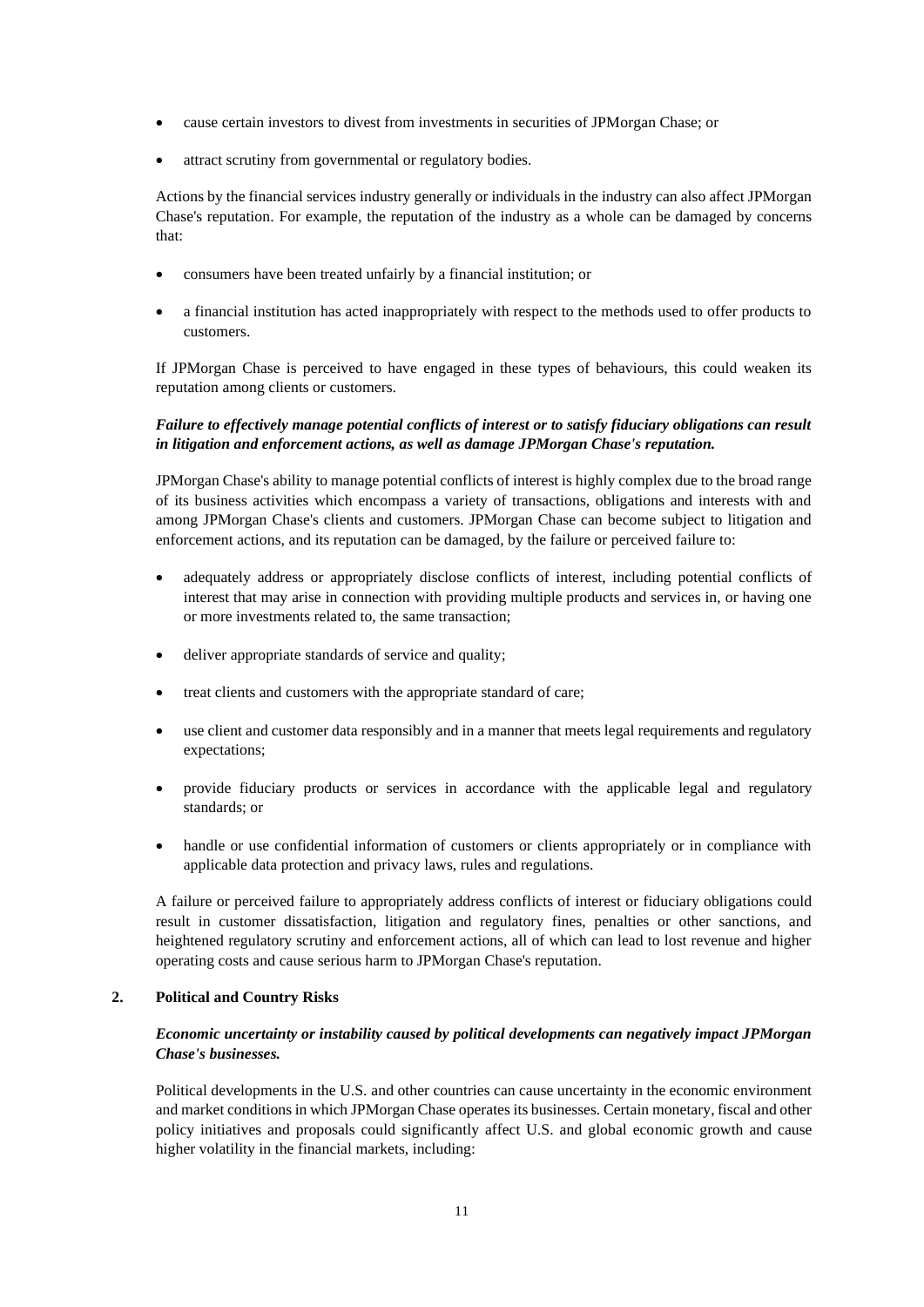- cause certain investors to divest from investments in securities of JPMorgan Chase; or
- attract scrutiny from governmental or regulatory bodies.

Actions by the financial services industry generally or individuals in the industry can also affect JPMorgan Chase's reputation. For example, the reputation of the industry as a whole can be damaged by concerns that:

- consumers have been treated unfairly by a financial institution; or
- a financial institution has acted inappropriately with respect to the methods used to offer products to customers.

If JPMorgan Chase is perceived to have engaged in these types of behaviours, this could weaken its reputation among clients or customers.

## *Failure to effectively manage potential conflicts of interest or to satisfy fiduciary obligations can result in litigation and enforcement actions, as well as damage JPMorgan Chase's reputation.*

JPMorgan Chase's ability to manage potential conflicts of interest is highly complex due to the broad range of its business activities which encompass a variety of transactions, obligations and interests with and among JPMorgan Chase's clients and customers. JPMorgan Chase can become subject to litigation and enforcement actions, and its reputation can be damaged, by the failure or perceived failure to:

- adequately address or appropriately disclose conflicts of interest, including potential conflicts of interest that may arise in connection with providing multiple products and services in, or having one or more investments related to, the same transaction;
- deliver appropriate standards of service and quality;
- treat clients and customers with the appropriate standard of care;
- use client and customer data responsibly and in a manner that meets legal requirements and regulatory expectations;
- provide fiduciary products or services in accordance with the applicable legal and regulatory standards; or
- handle or use confidential information of customers or clients appropriately or in compliance with applicable data protection and privacy laws, rules and regulations.

A failure or perceived failure to appropriately address conflicts of interest or fiduciary obligations could result in customer dissatisfaction, litigation and regulatory fines, penalties or other sanctions, and heightened regulatory scrutiny and enforcement actions, all of which can lead to lost revenue and higher operating costs and cause serious harm to JPMorgan Chase's reputation.

### **2. Political and Country Risks**

## *Economic uncertainty or instability caused by political developments can negatively impact JPMorgan Chase's businesses.*

Political developments in the U.S. and other countries can cause uncertainty in the economic environment and market conditions in which JPMorgan Chase operates its businesses. Certain monetary, fiscal and other policy initiatives and proposals could significantly affect U.S. and global economic growth and cause higher volatility in the financial markets, including: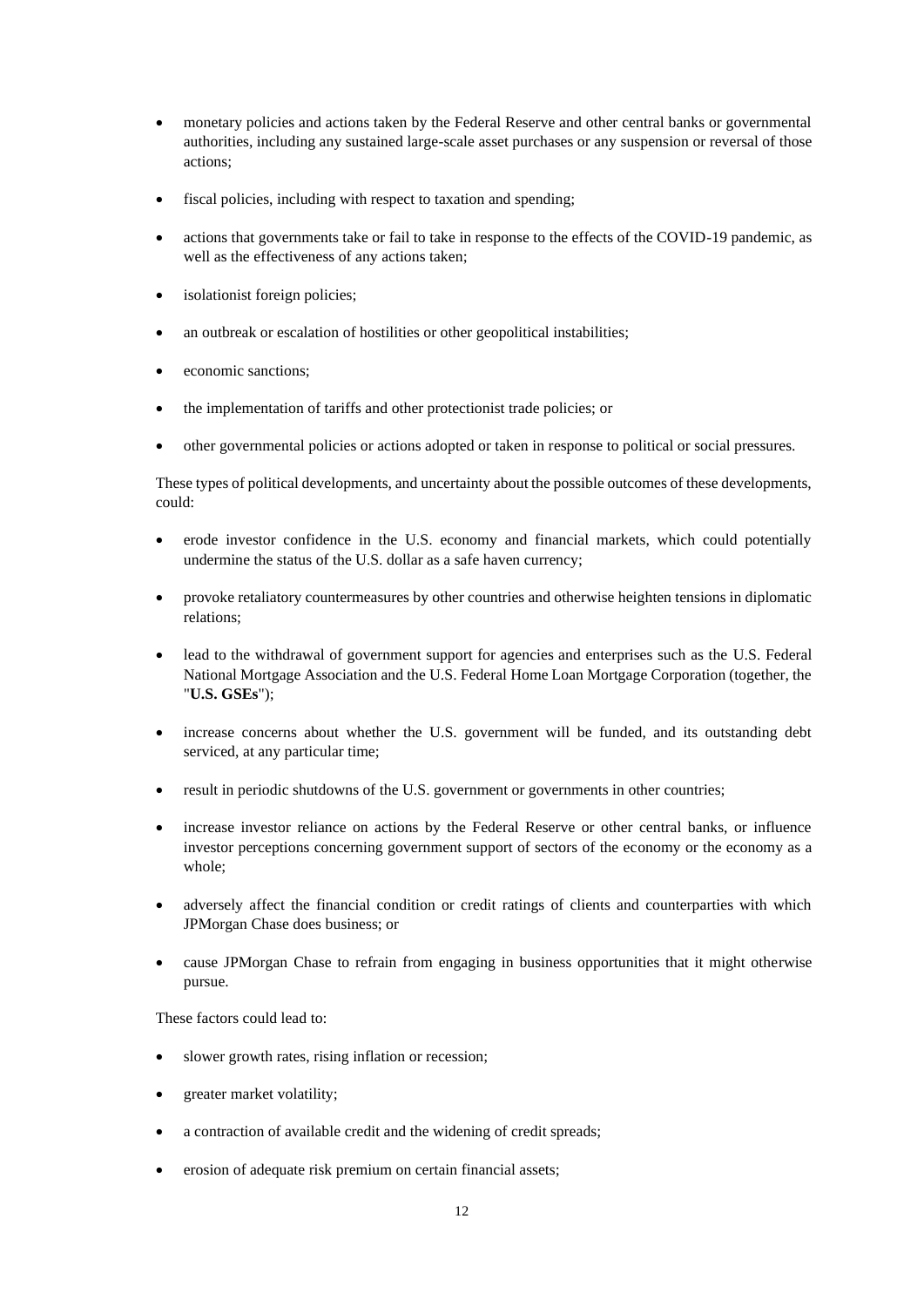- monetary policies and actions taken by the Federal Reserve and other central banks or governmental authorities, including any sustained large-scale asset purchases or any suspension or reversal of those actions;
- fiscal policies, including with respect to taxation and spending;
- actions that governments take or fail to take in response to the effects of the COVID-19 pandemic, as well as the effectiveness of any actions taken;
- isolationist foreign policies;
- an outbreak or escalation of hostilities or other geopolitical instabilities;
- economic sanctions:
- the implementation of tariffs and other protectionist trade policies; or
- other governmental policies or actions adopted or taken in response to political or social pressures.

These types of political developments, and uncertainty about the possible outcomes of these developments, could:

- erode investor confidence in the U.S. economy and financial markets, which could potentially undermine the status of the U.S. dollar as a safe haven currency;
- provoke retaliatory countermeasures by other countries and otherwise heighten tensions in diplomatic relations;
- lead to the withdrawal of government support for agencies and enterprises such as the U.S. Federal National Mortgage Association and the U.S. Federal Home Loan Mortgage Corporation (together, the "**U.S. GSEs**");
- increase concerns about whether the U.S. government will be funded, and its outstanding debt serviced, at any particular time;
- result in periodic shutdowns of the U.S. government or governments in other countries;
- increase investor reliance on actions by the Federal Reserve or other central banks, or influence investor perceptions concerning government support of sectors of the economy or the economy as a whole;
- adversely affect the financial condition or credit ratings of clients and counterparties with which JPMorgan Chase does business; or
- cause JPMorgan Chase to refrain from engaging in business opportunities that it might otherwise pursue.

These factors could lead to:

- slower growth rates, rising inflation or recession;
- greater market volatility;
- a contraction of available credit and the widening of credit spreads;
- erosion of adequate risk premium on certain financial assets;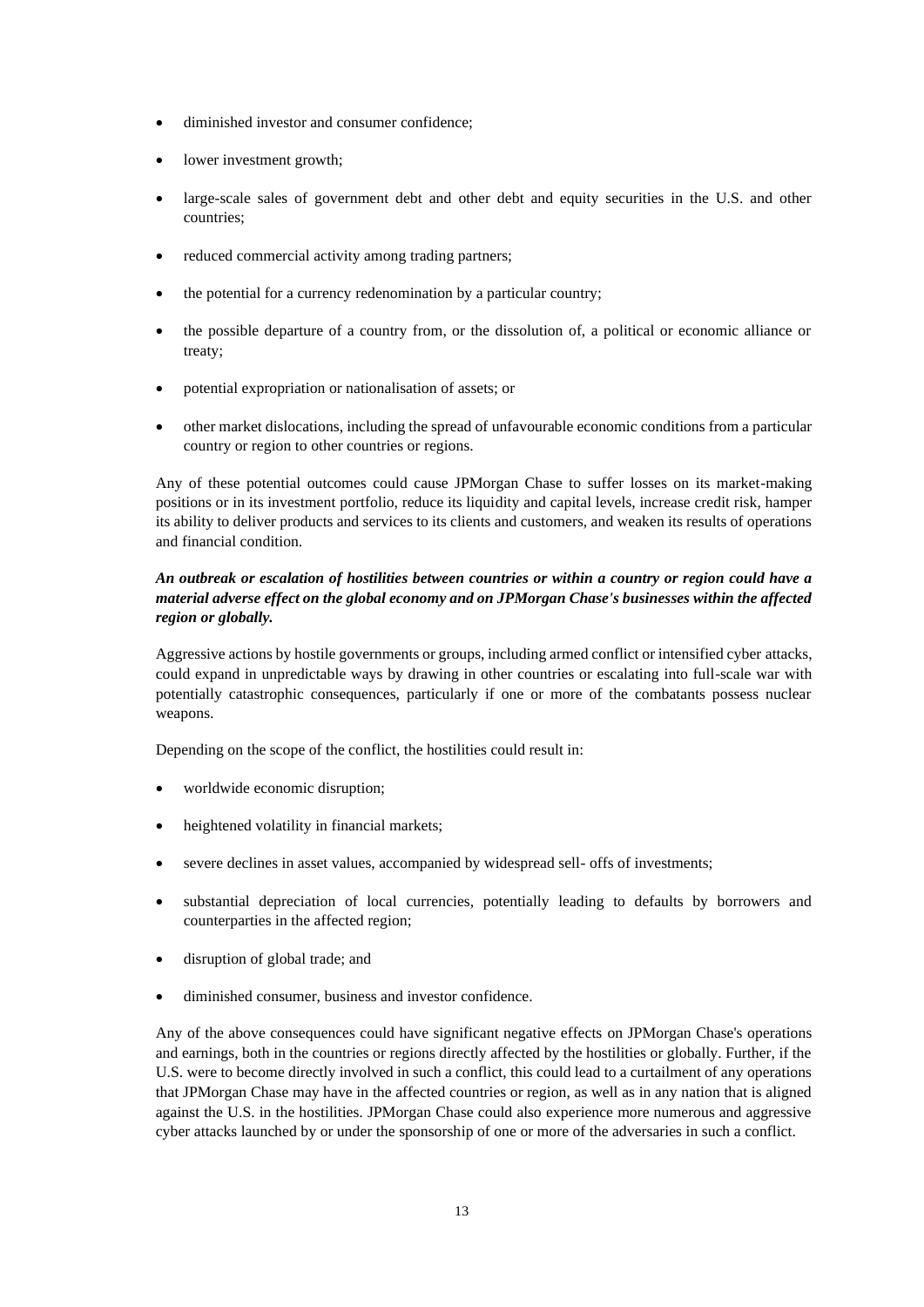- diminished investor and consumer confidence;
- lower investment growth;
- large-scale sales of government debt and other debt and equity securities in the U.S. and other countries;
- reduced commercial activity among trading partners;
- the potential for a currency redenomination by a particular country;
- the possible departure of a country from, or the dissolution of, a political or economic alliance or treaty;
- potential expropriation or nationalisation of assets; or
- other market dislocations, including the spread of unfavourable economic conditions from a particular country or region to other countries or regions.

Any of these potential outcomes could cause JPMorgan Chase to suffer losses on its market-making positions or in its investment portfolio, reduce its liquidity and capital levels, increase credit risk, hamper its ability to deliver products and services to its clients and customers, and weaken its results of operations and financial condition.

## *An outbreak or escalation of hostilities between countries or within a country or region could have a material adverse effect on the global economy and on JPMorgan Chase's businesses within the affected region or globally.*

Aggressive actions by hostile governments or groups, including armed conflict or intensified cyber attacks, could expand in unpredictable ways by drawing in other countries or escalating into full-scale war with potentially catastrophic consequences, particularly if one or more of the combatants possess nuclear weapons.

Depending on the scope of the conflict, the hostilities could result in:

- worldwide economic disruption;
- heightened volatility in financial markets;
- severe declines in asset values, accompanied by widespread sell- offs of investments;
- substantial depreciation of local currencies, potentially leading to defaults by borrowers and counterparties in the affected region;
- disruption of global trade; and
- diminished consumer, business and investor confidence.

Any of the above consequences could have significant negative effects on JPMorgan Chase's operations and earnings, both in the countries or regions directly affected by the hostilities or globally. Further, if the U.S. were to become directly involved in such a conflict, this could lead to a curtailment of any operations that JPMorgan Chase may have in the affected countries or region, as well as in any nation that is aligned against the U.S. in the hostilities. JPMorgan Chase could also experience more numerous and aggressive cyber attacks launched by or under the sponsorship of one or more of the adversaries in such a conflict.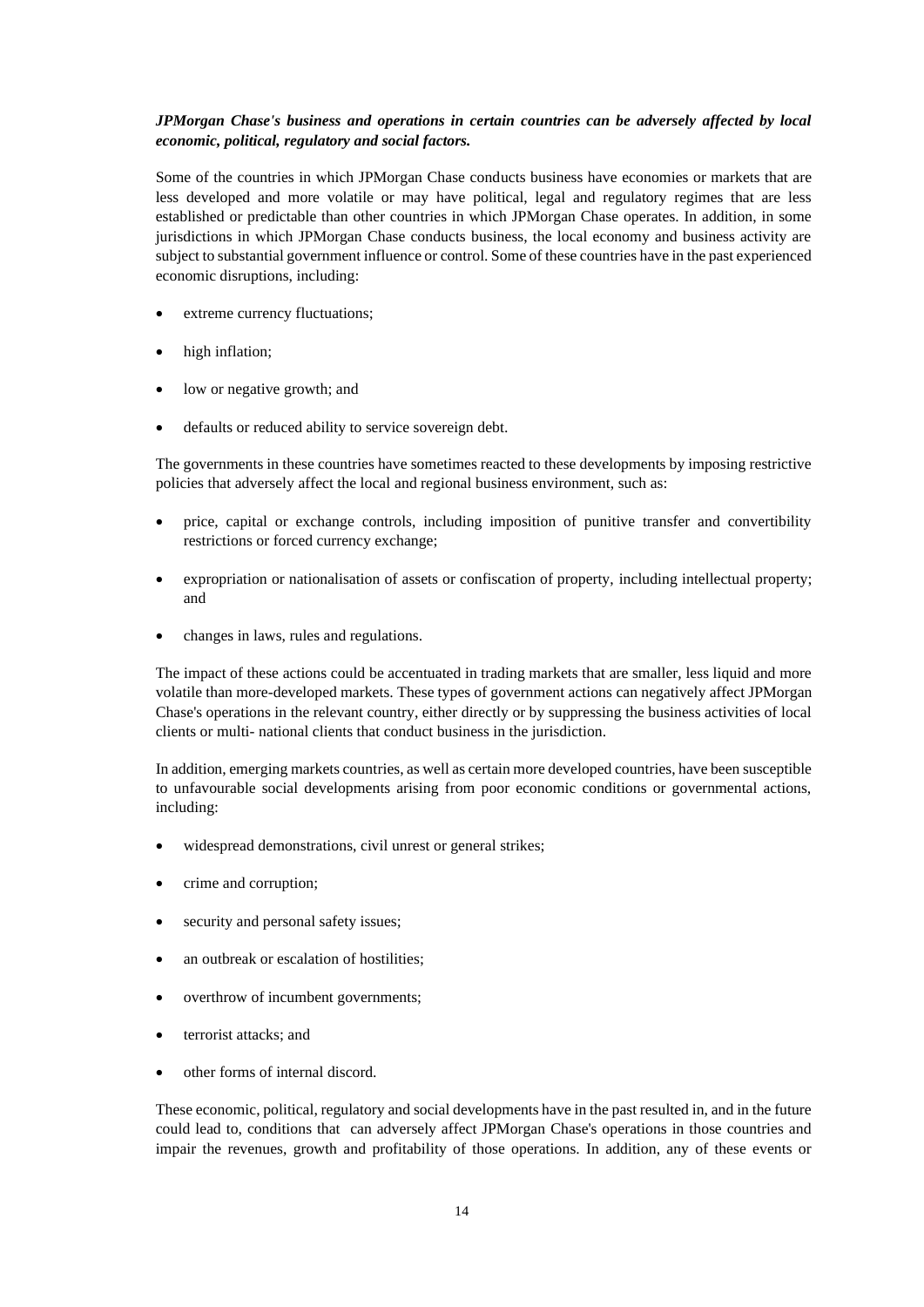### *JPMorgan Chase's business and operations in certain countries can be adversely affected by local economic, political, regulatory and social factors.*

Some of the countries in which JPMorgan Chase conducts business have economies or markets that are less developed and more volatile or may have political, legal and regulatory regimes that are less established or predictable than other countries in which JPMorgan Chase operates. In addition, in some jurisdictions in which JPMorgan Chase conducts business, the local economy and business activity are subject to substantial government influence or control. Some of these countries have in the past experienced economic disruptions, including:

- extreme currency fluctuations;
- high inflation:
- low or negative growth; and
- defaults or reduced ability to service sovereign debt.

The governments in these countries have sometimes reacted to these developments by imposing restrictive policies that adversely affect the local and regional business environment, such as:

- price, capital or exchange controls, including imposition of punitive transfer and convertibility restrictions or forced currency exchange;
- expropriation or nationalisation of assets or confiscation of property, including intellectual property; and
- changes in laws, rules and regulations.

The impact of these actions could be accentuated in trading markets that are smaller, less liquid and more volatile than more-developed markets. These types of government actions can negatively affect JPMorgan Chase's operations in the relevant country, either directly or by suppressing the business activities of local clients or multi- national clients that conduct business in the jurisdiction.

In addition, emerging markets countries, as well as certain more developed countries, have been susceptible to unfavourable social developments arising from poor economic conditions or governmental actions, including:

- widespread demonstrations, civil unrest or general strikes;
- crime and corruption;
- security and personal safety issues;
- an outbreak or escalation of hostilities;
- overthrow of incumbent governments;
- terrorist attacks; and
- other forms of internal discord.

These economic, political, regulatory and social developments have in the past resulted in, and in the future could lead to, conditions that can adversely affect JPMorgan Chase's operations in those countries and impair the revenues, growth and profitability of those operations. In addition, any of these events or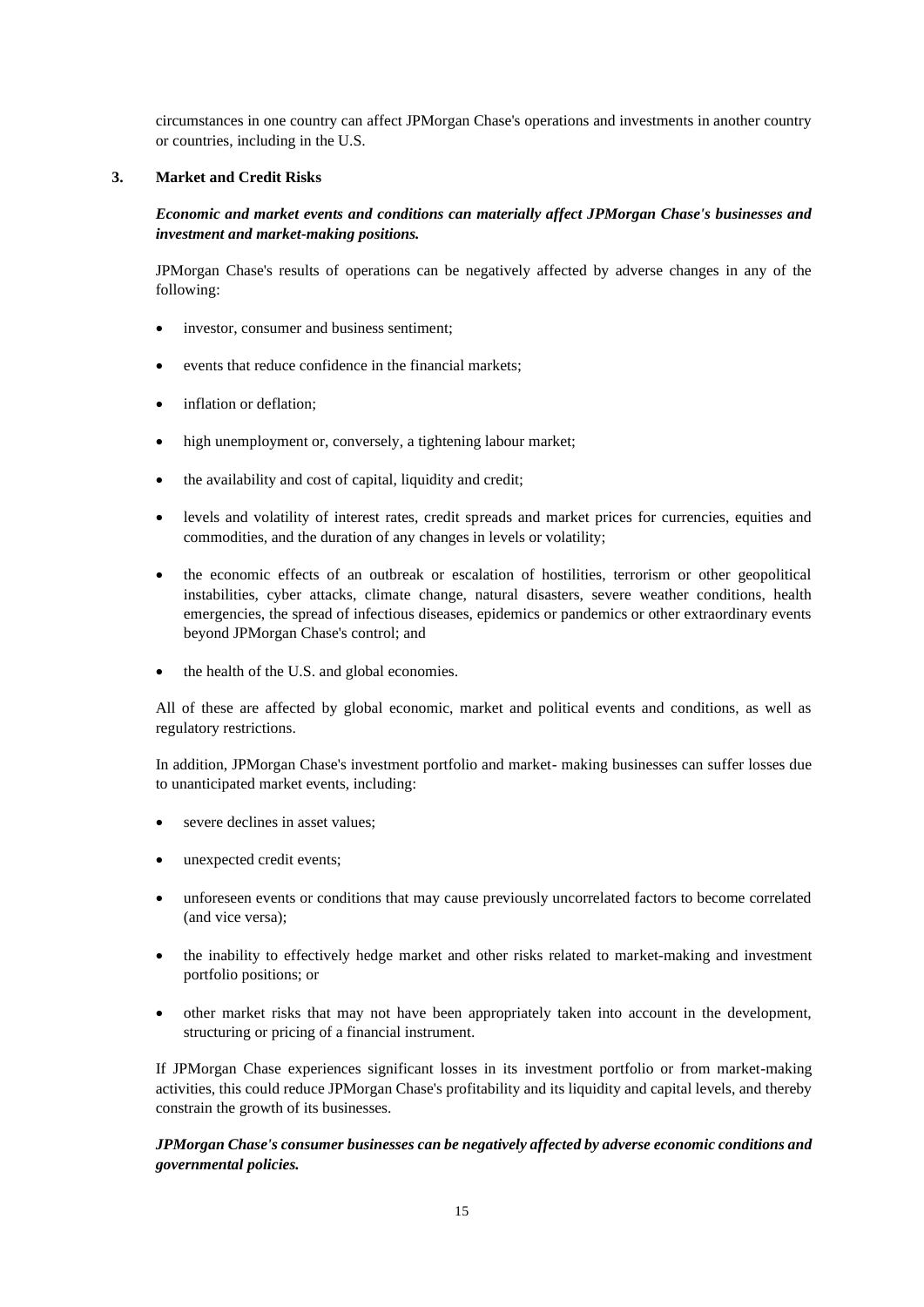circumstances in one country can affect JPMorgan Chase's operations and investments in another country or countries, including in the U.S.

### **3. Market and Credit Risks**

*Economic and market events and conditions can materially affect JPMorgan Chase's businesses and investment and market-making positions.*

JPMorgan Chase's results of operations can be negatively affected by adverse changes in any of the following:

- investor, consumer and business sentiment;
- events that reduce confidence in the financial markets;
- inflation or deflation:
- high unemployment or, conversely, a tightening labour market;
- the availability and cost of capital, liquidity and credit;
- levels and volatility of interest rates, credit spreads and market prices for currencies, equities and commodities, and the duration of any changes in levels or volatility;
- the economic effects of an outbreak or escalation of hostilities, terrorism or other geopolitical instabilities, cyber attacks, climate change, natural disasters, severe weather conditions, health emergencies, the spread of infectious diseases, epidemics or pandemics or other extraordinary events beyond JPMorgan Chase's control; and
- the health of the U.S. and global economies.

All of these are affected by global economic, market and political events and conditions, as well as regulatory restrictions.

In addition, JPMorgan Chase's investment portfolio and market- making businesses can suffer losses due to unanticipated market events, including:

- severe declines in asset values;
- unexpected credit events;
- unforeseen events or conditions that may cause previously uncorrelated factors to become correlated (and vice versa);
- the inability to effectively hedge market and other risks related to market-making and investment portfolio positions; or
- other market risks that may not have been appropriately taken into account in the development, structuring or pricing of a financial instrument.

If JPMorgan Chase experiences significant losses in its investment portfolio or from market-making activities, this could reduce JPMorgan Chase's profitability and its liquidity and capital levels, and thereby constrain the growth of its businesses.

## *JPMorgan Chase's consumer businesses can be negatively affected by adverse economic conditions and governmental policies.*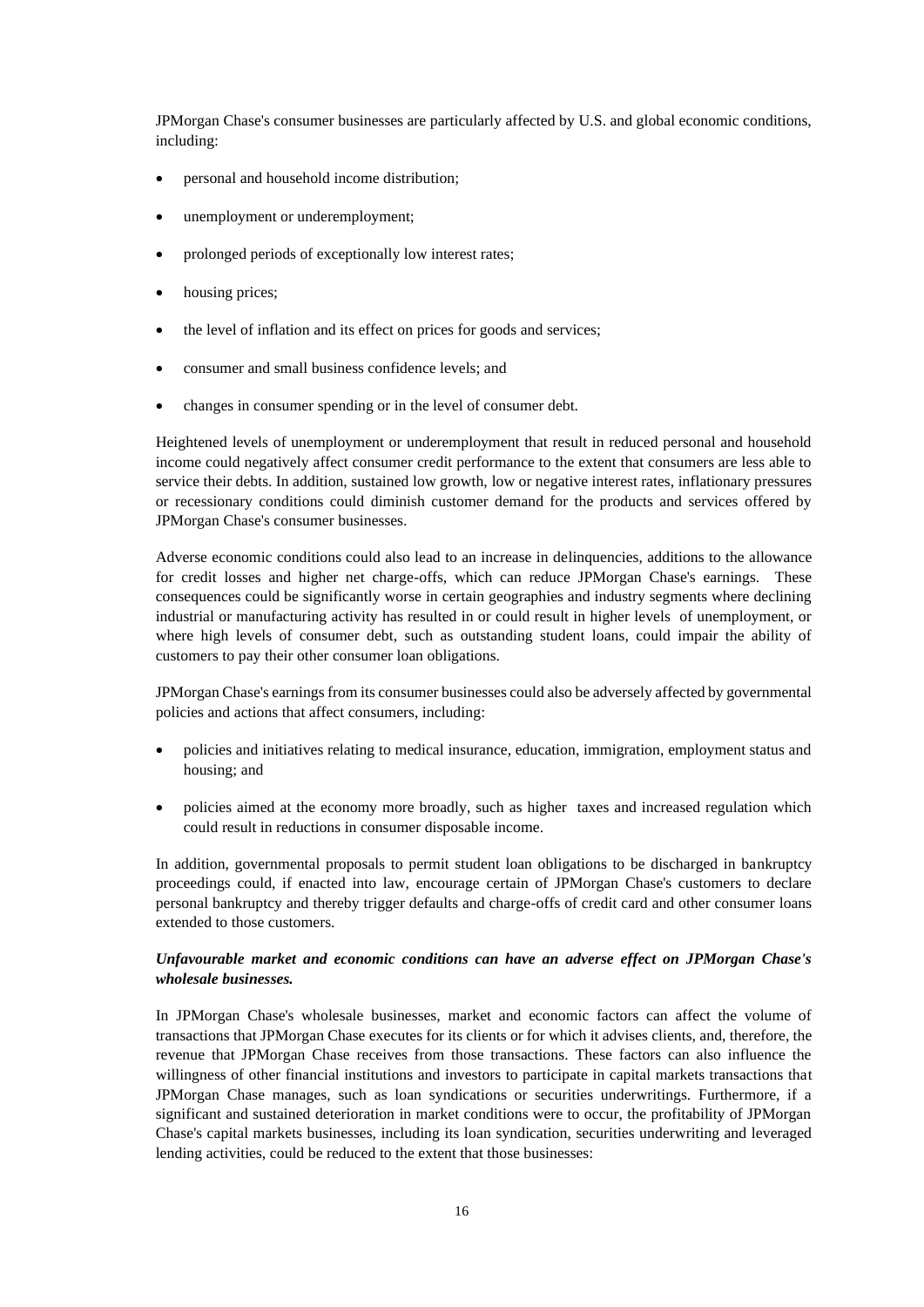JPMorgan Chase's consumer businesses are particularly affected by U.S. and global economic conditions, including:

- personal and household income distribution;
- unemployment or underemployment;
- prolonged periods of exceptionally low interest rates;
- housing prices:
- the level of inflation and its effect on prices for goods and services;
- consumer and small business confidence levels; and
- changes in consumer spending or in the level of consumer debt.

Heightened levels of unemployment or underemployment that result in reduced personal and household income could negatively affect consumer credit performance to the extent that consumers are less able to service their debts. In addition, sustained low growth, low or negative interest rates, inflationary pressures or recessionary conditions could diminish customer demand for the products and services offered by JPMorgan Chase's consumer businesses.

Adverse economic conditions could also lead to an increase in delinquencies, additions to the allowance for credit losses and higher net charge-offs, which can reduce JPMorgan Chase's earnings. These consequences could be significantly worse in certain geographies and industry segments where declining industrial or manufacturing activity has resulted in or could result in higher levels of unemployment, or where high levels of consumer debt, such as outstanding student loans, could impair the ability of customers to pay their other consumer loan obligations.

JPMorgan Chase's earnings from its consumer businesses could also be adversely affected by governmental policies and actions that affect consumers, including:

- policies and initiatives relating to medical insurance, education, immigration, employment status and housing; and
- policies aimed at the economy more broadly, such as higher taxes and increased regulation which could result in reductions in consumer disposable income.

In addition, governmental proposals to permit student loan obligations to be discharged in bankruptcy proceedings could, if enacted into law, encourage certain of JPMorgan Chase's customers to declare personal bankruptcy and thereby trigger defaults and charge-offs of credit card and other consumer loans extended to those customers.

### *Unfavourable market and economic conditions can have an adverse effect on JPMorgan Chase's wholesale businesses.*

In JPMorgan Chase's wholesale businesses, market and economic factors can affect the volume of transactions that JPMorgan Chase executes for its clients or for which it advises clients, and, therefore, the revenue that JPMorgan Chase receives from those transactions. These factors can also influence the willingness of other financial institutions and investors to participate in capital markets transactions that JPMorgan Chase manages, such as loan syndications or securities underwritings. Furthermore, if a significant and sustained deterioration in market conditions were to occur, the profitability of JPMorgan Chase's capital markets businesses, including its loan syndication, securities underwriting and leveraged lending activities, could be reduced to the extent that those businesses: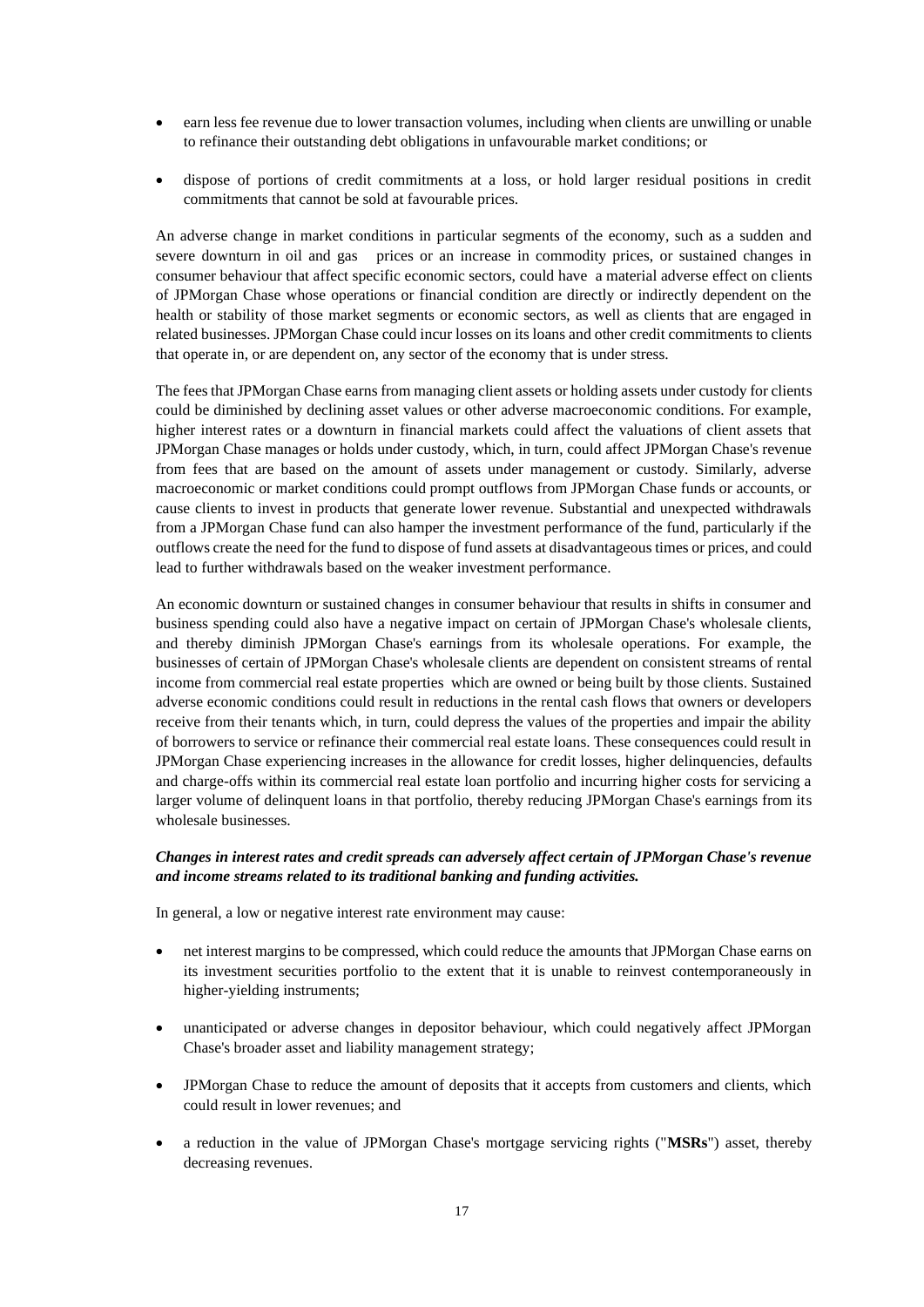- earn less fee revenue due to lower transaction volumes, including when clients are unwilling or unable to refinance their outstanding debt obligations in unfavourable market conditions; or
- dispose of portions of credit commitments at a loss, or hold larger residual positions in credit commitments that cannot be sold at favourable prices.

An adverse change in market conditions in particular segments of the economy, such as a sudden and severe downturn in oil and gas prices or an increase in commodity prices, or sustained changes in consumer behaviour that affect specific economic sectors, could have a material adverse effect on clients of JPMorgan Chase whose operations or financial condition are directly or indirectly dependent on the health or stability of those market segments or economic sectors, as well as clients that are engaged in related businesses. JPMorgan Chase could incur losses on its loans and other credit commitments to clients that operate in, or are dependent on, any sector of the economy that is under stress.

The fees that JPMorgan Chase earns from managing client assets or holding assets under custody for clients could be diminished by declining asset values or other adverse macroeconomic conditions. For example, higher interest rates or a downturn in financial markets could affect the valuations of client assets that JPMorgan Chase manages or holds under custody, which, in turn, could affect JPMorgan Chase's revenue from fees that are based on the amount of assets under management or custody. Similarly, adverse macroeconomic or market conditions could prompt outflows from JPMorgan Chase funds or accounts, or cause clients to invest in products that generate lower revenue. Substantial and unexpected withdrawals from a JPMorgan Chase fund can also hamper the investment performance of the fund, particularly if the outflows create the need for the fund to dispose of fund assets at disadvantageous times or prices, and could lead to further withdrawals based on the weaker investment performance.

An economic downturn or sustained changes in consumer behaviour that results in shifts in consumer and business spending could also have a negative impact on certain of JPMorgan Chase's wholesale clients, and thereby diminish JPMorgan Chase's earnings from its wholesale operations. For example, the businesses of certain of JPMorgan Chase's wholesale clients are dependent on consistent streams of rental income from commercial real estate properties which are owned or being built by those clients. Sustained adverse economic conditions could result in reductions in the rental cash flows that owners or developers receive from their tenants which, in turn, could depress the values of the properties and impair the ability of borrowers to service or refinance their commercial real estate loans. These consequences could result in JPMorgan Chase experiencing increases in the allowance for credit losses, higher delinquencies, defaults and charge-offs within its commercial real estate loan portfolio and incurring higher costs for servicing a larger volume of delinquent loans in that portfolio, thereby reducing JPMorgan Chase's earnings from its wholesale businesses.

### *Changes in interest rates and credit spreads can adversely affect certain of JPMorgan Chase's revenue and income streams related to its traditional banking and funding activities.*

In general, a low or negative interest rate environment may cause:

- net interest margins to be compressed, which could reduce the amounts that JPMorgan Chase earns on its investment securities portfolio to the extent that it is unable to reinvest contemporaneously in higher-yielding instruments;
- unanticipated or adverse changes in depositor behaviour, which could negatively affect JPMorgan Chase's broader asset and liability management strategy;
- JPMorgan Chase to reduce the amount of deposits that it accepts from customers and clients, which could result in lower revenues; and
- a reduction in the value of JPMorgan Chase's mortgage servicing rights ("**MSRs**") asset, thereby decreasing revenues.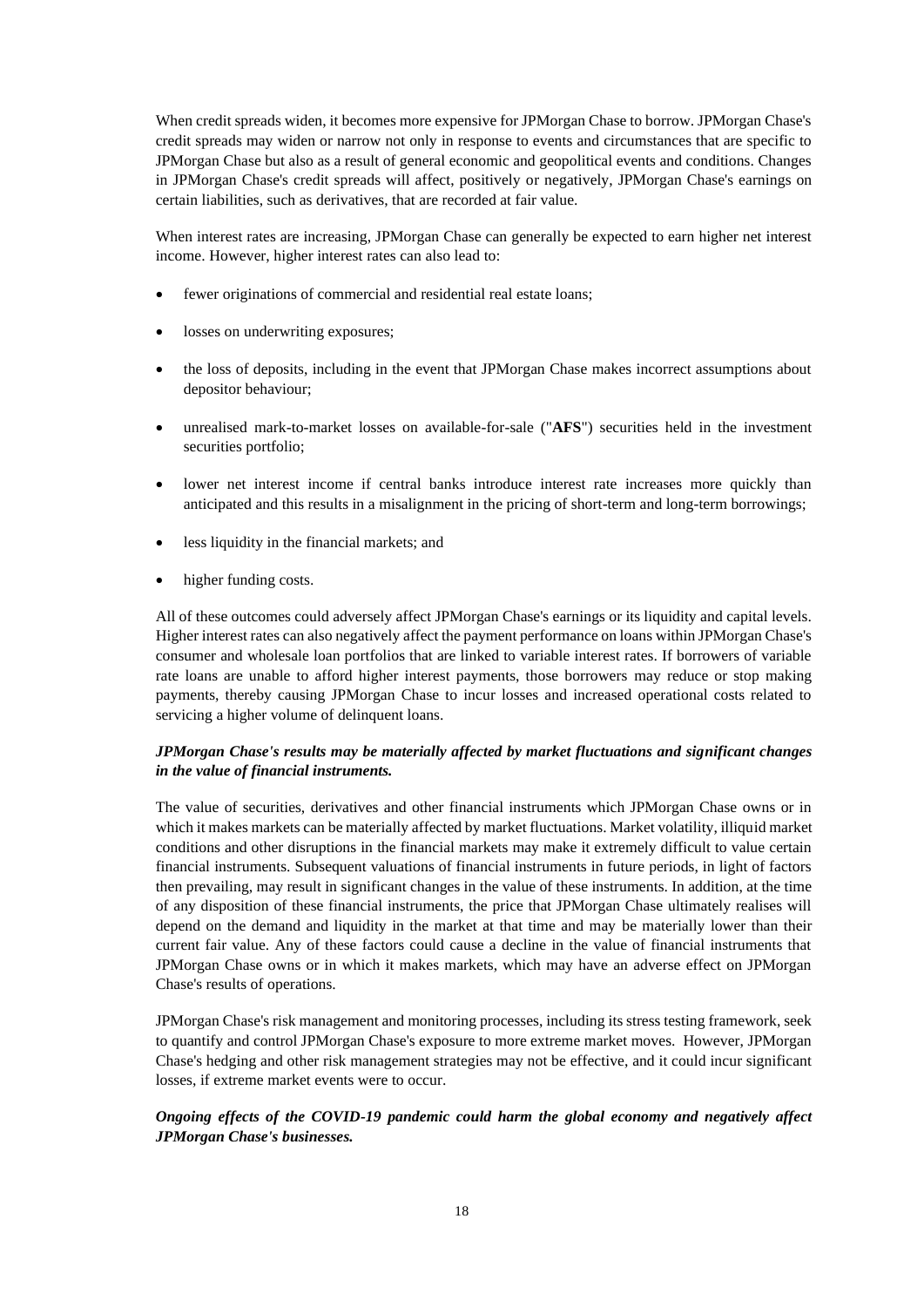When credit spreads widen, it becomes more expensive for JPMorgan Chase to borrow. JPMorgan Chase's credit spreads may widen or narrow not only in response to events and circumstances that are specific to JPMorgan Chase but also as a result of general economic and geopolitical events and conditions. Changes in JPMorgan Chase's credit spreads will affect, positively or negatively, JPMorgan Chase's earnings on certain liabilities, such as derivatives, that are recorded at fair value.

When interest rates are increasing, JPMorgan Chase can generally be expected to earn higher net interest income. However, higher interest rates can also lead to:

- fewer originations of commercial and residential real estate loans;
- losses on underwriting exposures;
- the loss of deposits, including in the event that JPMorgan Chase makes incorrect assumptions about depositor behaviour;
- unrealised mark-to-market losses on available-for-sale ("**AFS**") securities held in the investment securities portfolio;
- lower net interest income if central banks introduce interest rate increases more quickly than anticipated and this results in a misalignment in the pricing of short-term and long-term borrowings;
- less liquidity in the financial markets; and
- higher funding costs.

All of these outcomes could adversely affect JPMorgan Chase's earnings or its liquidity and capital levels. Higher interest rates can also negatively affect the payment performance on loans within JPMorgan Chase's consumer and wholesale loan portfolios that are linked to variable interest rates. If borrowers of variable rate loans are unable to afford higher interest payments, those borrowers may reduce or stop making payments, thereby causing JPMorgan Chase to incur losses and increased operational costs related to servicing a higher volume of delinquent loans.

## *JPMorgan Chase's results may be materially affected by market fluctuations and significant changes in the value of financial instruments.*

The value of securities, derivatives and other financial instruments which JPMorgan Chase owns or in which it makes markets can be materially affected by market fluctuations. Market volatility, illiquid market conditions and other disruptions in the financial markets may make it extremely difficult to value certain financial instruments. Subsequent valuations of financial instruments in future periods, in light of factors then prevailing, may result in significant changes in the value of these instruments. In addition, at the time of any disposition of these financial instruments, the price that JPMorgan Chase ultimately realises will depend on the demand and liquidity in the market at that time and may be materially lower than their current fair value. Any of these factors could cause a decline in the value of financial instruments that JPMorgan Chase owns or in which it makes markets, which may have an adverse effect on JPMorgan Chase's results of operations.

JPMorgan Chase's risk management and monitoring processes, including its stress testing framework, seek to quantify and control JPMorgan Chase's exposure to more extreme market moves. However, JPMorgan Chase's hedging and other risk management strategies may not be effective, and it could incur significant losses, if extreme market events were to occur.

## *Ongoing effects of the COVID-19 pandemic could harm the global economy and negatively affect JPMorgan Chase's businesses.*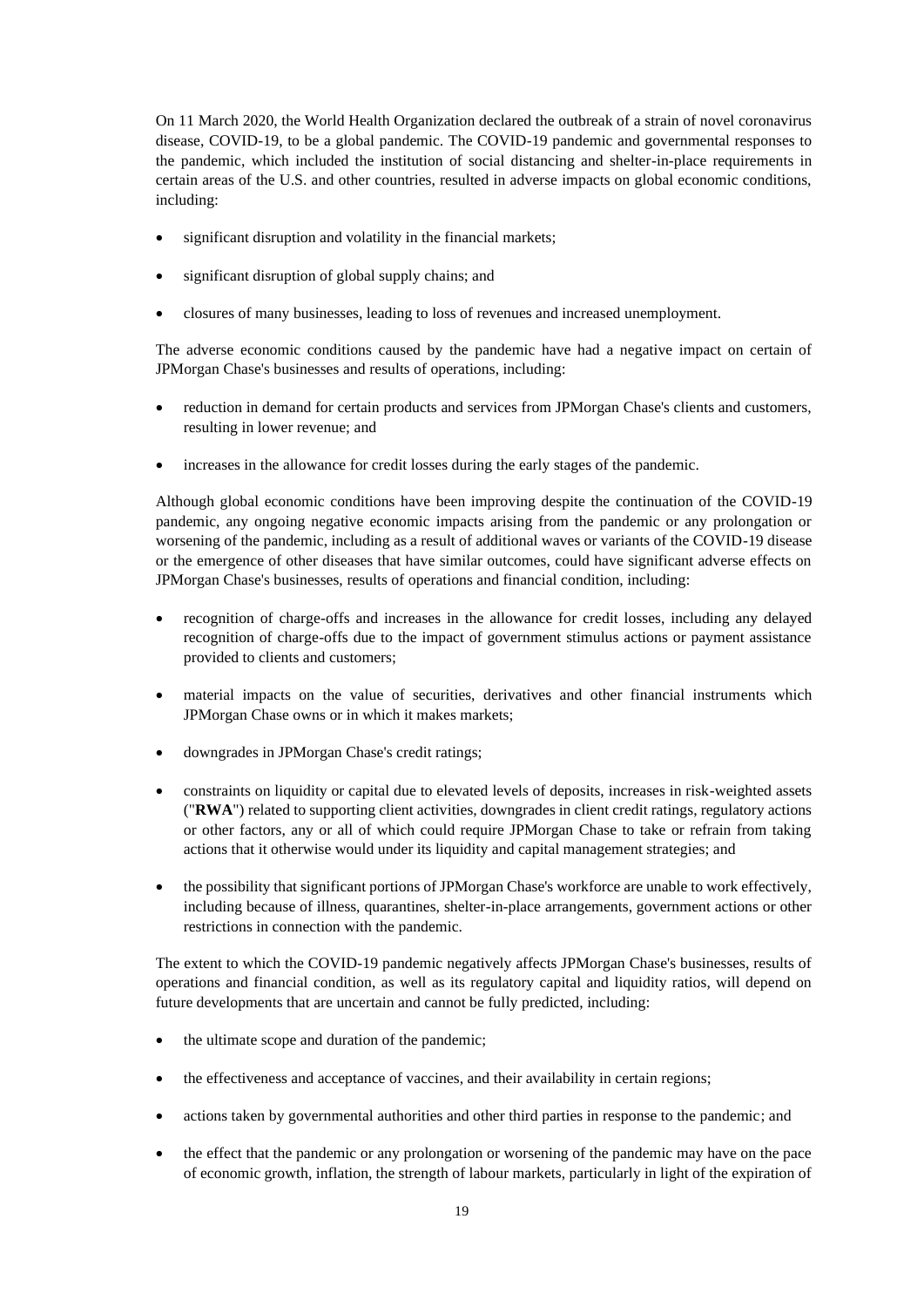On 11 March 2020, the World Health Organization declared the outbreak of a strain of novel coronavirus disease, COVID-19, to be a global pandemic. The COVID-19 pandemic and governmental responses to the pandemic, which included the institution of social distancing and shelter-in-place requirements in certain areas of the U.S. and other countries, resulted in adverse impacts on global economic conditions, including:

- significant disruption and volatility in the financial markets;
- significant disruption of global supply chains; and
- closures of many businesses, leading to loss of revenues and increased unemployment.

The adverse economic conditions caused by the pandemic have had a negative impact on certain of JPMorgan Chase's businesses and results of operations, including:

- reduction in demand for certain products and services from JPMorgan Chase's clients and customers, resulting in lower revenue; and
- increases in the allowance for credit losses during the early stages of the pandemic.

Although global economic conditions have been improving despite the continuation of the COVID-19 pandemic, any ongoing negative economic impacts arising from the pandemic or any prolongation or worsening of the pandemic, including as a result of additional waves or variants of the COVID-19 disease or the emergence of other diseases that have similar outcomes, could have significant adverse effects on JPMorgan Chase's businesses, results of operations and financial condition, including:

- recognition of charge-offs and increases in the allowance for credit losses, including any delayed recognition of charge-offs due to the impact of government stimulus actions or payment assistance provided to clients and customers;
- material impacts on the value of securities, derivatives and other financial instruments which JPMorgan Chase owns or in which it makes markets;
- downgrades in JPMorgan Chase's credit ratings;
- constraints on liquidity or capital due to elevated levels of deposits, increases in risk-weighted assets ("**RWA**") related to supporting client activities, downgrades in client credit ratings, regulatory actions or other factors, any or all of which could require JPMorgan Chase to take or refrain from taking actions that it otherwise would under its liquidity and capital management strategies; and
- the possibility that significant portions of JPMorgan Chase's workforce are unable to work effectively, including because of illness, quarantines, shelter-in-place arrangements, government actions or other restrictions in connection with the pandemic.

The extent to which the COVID-19 pandemic negatively affects JPMorgan Chase's businesses, results of operations and financial condition, as well as its regulatory capital and liquidity ratios, will depend on future developments that are uncertain and cannot be fully predicted, including:

- the ultimate scope and duration of the pandemic;
- the effectiveness and acceptance of vaccines, and their availability in certain regions;
- actions taken by governmental authorities and other third parties in response to the pandemic; and
- the effect that the pandemic or any prolongation or worsening of the pandemic may have on the pace of economic growth, inflation, the strength of labour markets, particularly in light of the expiration of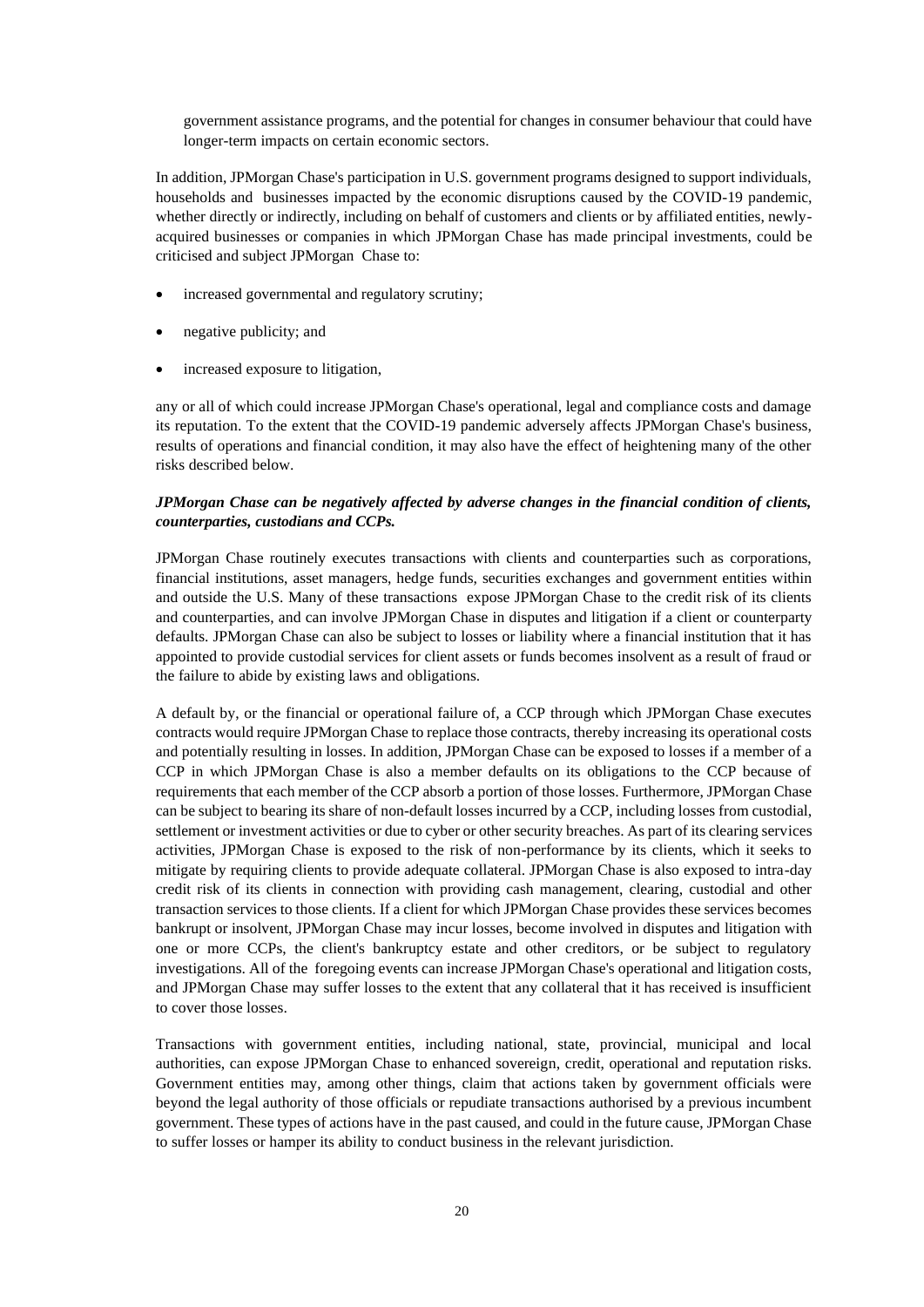government assistance programs, and the potential for changes in consumer behaviour that could have longer-term impacts on certain economic sectors.

In addition, JPMorgan Chase's participation in U.S. government programs designed to support individuals, households and businesses impacted by the economic disruptions caused by the COVID-19 pandemic, whether directly or indirectly, including on behalf of customers and clients or by affiliated entities, newlyacquired businesses or companies in which JPMorgan Chase has made principal investments, could be criticised and subject JPMorgan Chase to:

- increased governmental and regulatory scrutiny;
- negative publicity; and
- increased exposure to litigation,

any or all of which could increase JPMorgan Chase's operational, legal and compliance costs and damage its reputation. To the extent that the COVID-19 pandemic adversely affects JPMorgan Chase's business, results of operations and financial condition, it may also have the effect of heightening many of the other risks described below.

# *JPMorgan Chase can be negatively affected by adverse changes in the financial condition of clients, counterparties, custodians and CCPs.*

JPMorgan Chase routinely executes transactions with clients and counterparties such as corporations, financial institutions, asset managers, hedge funds, securities exchanges and government entities within and outside the U.S. Many of these transactions expose JPMorgan Chase to the credit risk of its clients and counterparties, and can involve JPMorgan Chase in disputes and litigation if a client or counterparty defaults. JPMorgan Chase can also be subject to losses or liability where a financial institution that it has appointed to provide custodial services for client assets or funds becomes insolvent as a result of fraud or the failure to abide by existing laws and obligations.

A default by, or the financial or operational failure of, a CCP through which JPMorgan Chase executes contracts would require JPMorgan Chase to replace those contracts, thereby increasing its operational costs and potentially resulting in losses. In addition, JPMorgan Chase can be exposed to losses if a member of a CCP in which JPMorgan Chase is also a member defaults on its obligations to the CCP because of requirements that each member of the CCP absorb a portion of those losses. Furthermore, JPMorgan Chase can be subject to bearing its share of non-default losses incurred by a CCP, including losses from custodial, settlement or investment activities or due to cyber or other security breaches. As part of its clearing services activities, JPMorgan Chase is exposed to the risk of non-performance by its clients, which it seeks to mitigate by requiring clients to provide adequate collateral. JPMorgan Chase is also exposed to intra-day credit risk of its clients in connection with providing cash management, clearing, custodial and other transaction services to those clients. If a client for which JPMorgan Chase provides these services becomes bankrupt or insolvent, JPMorgan Chase may incur losses, become involved in disputes and litigation with one or more CCPs, the client's bankruptcy estate and other creditors, or be subject to regulatory investigations. All of the foregoing events can increase JPMorgan Chase's operational and litigation costs, and JPMorgan Chase may suffer losses to the extent that any collateral that it has received is insufficient to cover those losses.

Transactions with government entities, including national, state, provincial, municipal and local authorities, can expose JPMorgan Chase to enhanced sovereign, credit, operational and reputation risks. Government entities may, among other things, claim that actions taken by government officials were beyond the legal authority of those officials or repudiate transactions authorised by a previous incumbent government. These types of actions have in the past caused, and could in the future cause, JPMorgan Chase to suffer losses or hamper its ability to conduct business in the relevant jurisdiction.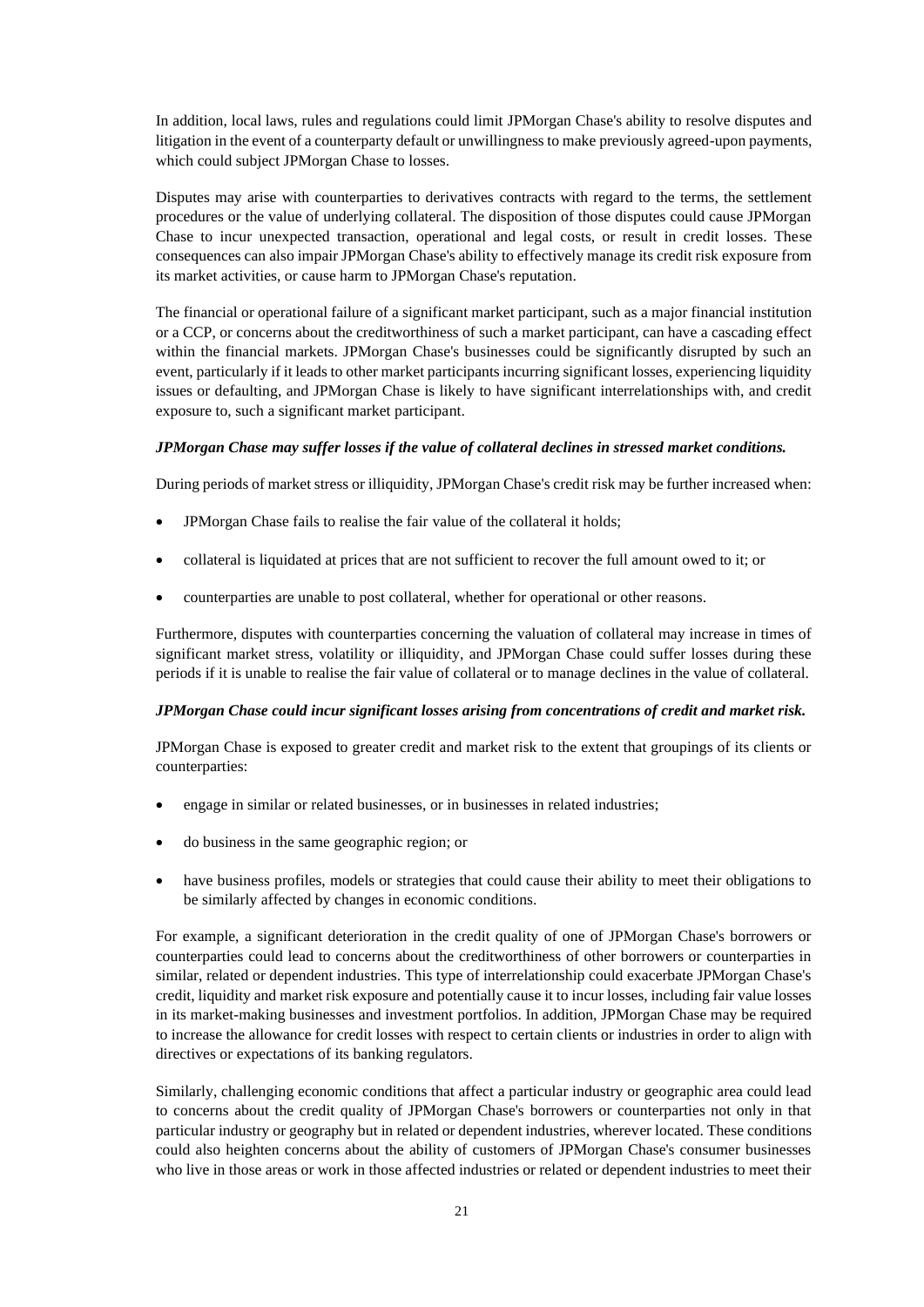In addition, local laws, rules and regulations could limit JPMorgan Chase's ability to resolve disputes and litigation in the event of a counterparty default or unwillingness to make previously agreed-upon payments, which could subject JPMorgan Chase to losses.

Disputes may arise with counterparties to derivatives contracts with regard to the terms, the settlement procedures or the value of underlying collateral. The disposition of those disputes could cause JPMorgan Chase to incur unexpected transaction, operational and legal costs, or result in credit losses. These consequences can also impair JPMorgan Chase's ability to effectively manage its credit risk exposure from its market activities, or cause harm to JPMorgan Chase's reputation.

The financial or operational failure of a significant market participant, such as a major financial institution or a CCP, or concerns about the creditworthiness of such a market participant, can have a cascading effect within the financial markets. JPMorgan Chase's businesses could be significantly disrupted by such an event, particularly if it leads to other market participants incurring significant losses, experiencing liquidity issues or defaulting, and JPMorgan Chase is likely to have significant interrelationships with, and credit exposure to, such a significant market participant.

#### *JPMorgan Chase may suffer losses if the value of collateral declines in stressed market conditions.*

During periods of market stress or illiquidity, JPMorgan Chase's credit risk may be further increased when:

- JPMorgan Chase fails to realise the fair value of the collateral it holds;
- collateral is liquidated at prices that are not sufficient to recover the full amount owed to it; or
- counterparties are unable to post collateral, whether for operational or other reasons.

Furthermore, disputes with counterparties concerning the valuation of collateral may increase in times of significant market stress, volatility or illiquidity, and JPMorgan Chase could suffer losses during these periods if it is unable to realise the fair value of collateral or to manage declines in the value of collateral.

### *JPMorgan Chase could incur significant losses arising from concentrations of credit and market risk.*

JPMorgan Chase is exposed to greater credit and market risk to the extent that groupings of its clients or counterparties:

- engage in similar or related businesses, or in businesses in related industries;
- do business in the same geographic region; or
- have business profiles, models or strategies that could cause their ability to meet their obligations to be similarly affected by changes in economic conditions.

For example, a significant deterioration in the credit quality of one of JPMorgan Chase's borrowers or counterparties could lead to concerns about the creditworthiness of other borrowers or counterparties in similar, related or dependent industries. This type of interrelationship could exacerbate JPMorgan Chase's credit, liquidity and market risk exposure and potentially cause it to incur losses, including fair value losses in its market-making businesses and investment portfolios. In addition, JPMorgan Chase may be required to increase the allowance for credit losses with respect to certain clients or industries in order to align with directives or expectations of its banking regulators.

Similarly, challenging economic conditions that affect a particular industry or geographic area could lead to concerns about the credit quality of JPMorgan Chase's borrowers or counterparties not only in that particular industry or geography but in related or dependent industries, wherever located. These conditions could also heighten concerns about the ability of customers of JPMorgan Chase's consumer businesses who live in those areas or work in those affected industries or related or dependent industries to meet their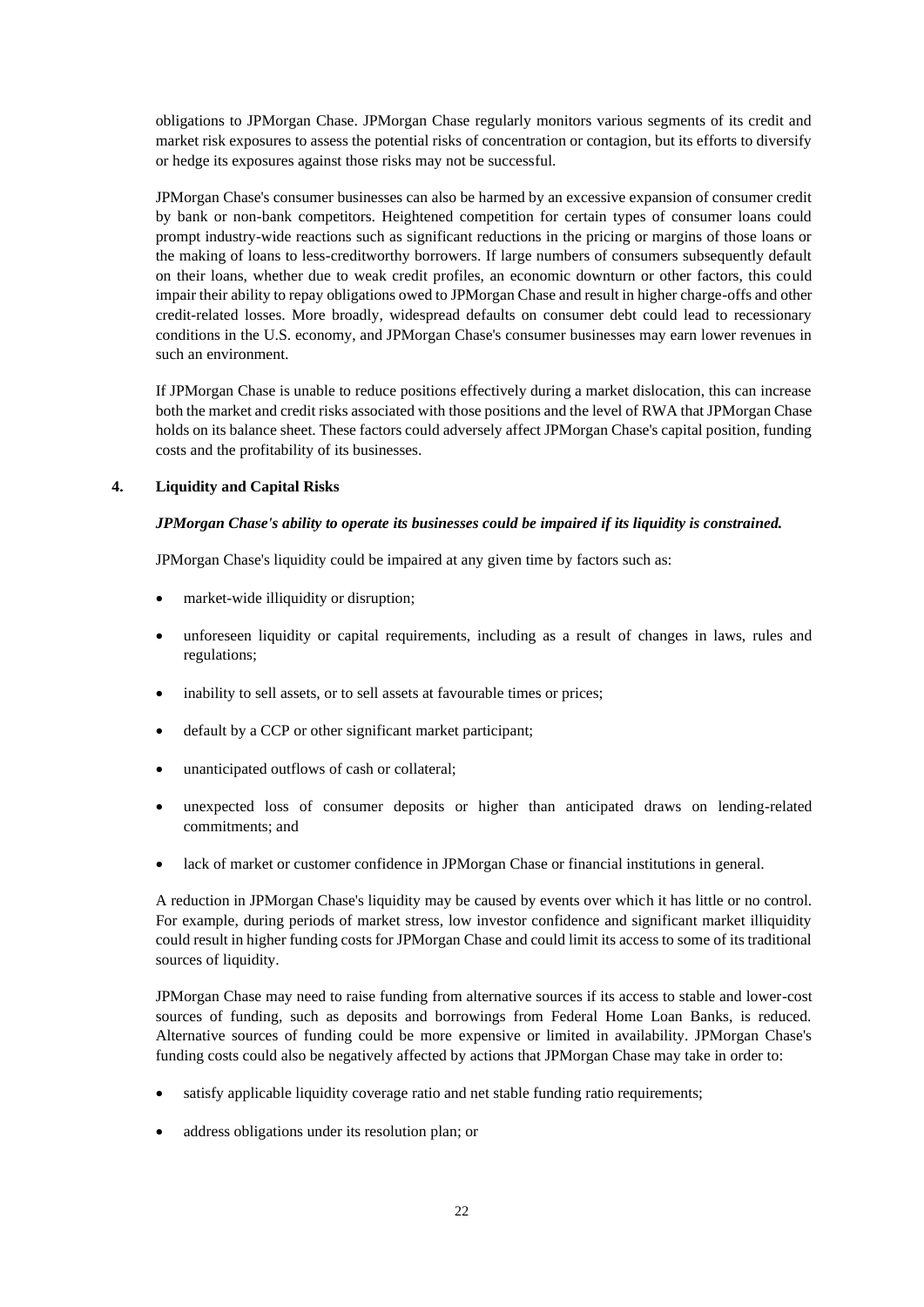obligations to JPMorgan Chase. JPMorgan Chase regularly monitors various segments of its credit and market risk exposures to assess the potential risks of concentration or contagion, but its efforts to diversify or hedge its exposures against those risks may not be successful.

JPMorgan Chase's consumer businesses can also be harmed by an excessive expansion of consumer credit by bank or non-bank competitors. Heightened competition for certain types of consumer loans could prompt industry-wide reactions such as significant reductions in the pricing or margins of those loans or the making of loans to less-creditworthy borrowers. If large numbers of consumers subsequently default on their loans, whether due to weak credit profiles, an economic downturn or other factors, this could impair their ability to repay obligations owed to JPMorgan Chase and result in higher charge-offs and other credit-related losses. More broadly, widespread defaults on consumer debt could lead to recessionary conditions in the U.S. economy, and JPMorgan Chase's consumer businesses may earn lower revenues in such an environment.

If JPMorgan Chase is unable to reduce positions effectively during a market dislocation, this can increase both the market and credit risks associated with those positions and the level of RWA that JPMorgan Chase holds on its balance sheet. These factors could adversely affect JPMorgan Chase's capital position, funding costs and the profitability of its businesses.

#### **4. Liquidity and Capital Risks**

#### *JPMorgan Chase's ability to operate its businesses could be impaired if its liquidity is constrained.*

JPMorgan Chase's liquidity could be impaired at any given time by factors such as:

- market-wide illiquidity or disruption;
- unforeseen liquidity or capital requirements, including as a result of changes in laws, rules and regulations;
- inability to sell assets, or to sell assets at favourable times or prices;
- default by a CCP or other significant market participant;
- unanticipated outflows of cash or collateral;
- unexpected loss of consumer deposits or higher than anticipated draws on lending-related commitments; and
- lack of market or customer confidence in JPMorgan Chase or financial institutions in general.

A reduction in JPMorgan Chase's liquidity may be caused by events over which it has little or no control. For example, during periods of market stress, low investor confidence and significant market illiquidity could result in higher funding costs for JPMorgan Chase and could limit its access to some of its traditional sources of liquidity.

JPMorgan Chase may need to raise funding from alternative sources if its access to stable and lower-cost sources of funding, such as deposits and borrowings from Federal Home Loan Banks, is reduced. Alternative sources of funding could be more expensive or limited in availability. JPMorgan Chase's funding costs could also be negatively affected by actions that JPMorgan Chase may take in order to:

- satisfy applicable liquidity coverage ratio and net stable funding ratio requirements;
- address obligations under its resolution plan; or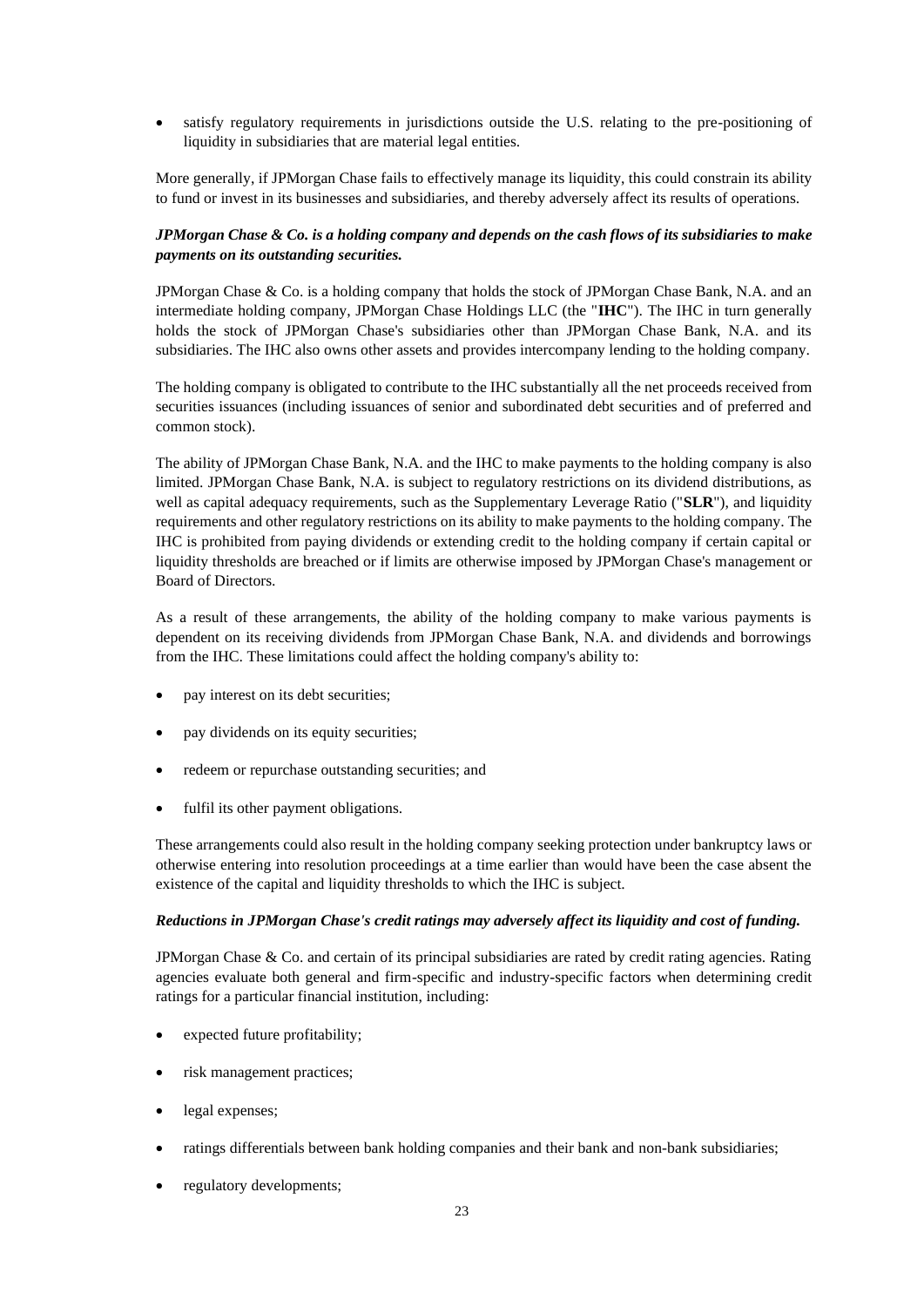• satisfy regulatory requirements in jurisdictions outside the U.S. relating to the pre-positioning of liquidity in subsidiaries that are material legal entities.

More generally, if JPMorgan Chase fails to effectively manage its liquidity, this could constrain its ability to fund or invest in its businesses and subsidiaries, and thereby adversely affect its results of operations.

### *JPMorgan Chase & Co. is a holding company and depends on the cash flows of its subsidiaries to make payments on its outstanding securities.*

JPMorgan Chase & Co. is a holding company that holds the stock of JPMorgan Chase Bank, N.A. and an intermediate holding company, JPMorgan Chase Holdings LLC (the "**IHC**"). The IHC in turn generally holds the stock of JPMorgan Chase's subsidiaries other than JPMorgan Chase Bank, N.A. and its subsidiaries. The IHC also owns other assets and provides intercompany lending to the holding company.

The holding company is obligated to contribute to the IHC substantially all the net proceeds received from securities issuances (including issuances of senior and subordinated debt securities and of preferred and common stock).

The ability of JPMorgan Chase Bank, N.A. and the IHC to make payments to the holding company is also limited. JPMorgan Chase Bank, N.A. is subject to regulatory restrictions on its dividend distributions, as well as capital adequacy requirements, such as the Supplementary Leverage Ratio ("**SLR**"), and liquidity requirements and other regulatory restrictions on its ability to make payments to the holding company. The IHC is prohibited from paying dividends or extending credit to the holding company if certain capital or liquidity thresholds are breached or if limits are otherwise imposed by JPMorgan Chase's management or Board of Directors.

As a result of these arrangements, the ability of the holding company to make various payments is dependent on its receiving dividends from JPMorgan Chase Bank, N.A. and dividends and borrowings from the IHC. These limitations could affect the holding company's ability to:

- pay interest on its debt securities;
- pay dividends on its equity securities;
- redeem or repurchase outstanding securities; and
- fulfil its other payment obligations.

These arrangements could also result in the holding company seeking protection under bankruptcy laws or otherwise entering into resolution proceedings at a time earlier than would have been the case absent the existence of the capital and liquidity thresholds to which the IHC is subject.

#### *Reductions in JPMorgan Chase's credit ratings may adversely affect its liquidity and cost of funding.*

JPMorgan Chase & Co. and certain of its principal subsidiaries are rated by credit rating agencies. Rating agencies evaluate both general and firm-specific and industry-specific factors when determining credit ratings for a particular financial institution, including:

- expected future profitability;
- risk management practices;
- legal expenses;
- ratings differentials between bank holding companies and their bank and non-bank subsidiaries;
- regulatory developments;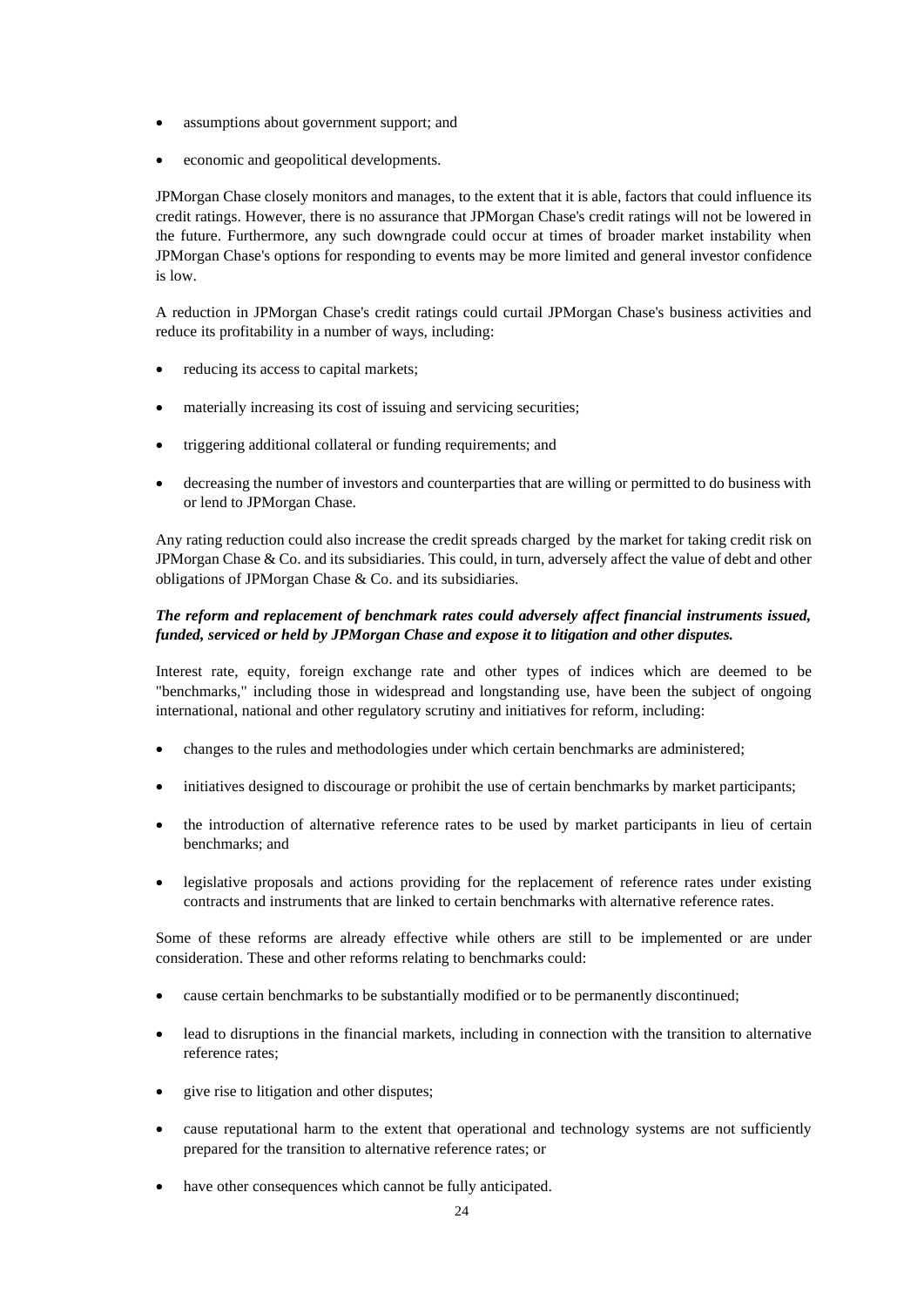- assumptions about government support; and
- economic and geopolitical developments.

JPMorgan Chase closely monitors and manages, to the extent that it is able, factors that could influence its credit ratings. However, there is no assurance that JPMorgan Chase's credit ratings will not be lowered in the future. Furthermore, any such downgrade could occur at times of broader market instability when JPMorgan Chase's options for responding to events may be more limited and general investor confidence is low.

A reduction in JPMorgan Chase's credit ratings could curtail JPMorgan Chase's business activities and reduce its profitability in a number of ways, including:

- reducing its access to capital markets;
- materially increasing its cost of issuing and servicing securities;
- triggering additional collateral or funding requirements; and
- decreasing the number of investors and counterparties that are willing or permitted to do business with or lend to JPMorgan Chase.

Any rating reduction could also increase the credit spreads charged by the market for taking credit risk on JPMorgan Chase & Co. and its subsidiaries. This could, in turn, adversely affect the value of debt and other obligations of JPMorgan Chase & Co. and its subsidiaries.

# *The reform and replacement of benchmark rates could adversely affect financial instruments issued, funded, serviced or held by JPMorgan Chase and expose it to litigation and other disputes.*

Interest rate, equity, foreign exchange rate and other types of indices which are deemed to be "benchmarks," including those in widespread and longstanding use, have been the subject of ongoing international, national and other regulatory scrutiny and initiatives for reform, including:

- changes to the rules and methodologies under which certain benchmarks are administered;
- initiatives designed to discourage or prohibit the use of certain benchmarks by market participants;
- the introduction of alternative reference rates to be used by market participants in lieu of certain benchmarks; and
- legislative proposals and actions providing for the replacement of reference rates under existing contracts and instruments that are linked to certain benchmarks with alternative reference rates.

Some of these reforms are already effective while others are still to be implemented or are under consideration. These and other reforms relating to benchmarks could:

- cause certain benchmarks to be substantially modified or to be permanently discontinued;
- lead to disruptions in the financial markets, including in connection with the transition to alternative reference rates;
- give rise to litigation and other disputes;
- cause reputational harm to the extent that operational and technology systems are not sufficiently prepared for the transition to alternative reference rates; or
- have other consequences which cannot be fully anticipated.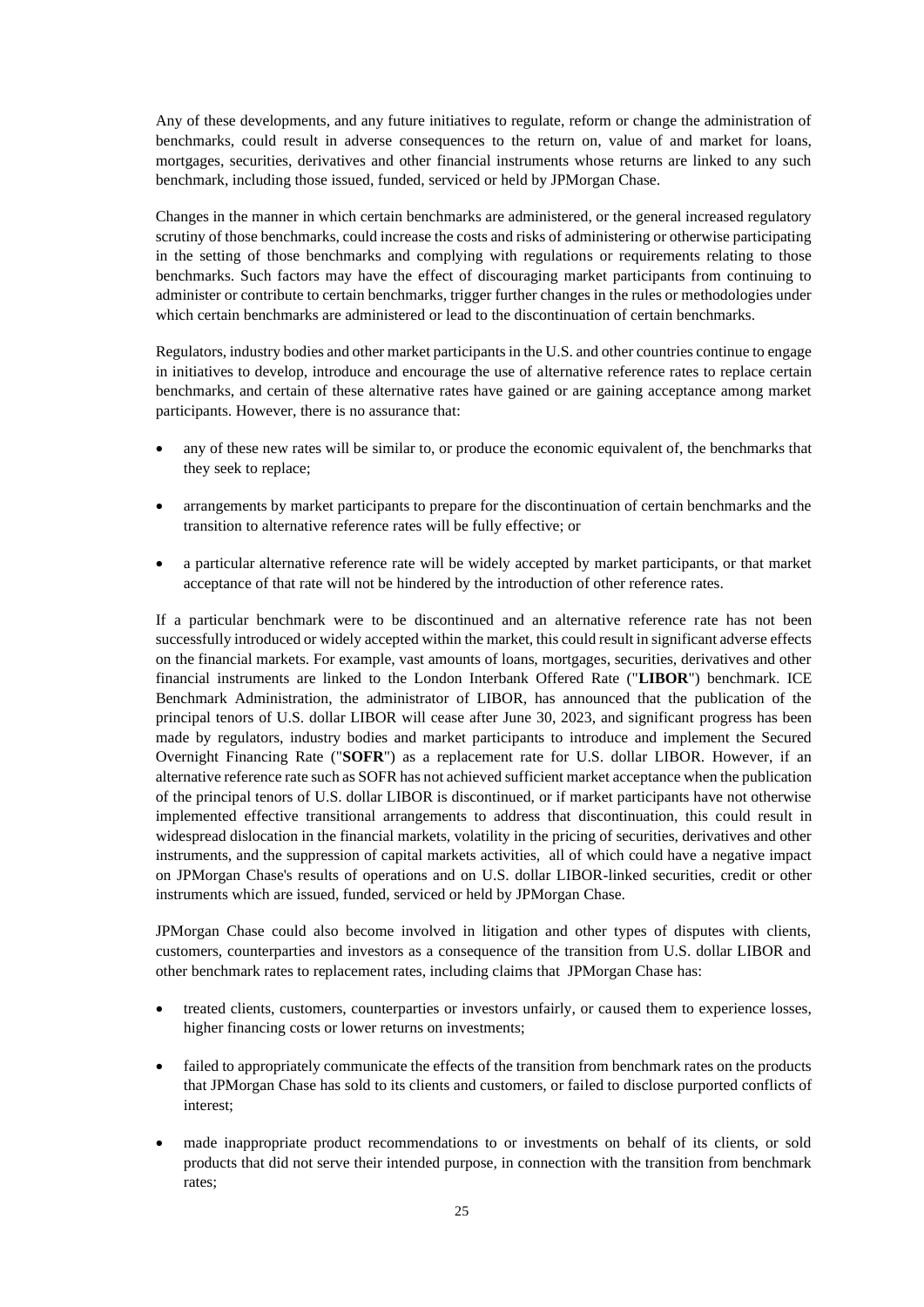Any of these developments, and any future initiatives to regulate, reform or change the administration of benchmarks, could result in adverse consequences to the return on, value of and market for loans, mortgages, securities, derivatives and other financial instruments whose returns are linked to any such benchmark, including those issued, funded, serviced or held by JPMorgan Chase.

Changes in the manner in which certain benchmarks are administered, or the general increased regulatory scrutiny of those benchmarks, could increase the costs and risks of administering or otherwise participating in the setting of those benchmarks and complying with regulations or requirements relating to those benchmarks. Such factors may have the effect of discouraging market participants from continuing to administer or contribute to certain benchmarks, trigger further changes in the rules or methodologies under which certain benchmarks are administered or lead to the discontinuation of certain benchmarks.

Regulators, industry bodies and other market participants in the U.S. and other countries continue to engage in initiatives to develop, introduce and encourage the use of alternative reference rates to replace certain benchmarks, and certain of these alternative rates have gained or are gaining acceptance among market participants. However, there is no assurance that:

- any of these new rates will be similar to, or produce the economic equivalent of, the benchmarks that they seek to replace;
- arrangements by market participants to prepare for the discontinuation of certain benchmarks and the transition to alternative reference rates will be fully effective; or
- a particular alternative reference rate will be widely accepted by market participants, or that market acceptance of that rate will not be hindered by the introduction of other reference rates.

If a particular benchmark were to be discontinued and an alternative reference rate has not been successfully introduced or widely accepted within the market, this could result in significant adverse effects on the financial markets. For example, vast amounts of loans, mortgages, securities, derivatives and other financial instruments are linked to the London Interbank Offered Rate ("**LIBOR**") benchmark. ICE Benchmark Administration, the administrator of LIBOR, has announced that the publication of the principal tenors of U.S. dollar LIBOR will cease after June 30, 2023, and significant progress has been made by regulators, industry bodies and market participants to introduce and implement the Secured Overnight Financing Rate ("**SOFR**") as a replacement rate for U.S. dollar LIBOR. However, if an alternative reference rate such as SOFR has not achieved sufficient market acceptance when the publication of the principal tenors of U.S. dollar LIBOR is discontinued, or if market participants have not otherwise implemented effective transitional arrangements to address that discontinuation, this could result in widespread dislocation in the financial markets, volatility in the pricing of securities, derivatives and other instruments, and the suppression of capital markets activities, all of which could have a negative impact on JPMorgan Chase's results of operations and on U.S. dollar LIBOR-linked securities, credit or other instruments which are issued, funded, serviced or held by JPMorgan Chase.

JPMorgan Chase could also become involved in litigation and other types of disputes with clients, customers, counterparties and investors as a consequence of the transition from U.S. dollar LIBOR and other benchmark rates to replacement rates, including claims that JPMorgan Chase has:

- treated clients, customers, counterparties or investors unfairly, or caused them to experience losses, higher financing costs or lower returns on investments;
- failed to appropriately communicate the effects of the transition from benchmark rates on the products that JPMorgan Chase has sold to its clients and customers, or failed to disclose purported conflicts of interest;
- made inappropriate product recommendations to or investments on behalf of its clients, or sold products that did not serve their intended purpose, in connection with the transition from benchmark rates;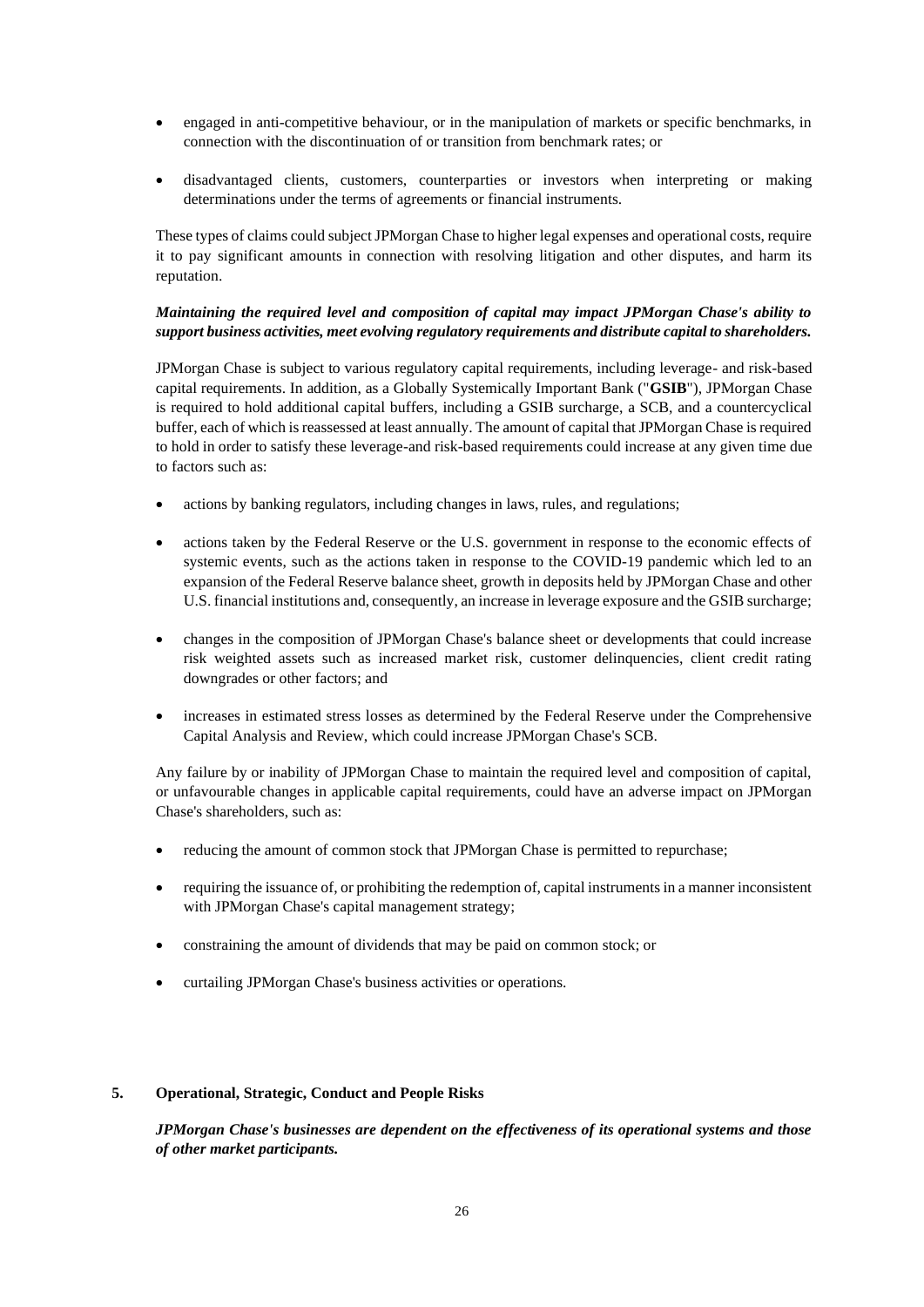- engaged in anti-competitive behaviour, or in the manipulation of markets or specific benchmarks, in connection with the discontinuation of or transition from benchmark rates; or
- disadvantaged clients, customers, counterparties or investors when interpreting or making determinations under the terms of agreements or financial instruments.

These types of claims could subject JPMorgan Chase to higher legal expenses and operational costs, require it to pay significant amounts in connection with resolving litigation and other disputes, and harm its reputation.

### *Maintaining the required level and composition of capital may impact JPMorgan Chase's ability to support business activities, meet evolving regulatory requirements and distribute capital to shareholders.*

JPMorgan Chase is subject to various regulatory capital requirements, including leverage- and risk-based capital requirements. In addition, as a Globally Systemically Important Bank ("**GSIB**"), JPMorgan Chase is required to hold additional capital buffers, including a GSIB surcharge, a SCB, and a countercyclical buffer, each of which is reassessed at least annually. The amount of capital that JPMorgan Chase is required to hold in order to satisfy these leverage-and risk-based requirements could increase at any given time due to factors such as:

- actions by banking regulators, including changes in laws, rules, and regulations;
- actions taken by the Federal Reserve or the U.S. government in response to the economic effects of systemic events, such as the actions taken in response to the COVID-19 pandemic which led to an expansion of the Federal Reserve balance sheet, growth in deposits held by JPMorgan Chase and other U.S. financial institutions and, consequently, an increase in leverage exposure and the GSIB surcharge;
- changes in the composition of JPMorgan Chase's balance sheet or developments that could increase risk weighted assets such as increased market risk, customer delinquencies, client credit rating downgrades or other factors; and
- increases in estimated stress losses as determined by the Federal Reserve under the Comprehensive Capital Analysis and Review, which could increase JPMorgan Chase's SCB.

Any failure by or inability of JPMorgan Chase to maintain the required level and composition of capital, or unfavourable changes in applicable capital requirements, could have an adverse impact on JPMorgan Chase's shareholders, such as:

- reducing the amount of common stock that JPMorgan Chase is permitted to repurchase;
- requiring the issuance of, or prohibiting the redemption of, capital instruments in a manner inconsistent with JPMorgan Chase's capital management strategy;
- constraining the amount of dividends that may be paid on common stock; or
- curtailing JPMorgan Chase's business activities or operations.

### **5. Operational, Strategic, Conduct and People Risks**

*JPMorgan Chase's businesses are dependent on the effectiveness of its operational systems and those of other market participants.*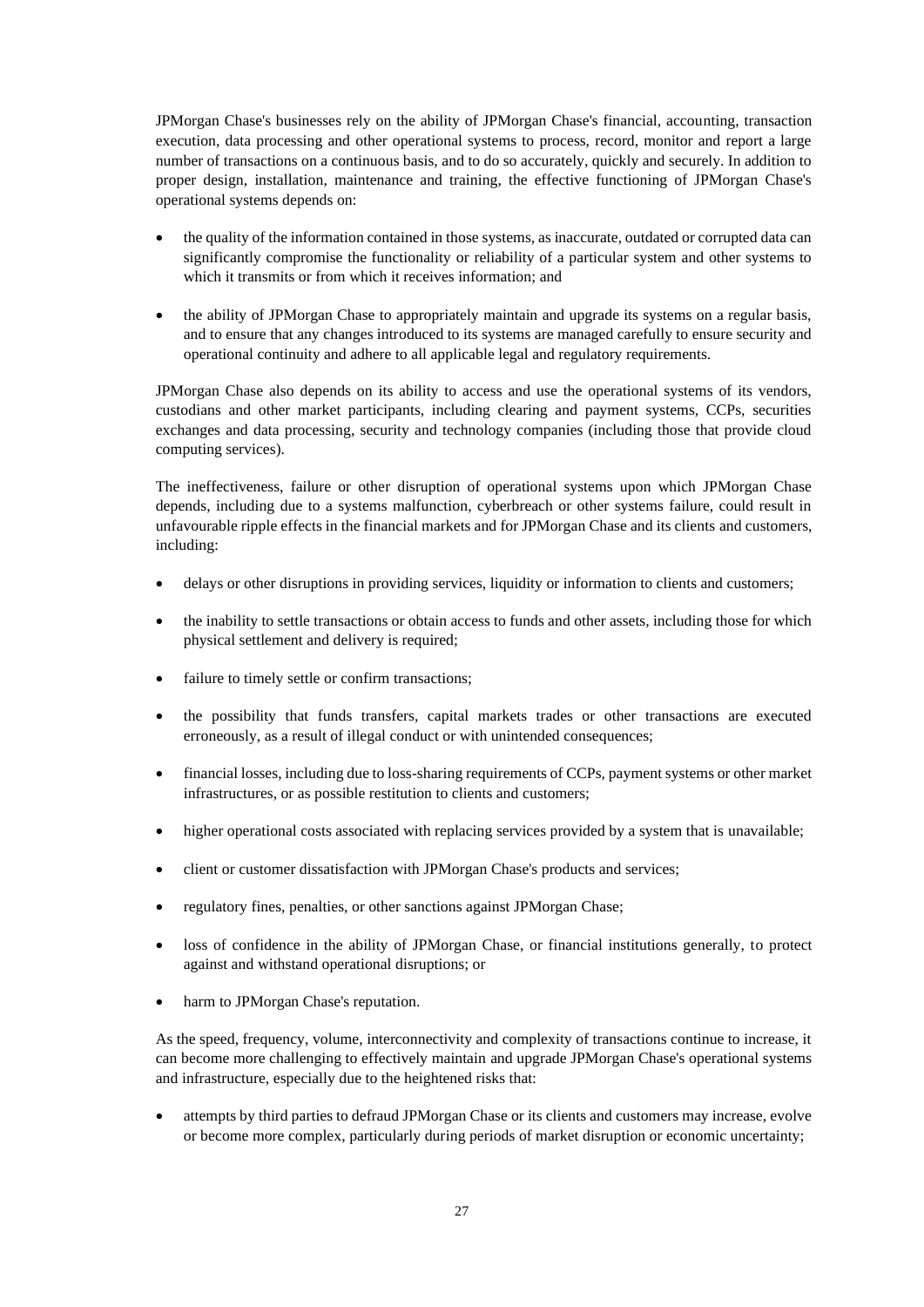JPMorgan Chase's businesses rely on the ability of JPMorgan Chase's financial, accounting, transaction execution, data processing and other operational systems to process, record, monitor and report a large number of transactions on a continuous basis, and to do so accurately, quickly and securely. In addition to proper design, installation, maintenance and training, the effective functioning of JPMorgan Chase's operational systems depends on:

- the quality of the information contained in those systems, as inaccurate, outdated or corrupted data can significantly compromise the functionality or reliability of a particular system and other systems to which it transmits or from which it receives information; and
- the ability of JPMorgan Chase to appropriately maintain and upgrade its systems on a regular basis, and to ensure that any changes introduced to its systems are managed carefully to ensure security and operational continuity and adhere to all applicable legal and regulatory requirements.

JPMorgan Chase also depends on its ability to access and use the operational systems of its vendors, custodians and other market participants, including clearing and payment systems, CCPs, securities exchanges and data processing, security and technology companies (including those that provide cloud computing services).

The ineffectiveness, failure or other disruption of operational systems upon which JPMorgan Chase depends, including due to a systems malfunction, cyberbreach or other systems failure, could result in unfavourable ripple effects in the financial markets and for JPMorgan Chase and its clients and customers, including:

- delays or other disruptions in providing services, liquidity or information to clients and customers;
- the inability to settle transactions or obtain access to funds and other assets, including those for which physical settlement and delivery is required;
- failure to timely settle or confirm transactions;
- the possibility that funds transfers, capital markets trades or other transactions are executed erroneously, as a result of illegal conduct or with unintended consequences;
- financial losses, including due to loss-sharing requirements of CCPs, payment systems or other market infrastructures, or as possible restitution to clients and customers;
- higher operational costs associated with replacing services provided by a system that is unavailable;
- client or customer dissatisfaction with JPMorgan Chase's products and services;
- regulatory fines, penalties, or other sanctions against JPMorgan Chase;
- loss of confidence in the ability of JPMorgan Chase, or financial institutions generally, to protect against and withstand operational disruptions; or
- harm to JPMorgan Chase's reputation.

As the speed, frequency, volume, interconnectivity and complexity of transactions continue to increase, it can become more challenging to effectively maintain and upgrade JPMorgan Chase's operational systems and infrastructure, especially due to the heightened risks that:

• attempts by third parties to defraud JPMorgan Chase or its clients and customers may increase, evolve or become more complex, particularly during periods of market disruption or economic uncertainty;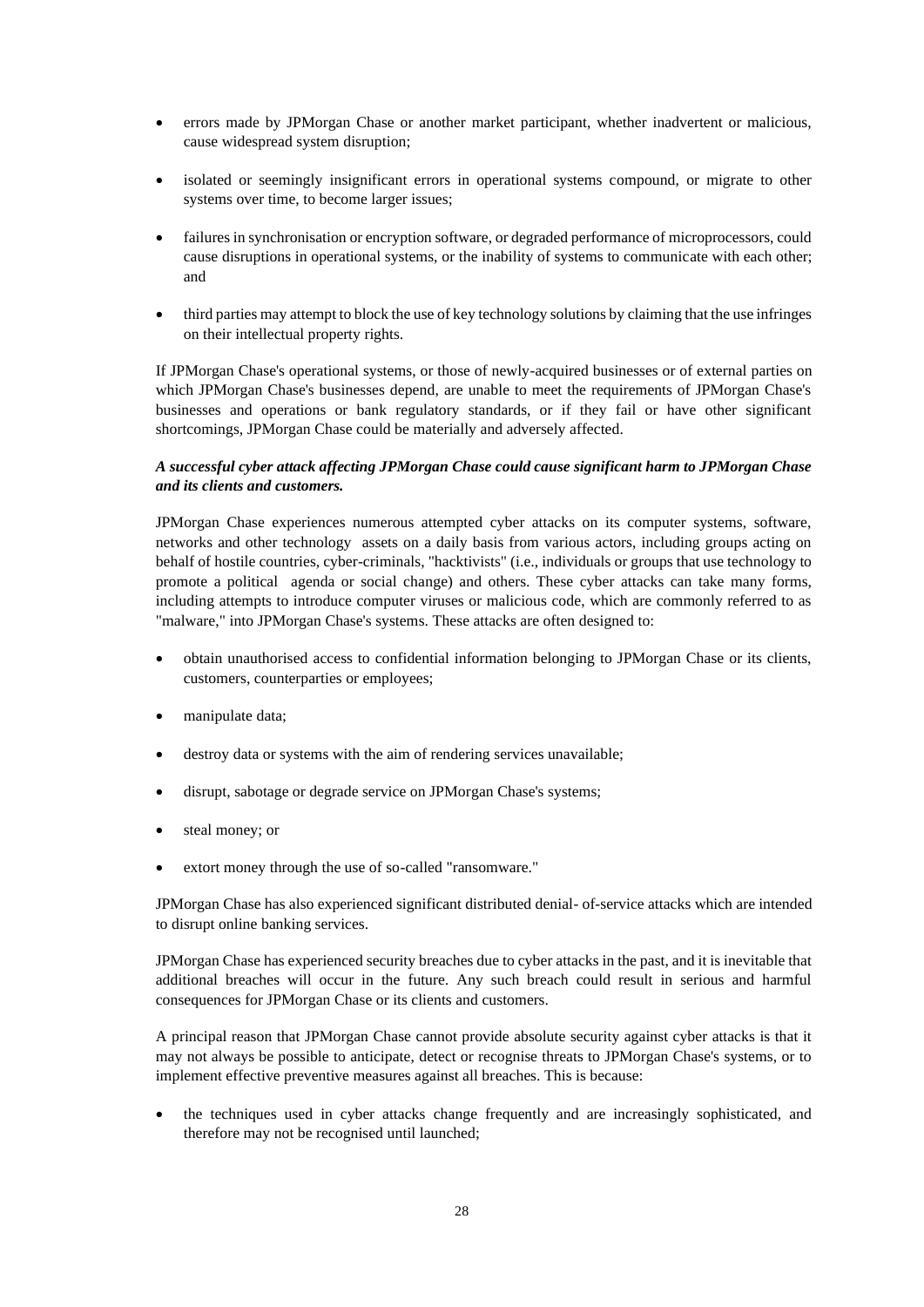- errors made by JPMorgan Chase or another market participant, whether inadvertent or malicious, cause widespread system disruption;
- isolated or seemingly insignificant errors in operational systems compound, or migrate to other systems over time, to become larger issues;
- failures in synchronisation or encryption software, or degraded performance of microprocessors, could cause disruptions in operational systems, or the inability of systems to communicate with each other; and
- third parties may attempt to block the use of key technology solutions by claiming that the use infringes on their intellectual property rights.

If JPMorgan Chase's operational systems, or those of newly-acquired businesses or of external parties on which JPMorgan Chase's businesses depend, are unable to meet the requirements of JPMorgan Chase's businesses and operations or bank regulatory standards, or if they fail or have other significant shortcomings, JPMorgan Chase could be materially and adversely affected.

## *A successful cyber attack affecting JPMorgan Chase could cause significant harm to JPMorgan Chase and its clients and customers.*

JPMorgan Chase experiences numerous attempted cyber attacks on its computer systems, software, networks and other technology assets on a daily basis from various actors, including groups acting on behalf of hostile countries, cyber-criminals, "hacktivists" (i.e., individuals or groups that use technology to promote a political agenda or social change) and others. These cyber attacks can take many forms, including attempts to introduce computer viruses or malicious code, which are commonly referred to as "malware," into JPMorgan Chase's systems. These attacks are often designed to:

- obtain unauthorised access to confidential information belonging to JPMorgan Chase or its clients, customers, counterparties or employees;
- manipulate data;
- destroy data or systems with the aim of rendering services unavailable;
- disrupt, sabotage or degrade service on JPMorgan Chase's systems;
- steal money; or
- extort money through the use of so-called "ransomware."

JPMorgan Chase has also experienced significant distributed denial- of-service attacks which are intended to disrupt online banking services.

JPMorgan Chase has experienced security breaches due to cyber attacks in the past, and it is inevitable that additional breaches will occur in the future. Any such breach could result in serious and harmful consequences for JPMorgan Chase or its clients and customers.

A principal reason that JPMorgan Chase cannot provide absolute security against cyber attacks is that it may not always be possible to anticipate, detect or recognise threats to JPMorgan Chase's systems, or to implement effective preventive measures against all breaches. This is because:

• the techniques used in cyber attacks change frequently and are increasingly sophisticated, and therefore may not be recognised until launched;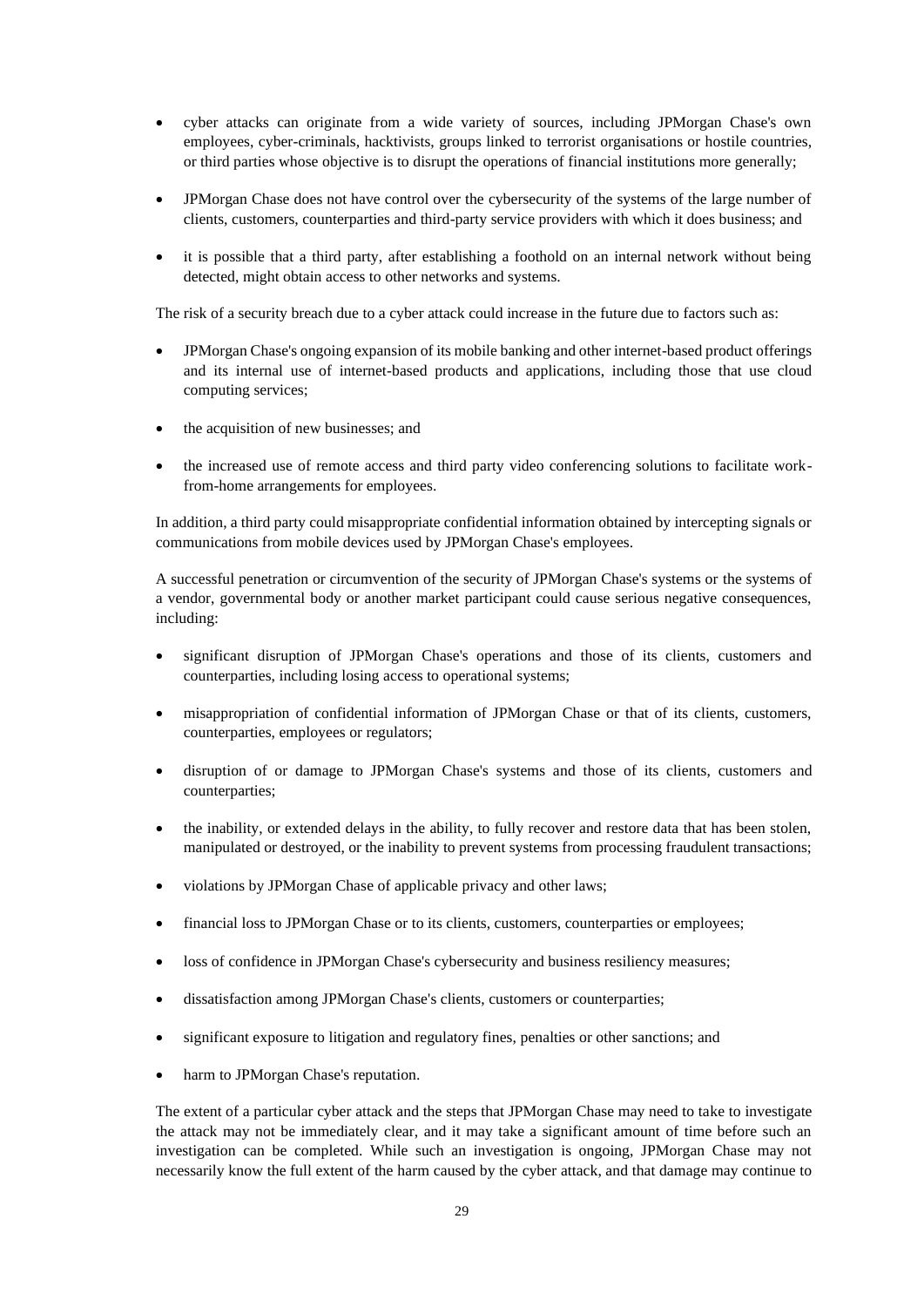- cyber attacks can originate from a wide variety of sources, including JPMorgan Chase's own employees, cyber-criminals, hacktivists, groups linked to terrorist organisations or hostile countries, or third parties whose objective is to disrupt the operations of financial institutions more generally;
- JPMorgan Chase does not have control over the cybersecurity of the systems of the large number of clients, customers, counterparties and third-party service providers with which it does business; and
- it is possible that a third party, after establishing a foothold on an internal network without being detected, might obtain access to other networks and systems.

The risk of a security breach due to a cyber attack could increase in the future due to factors such as:

- JPMorgan Chase's ongoing expansion of its mobile banking and other internet-based product offerings and its internal use of internet-based products and applications, including those that use cloud computing services;
- the acquisition of new businesses; and
- the increased use of remote access and third party video conferencing solutions to facilitate workfrom-home arrangements for employees.

In addition, a third party could misappropriate confidential information obtained by intercepting signals or communications from mobile devices used by JPMorgan Chase's employees.

A successful penetration or circumvention of the security of JPMorgan Chase's systems or the systems of a vendor, governmental body or another market participant could cause serious negative consequences, including:

- significant disruption of JPMorgan Chase's operations and those of its clients, customers and counterparties, including losing access to operational systems;
- misappropriation of confidential information of JPMorgan Chase or that of its clients, customers, counterparties, employees or regulators;
- disruption of or damage to JPMorgan Chase's systems and those of its clients, customers and counterparties;
- the inability, or extended delays in the ability, to fully recover and restore data that has been stolen, manipulated or destroyed, or the inability to prevent systems from processing fraudulent transactions;
- violations by JPMorgan Chase of applicable privacy and other laws;
- financial loss to JPMorgan Chase or to its clients, customers, counterparties or employees;
- loss of confidence in JPMorgan Chase's cybersecurity and business resiliency measures;
- dissatisfaction among JPMorgan Chase's clients, customers or counterparties;
- significant exposure to litigation and regulatory fines, penalties or other sanctions; and
- harm to JPMorgan Chase's reputation.

The extent of a particular cyber attack and the steps that JPMorgan Chase may need to take to investigate the attack may not be immediately clear, and it may take a significant amount of time before such an investigation can be completed. While such an investigation is ongoing, JPMorgan Chase may not necessarily know the full extent of the harm caused by the cyber attack, and that damage may continue to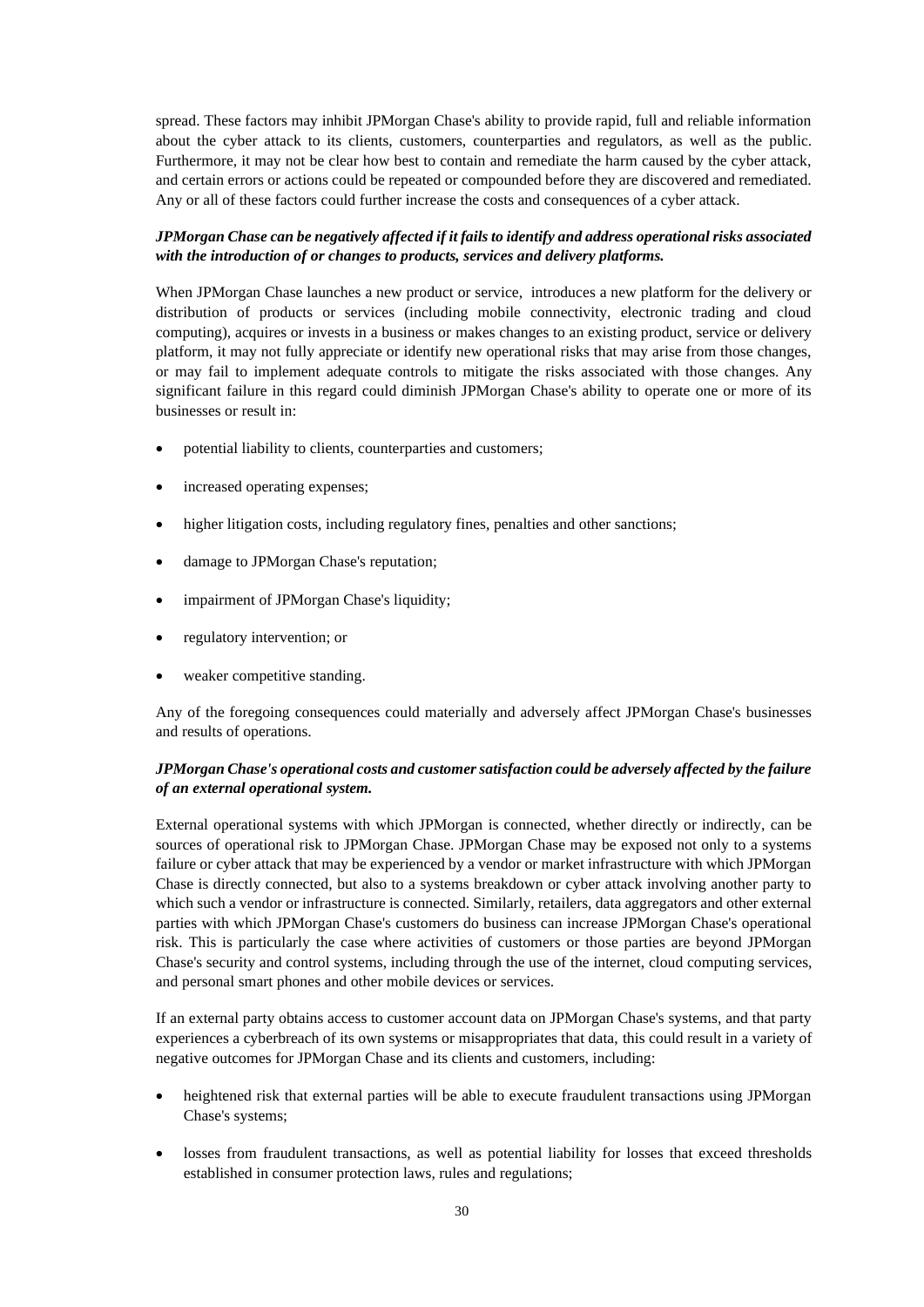spread. These factors may inhibit JPMorgan Chase's ability to provide rapid, full and reliable information about the cyber attack to its clients, customers, counterparties and regulators, as well as the public. Furthermore, it may not be clear how best to contain and remediate the harm caused by the cyber attack, and certain errors or actions could be repeated or compounded before they are discovered and remediated. Any or all of these factors could further increase the costs and consequences of a cyber attack.

### *JPMorgan Chase can be negatively affected if it fails to identify and address operational risks associated with the introduction of or changes to products, services and delivery platforms.*

When JPMorgan Chase launches a new product or service, introduces a new platform for the delivery or distribution of products or services (including mobile connectivity, electronic trading and cloud computing), acquires or invests in a business or makes changes to an existing product, service or delivery platform, it may not fully appreciate or identify new operational risks that may arise from those changes, or may fail to implement adequate controls to mitigate the risks associated with those changes. Any significant failure in this regard could diminish JPMorgan Chase's ability to operate one or more of its businesses or result in:

- potential liability to clients, counterparties and customers;
- increased operating expenses;
- higher litigation costs, including regulatory fines, penalties and other sanctions;
- damage to JPMorgan Chase's reputation;
- impairment of JPMorgan Chase's liquidity;
- regulatory intervention; or
- weaker competitive standing.

Any of the foregoing consequences could materially and adversely affect JPMorgan Chase's businesses and results of operations.

## *JPMorgan Chase's operational costs and customer satisfaction could be adversely affected by the failure of an external operational system.*

External operational systems with which JPMorgan is connected, whether directly or indirectly, can be sources of operational risk to JPMorgan Chase. JPMorgan Chase may be exposed not only to a systems failure or cyber attack that may be experienced by a vendor or market infrastructure with which JPMorgan Chase is directly connected, but also to a systems breakdown or cyber attack involving another party to which such a vendor or infrastructure is connected. Similarly, retailers, data aggregators and other external parties with which JPMorgan Chase's customers do business can increase JPMorgan Chase's operational risk. This is particularly the case where activities of customers or those parties are beyond JPMorgan Chase's security and control systems, including through the use of the internet, cloud computing services, and personal smart phones and other mobile devices or services.

If an external party obtains access to customer account data on JPMorgan Chase's systems, and that party experiences a cyberbreach of its own systems or misappropriates that data, this could result in a variety of negative outcomes for JPMorgan Chase and its clients and customers, including:

- heightened risk that external parties will be able to execute fraudulent transactions using JPMorgan Chase's systems;
- losses from fraudulent transactions, as well as potential liability for losses that exceed thresholds established in consumer protection laws, rules and regulations;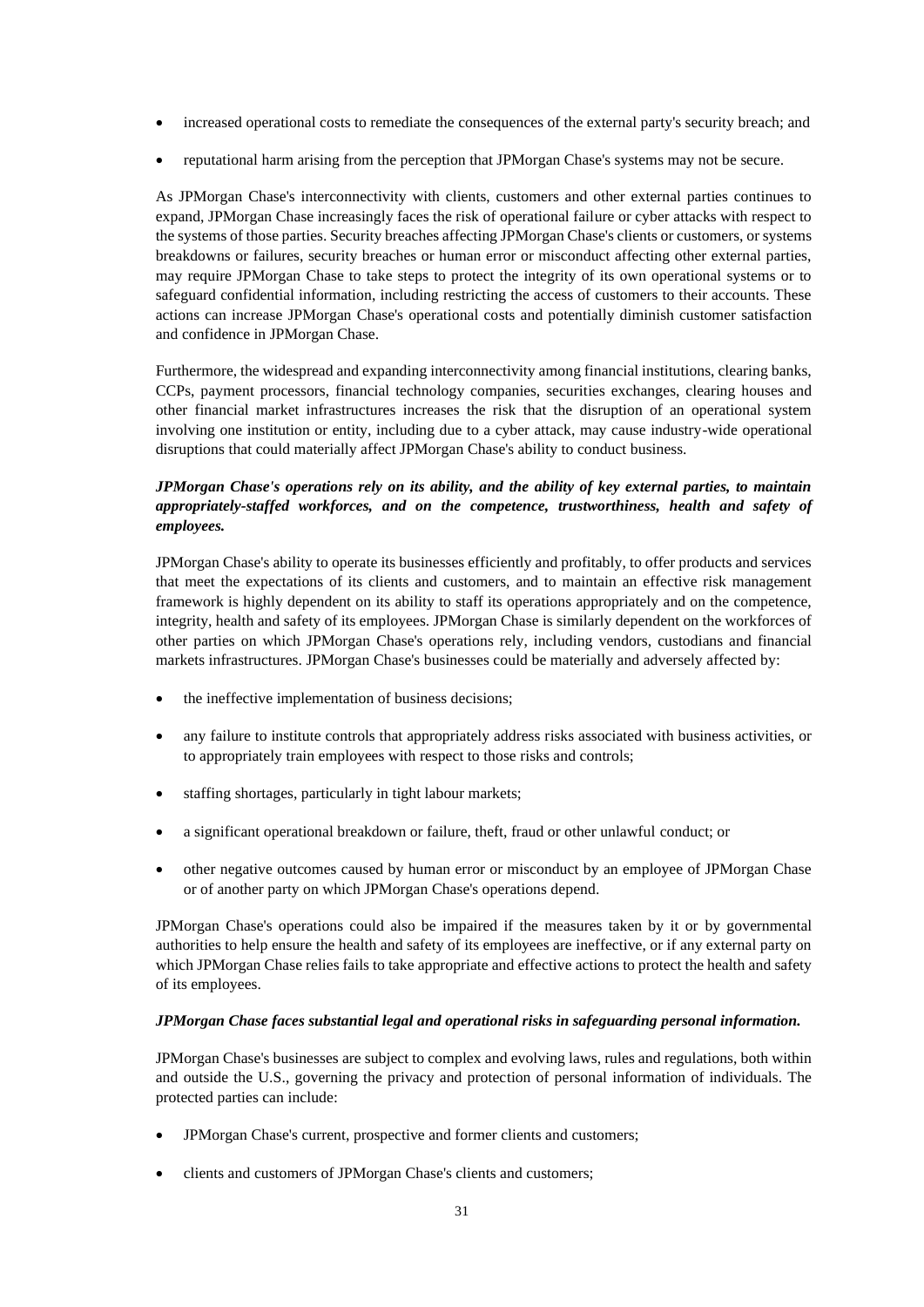- increased operational costs to remediate the consequences of the external party's security breach; and
- reputational harm arising from the perception that JPMorgan Chase's systems may not be secure.

As JPMorgan Chase's interconnectivity with clients, customers and other external parties continues to expand, JPMorgan Chase increasingly faces the risk of operational failure or cyber attacks with respect to the systems of those parties. Security breaches affecting JPMorgan Chase's clients or customers, or systems breakdowns or failures, security breaches or human error or misconduct affecting other external parties, may require JPMorgan Chase to take steps to protect the integrity of its own operational systems or to safeguard confidential information, including restricting the access of customers to their accounts. These actions can increase JPMorgan Chase's operational costs and potentially diminish customer satisfaction and confidence in JPMorgan Chase.

Furthermore, the widespread and expanding interconnectivity among financial institutions, clearing banks, CCPs, payment processors, financial technology companies, securities exchanges, clearing houses and other financial market infrastructures increases the risk that the disruption of an operational system involving one institution or entity, including due to a cyber attack, may cause industry-wide operational disruptions that could materially affect JPMorgan Chase's ability to conduct business.

# *JPMorgan Chase's operations rely on its ability, and the ability of key external parties, to maintain appropriately-staffed workforces, and on the competence, trustworthiness, health and safety of employees.*

JPMorgan Chase's ability to operate its businesses efficiently and profitably, to offer products and services that meet the expectations of its clients and customers, and to maintain an effective risk management framework is highly dependent on its ability to staff its operations appropriately and on the competence, integrity, health and safety of its employees. JPMorgan Chase is similarly dependent on the workforces of other parties on which JPMorgan Chase's operations rely, including vendors, custodians and financial markets infrastructures. JPMorgan Chase's businesses could be materially and adversely affected by:

- the ineffective implementation of business decisions;
- any failure to institute controls that appropriately address risks associated with business activities, or to appropriately train employees with respect to those risks and controls;
- staffing shortages, particularly in tight labour markets;
- a significant operational breakdown or failure, theft, fraud or other unlawful conduct; or
- other negative outcomes caused by human error or misconduct by an employee of JPMorgan Chase or of another party on which JPMorgan Chase's operations depend.

JPMorgan Chase's operations could also be impaired if the measures taken by it or by governmental authorities to help ensure the health and safety of its employees are ineffective, or if any external party on which JPMorgan Chase relies fails to take appropriate and effective actions to protect the health and safety of its employees.

#### *JPMorgan Chase faces substantial legal and operational risks in safeguarding personal information.*

JPMorgan Chase's businesses are subject to complex and evolving laws, rules and regulations, both within and outside the U.S., governing the privacy and protection of personal information of individuals. The protected parties can include:

- JPMorgan Chase's current, prospective and former clients and customers;
- clients and customers of JPMorgan Chase's clients and customers;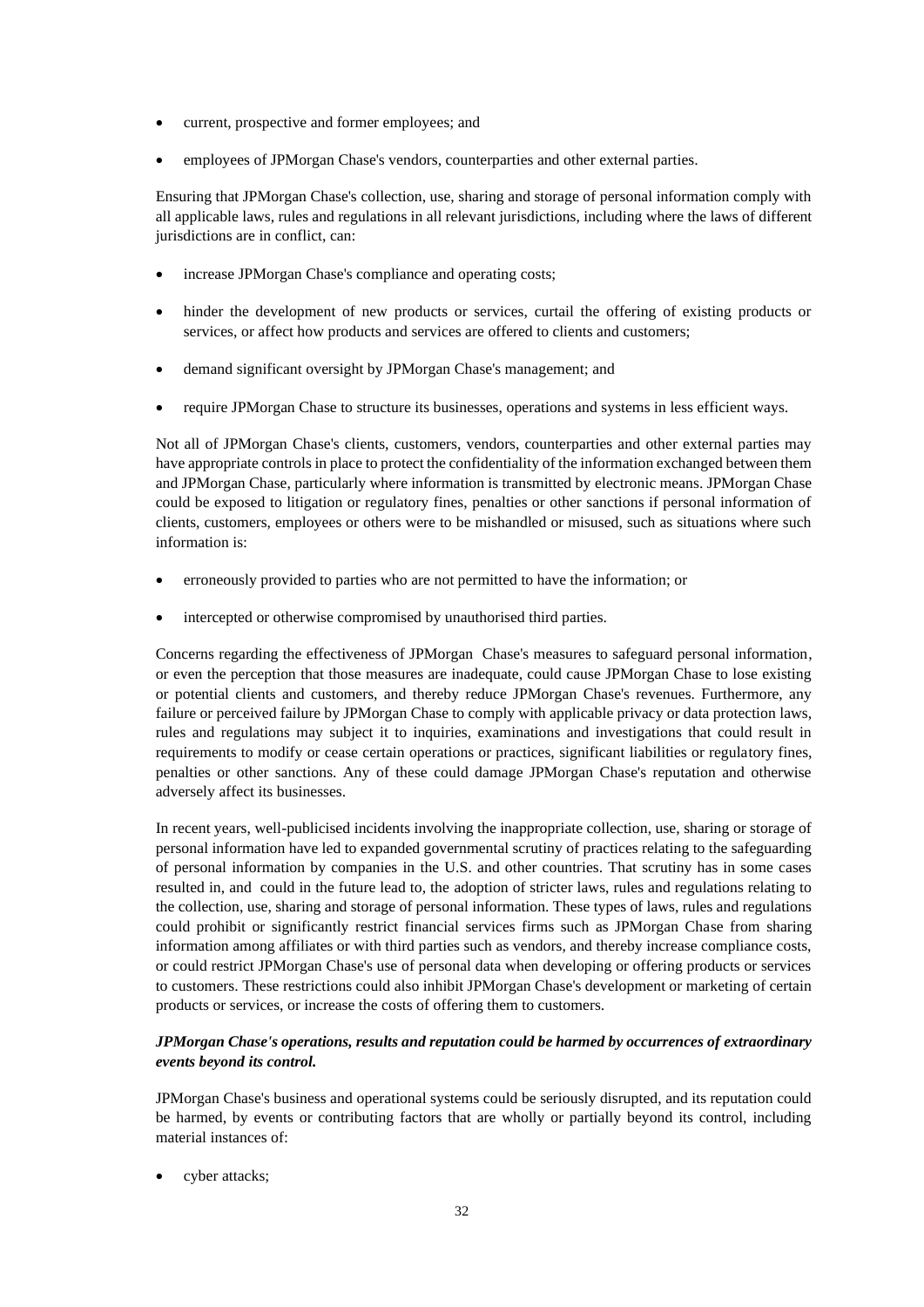- current, prospective and former employees; and
- employees of JPMorgan Chase's vendors, counterparties and other external parties.

Ensuring that JPMorgan Chase's collection, use, sharing and storage of personal information comply with all applicable laws, rules and regulations in all relevant jurisdictions, including where the laws of different jurisdictions are in conflict, can:

- increase JPMorgan Chase's compliance and operating costs;
- hinder the development of new products or services, curtail the offering of existing products or services, or affect how products and services are offered to clients and customers;
- demand significant oversight by JPMorgan Chase's management; and
- require JPMorgan Chase to structure its businesses, operations and systems in less efficient ways.

Not all of JPMorgan Chase's clients, customers, vendors, counterparties and other external parties may have appropriate controls in place to protect the confidentiality of the information exchanged between them and JPMorgan Chase, particularly where information is transmitted by electronic means. JPMorgan Chase could be exposed to litigation or regulatory fines, penalties or other sanctions if personal information of clients, customers, employees or others were to be mishandled or misused, such as situations where such information is:

- erroneously provided to parties who are not permitted to have the information; or
- intercepted or otherwise compromised by unauthorised third parties.

Concerns regarding the effectiveness of JPMorgan Chase's measures to safeguard personal information, or even the perception that those measures are inadequate, could cause JPMorgan Chase to lose existing or potential clients and customers, and thereby reduce JPMorgan Chase's revenues. Furthermore, any failure or perceived failure by JPMorgan Chase to comply with applicable privacy or data protection laws, rules and regulations may subject it to inquiries, examinations and investigations that could result in requirements to modify or cease certain operations or practices, significant liabilities or regulatory fines, penalties or other sanctions. Any of these could damage JPMorgan Chase's reputation and otherwise adversely affect its businesses.

In recent years, well-publicised incidents involving the inappropriate collection, use, sharing or storage of personal information have led to expanded governmental scrutiny of practices relating to the safeguarding of personal information by companies in the U.S. and other countries. That scrutiny has in some cases resulted in, and could in the future lead to, the adoption of stricter laws, rules and regulations relating to the collection, use, sharing and storage of personal information. These types of laws, rules and regulations could prohibit or significantly restrict financial services firms such as JPMorgan Chase from sharing information among affiliates or with third parties such as vendors, and thereby increase compliance costs, or could restrict JPMorgan Chase's use of personal data when developing or offering products or services to customers. These restrictions could also inhibit JPMorgan Chase's development or marketing of certain products or services, or increase the costs of offering them to customers.

# *JPMorgan Chase's operations, results and reputation could be harmed by occurrences of extraordinary events beyond its control.*

JPMorgan Chase's business and operational systems could be seriously disrupted, and its reputation could be harmed, by events or contributing factors that are wholly or partially beyond its control, including material instances of:

cyber attacks: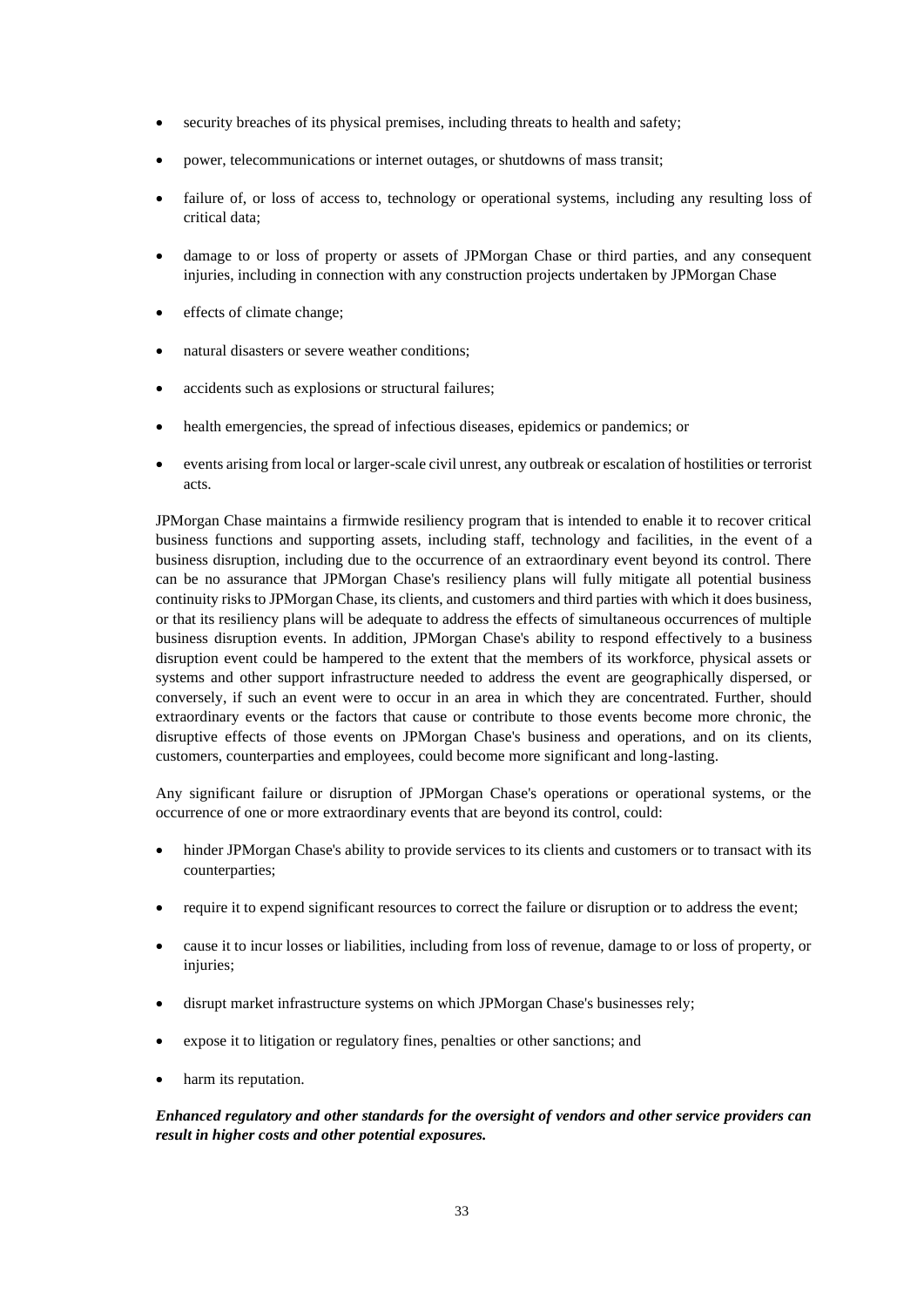- security breaches of its physical premises, including threats to health and safety;
- power, telecommunications or internet outages, or shutdowns of mass transit;
- failure of, or loss of access to, technology or operational systems, including any resulting loss of critical data;
- damage to or loss of property or assets of JPMorgan Chase or third parties, and any consequent injuries, including in connection with any construction projects undertaken by JPMorgan Chase
- effects of climate change;
- natural disasters or severe weather conditions;
- accidents such as explosions or structural failures;
- health emergencies, the spread of infectious diseases, epidemics or pandemics; or
- events arising from local or larger-scale civil unrest, any outbreak or escalation of hostilities or terrorist acts.

JPMorgan Chase maintains a firmwide resiliency program that is intended to enable it to recover critical business functions and supporting assets, including staff, technology and facilities, in the event of a business disruption, including due to the occurrence of an extraordinary event beyond its control. There can be no assurance that JPMorgan Chase's resiliency plans will fully mitigate all potential business continuity risks to JPMorgan Chase, its clients, and customers and third parties with which it does business, or that its resiliency plans will be adequate to address the effects of simultaneous occurrences of multiple business disruption events. In addition, JPMorgan Chase's ability to respond effectively to a business disruption event could be hampered to the extent that the members of its workforce, physical assets or systems and other support infrastructure needed to address the event are geographically dispersed, or conversely, if such an event were to occur in an area in which they are concentrated. Further, should extraordinary events or the factors that cause or contribute to those events become more chronic, the disruptive effects of those events on JPMorgan Chase's business and operations, and on its clients, customers, counterparties and employees, could become more significant and long-lasting.

Any significant failure or disruption of JPMorgan Chase's operations or operational systems, or the occurrence of one or more extraordinary events that are beyond its control, could:

- hinder JPMorgan Chase's ability to provide services to its clients and customers or to transact with its counterparties;
- require it to expend significant resources to correct the failure or disruption or to address the event;
- cause it to incur losses or liabilities, including from loss of revenue, damage to or loss of property, or injuries;
- disrupt market infrastructure systems on which JPMorgan Chase's businesses rely;
- expose it to litigation or regulatory fines, penalties or other sanctions; and
- harm its reputation.

# *Enhanced regulatory and other standards for the oversight of vendors and other service providers can result in higher costs and other potential exposures.*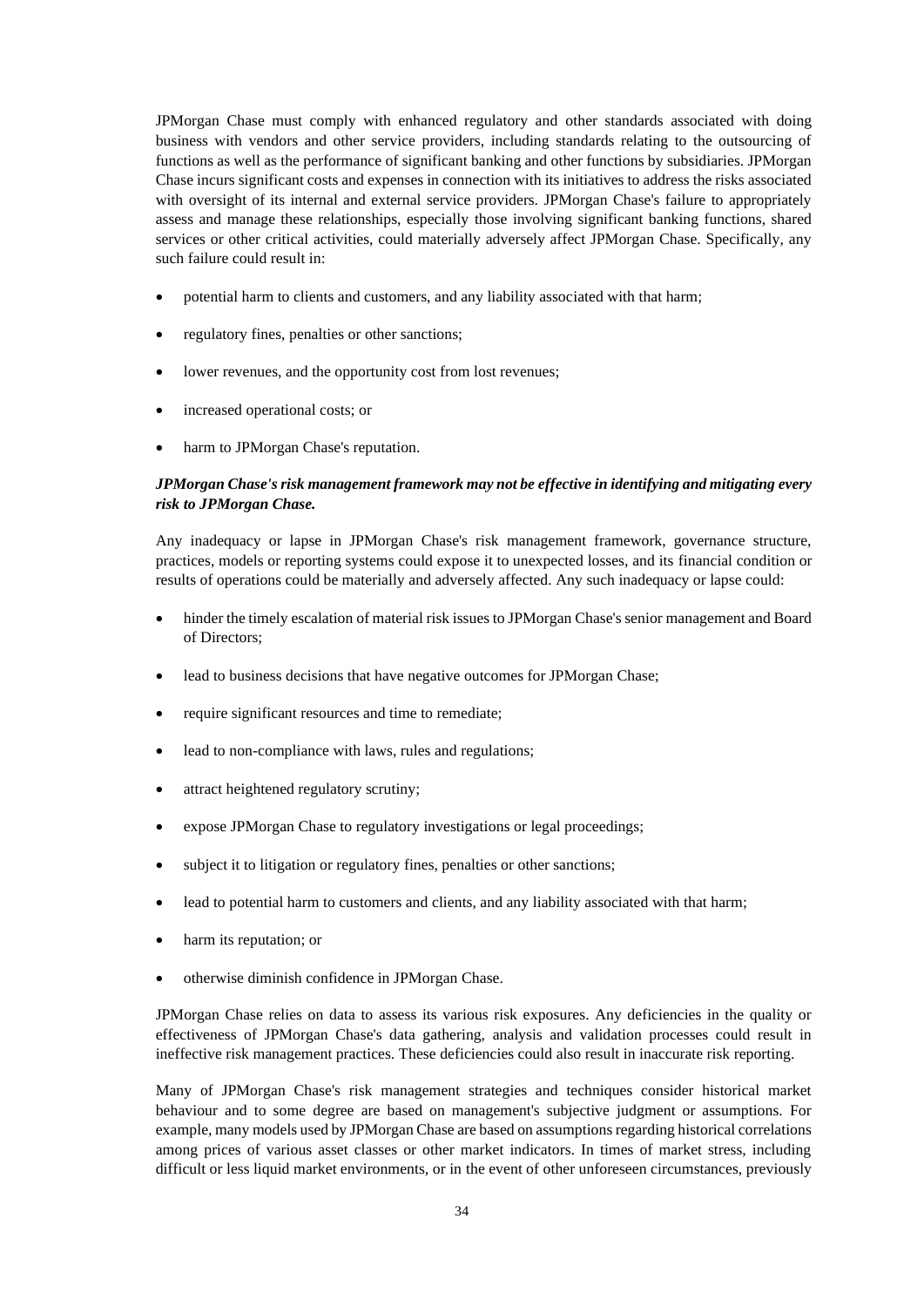JPMorgan Chase must comply with enhanced regulatory and other standards associated with doing business with vendors and other service providers, including standards relating to the outsourcing of functions as well as the performance of significant banking and other functions by subsidiaries. JPMorgan Chase incurs significant costs and expenses in connection with its initiatives to address the risks associated with oversight of its internal and external service providers. JPMorgan Chase's failure to appropriately assess and manage these relationships, especially those involving significant banking functions, shared services or other critical activities, could materially adversely affect JPMorgan Chase. Specifically, any such failure could result in:

- potential harm to clients and customers, and any liability associated with that harm;
- regulatory fines, penalties or other sanctions;
- lower revenues, and the opportunity cost from lost revenues;
- increased operational costs; or
- harm to JPMorgan Chase's reputation.

## *JPMorgan Chase's risk management framework may not be effective in identifying and mitigating every risk to JPMorgan Chase.*

Any inadequacy or lapse in JPMorgan Chase's risk management framework, governance structure, practices, models or reporting systems could expose it to unexpected losses, and its financial condition or results of operations could be materially and adversely affected. Any such inadequacy or lapse could:

- hinder the timely escalation of material risk issues to JPMorgan Chase's senior management and Board of Directors;
- lead to business decisions that have negative outcomes for JPMorgan Chase;
- require significant resources and time to remediate;
- lead to non-compliance with laws, rules and regulations;
- attract heightened regulatory scrutiny;
- expose JPMorgan Chase to regulatory investigations or legal proceedings;
- subject it to litigation or regulatory fines, penalties or other sanctions;
- lead to potential harm to customers and clients, and any liability associated with that harm;
- harm its reputation; or
- otherwise diminish confidence in JPMorgan Chase.

JPMorgan Chase relies on data to assess its various risk exposures. Any deficiencies in the quality or effectiveness of JPMorgan Chase's data gathering, analysis and validation processes could result in ineffective risk management practices. These deficiencies could also result in inaccurate risk reporting.

Many of JPMorgan Chase's risk management strategies and techniques consider historical market behaviour and to some degree are based on management's subjective judgment or assumptions. For example, many models used by JPMorgan Chase are based on assumptions regarding historical correlations among prices of various asset classes or other market indicators. In times of market stress, including difficult or less liquid market environments, or in the event of other unforeseen circumstances, previously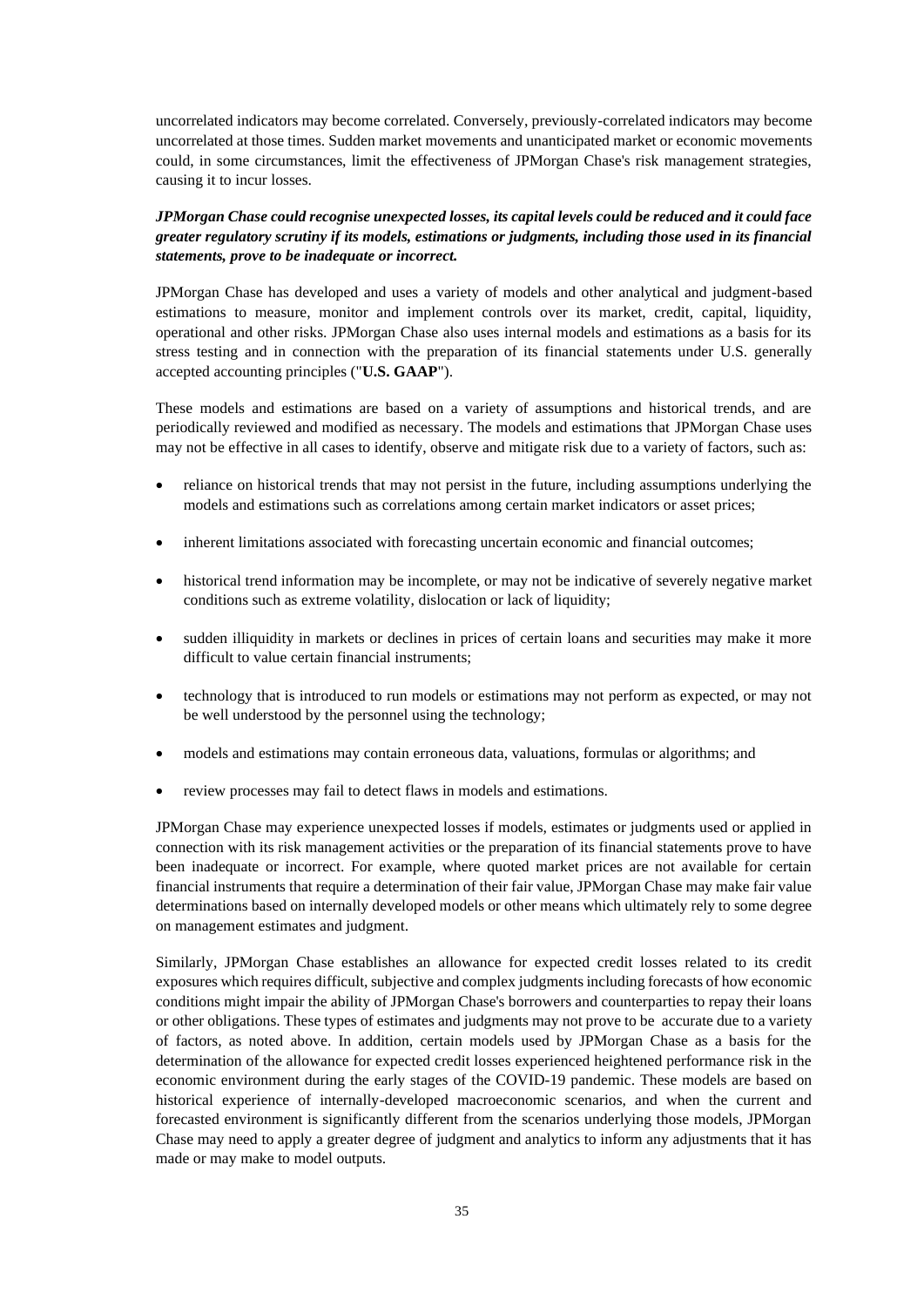uncorrelated indicators may become correlated. Conversely, previously-correlated indicators may become uncorrelated at those times. Sudden market movements and unanticipated market or economic movements could, in some circumstances, limit the effectiveness of JPMorgan Chase's risk management strategies, causing it to incur losses.

## *JPMorgan Chase could recognise unexpected losses, its capital levels could be reduced and it could face greater regulatory scrutiny if its models, estimations or judgments, including those used in its financial statements, prove to be inadequate or incorrect.*

JPMorgan Chase has developed and uses a variety of models and other analytical and judgment-based estimations to measure, monitor and implement controls over its market, credit, capital, liquidity, operational and other risks. JPMorgan Chase also uses internal models and estimations as a basis for its stress testing and in connection with the preparation of its financial statements under U.S. generally accepted accounting principles ("**U.S. GAAP**").

These models and estimations are based on a variety of assumptions and historical trends, and are periodically reviewed and modified as necessary. The models and estimations that JPMorgan Chase uses may not be effective in all cases to identify, observe and mitigate risk due to a variety of factors, such as:

- reliance on historical trends that may not persist in the future, including assumptions underlying the models and estimations such as correlations among certain market indicators or asset prices;
- inherent limitations associated with forecasting uncertain economic and financial outcomes;
- historical trend information may be incomplete, or may not be indicative of severely negative market conditions such as extreme volatility, dislocation or lack of liquidity;
- sudden illiquidity in markets or declines in prices of certain loans and securities may make it more difficult to value certain financial instruments;
- technology that is introduced to run models or estimations may not perform as expected, or may not be well understood by the personnel using the technology;
- models and estimations may contain erroneous data, valuations, formulas or algorithms; and
- review processes may fail to detect flaws in models and estimations.

JPMorgan Chase may experience unexpected losses if models, estimates or judgments used or applied in connection with its risk management activities or the preparation of its financial statements prove to have been inadequate or incorrect. For example, where quoted market prices are not available for certain financial instruments that require a determination of their fair value, JPMorgan Chase may make fair value determinations based on internally developed models or other means which ultimately rely to some degree on management estimates and judgment.

Similarly, JPMorgan Chase establishes an allowance for expected credit losses related to its credit exposures which requires difficult, subjective and complex judgments including forecasts of how economic conditions might impair the ability of JPMorgan Chase's borrowers and counterparties to repay their loans or other obligations. These types of estimates and judgments may not prove to be accurate due to a variety of factors, as noted above. In addition, certain models used by JPMorgan Chase as a basis for the determination of the allowance for expected credit losses experienced heightened performance risk in the economic environment during the early stages of the COVID-19 pandemic. These models are based on historical experience of internally-developed macroeconomic scenarios, and when the current and forecasted environment is significantly different from the scenarios underlying those models, JPMorgan Chase may need to apply a greater degree of judgment and analytics to inform any adjustments that it has made or may make to model outputs.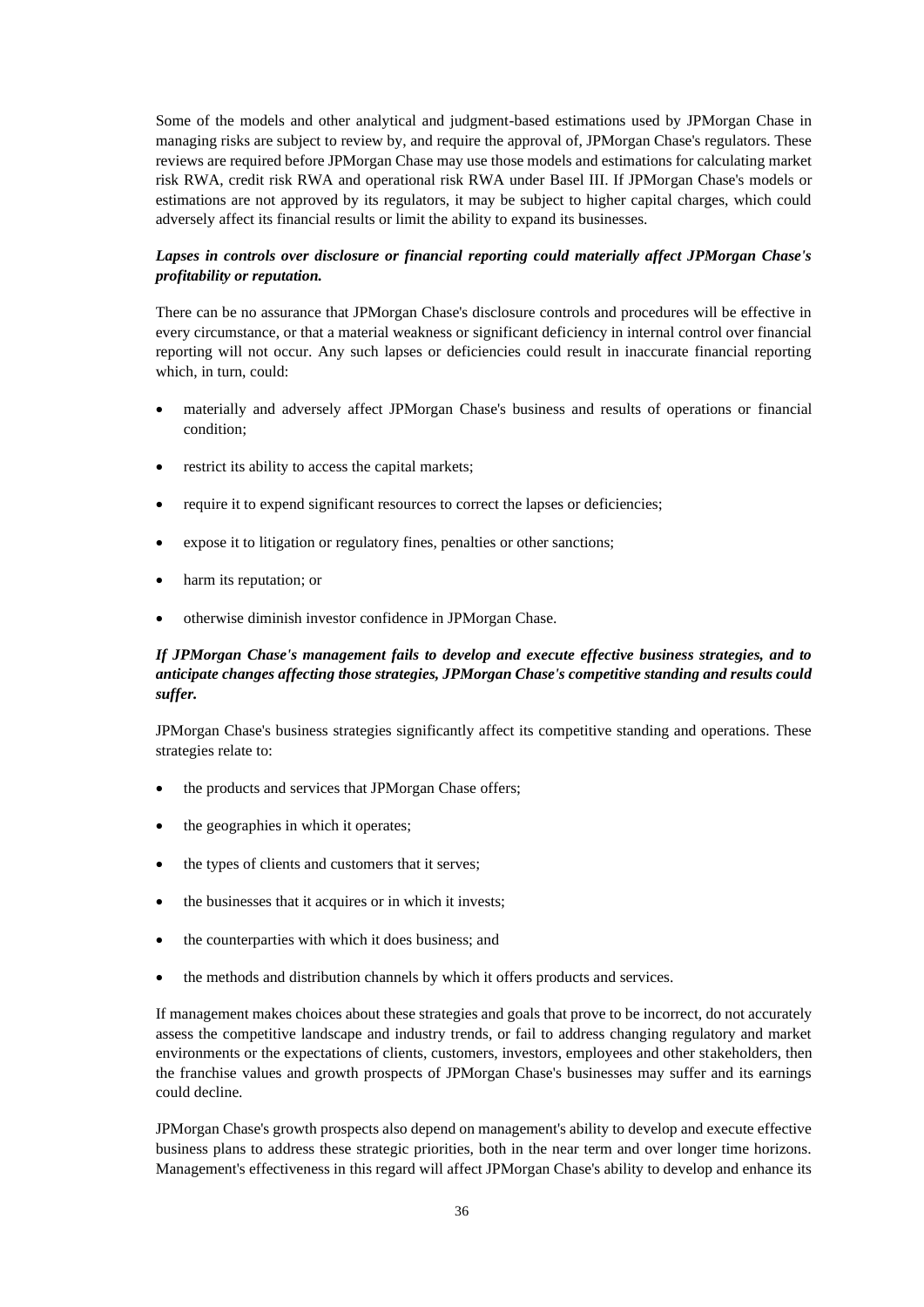Some of the models and other analytical and judgment-based estimations used by JPMorgan Chase in managing risks are subject to review by, and require the approval of, JPMorgan Chase's regulators. These reviews are required before JPMorgan Chase may use those models and estimations for calculating market risk RWA, credit risk RWA and operational risk RWA under Basel III. If JPMorgan Chase's models or estimations are not approved by its regulators, it may be subject to higher capital charges, which could adversely affect its financial results or limit the ability to expand its businesses.

## *Lapses in controls over disclosure or financial reporting could materially affect JPMorgan Chase's profitability or reputation.*

There can be no assurance that JPMorgan Chase's disclosure controls and procedures will be effective in every circumstance, or that a material weakness or significant deficiency in internal control over financial reporting will not occur. Any such lapses or deficiencies could result in inaccurate financial reporting which, in turn, could:

- materially and adversely affect JPMorgan Chase's business and results of operations or financial condition;
- restrict its ability to access the capital markets;
- require it to expend significant resources to correct the lapses or deficiencies;
- expose it to litigation or regulatory fines, penalties or other sanctions;
- harm its reputation; or
- otherwise diminish investor confidence in JPMorgan Chase.

# *If JPMorgan Chase's management fails to develop and execute effective business strategies, and to anticipate changes affecting those strategies, JPMorgan Chase's competitive standing and results could suffer.*

JPMorgan Chase's business strategies significantly affect its competitive standing and operations. These strategies relate to:

- the products and services that JPMorgan Chase offers;
- the geographies in which it operates;
- the types of clients and customers that it serves;
- the businesses that it acquires or in which it invests;
- the counterparties with which it does business; and
- the methods and distribution channels by which it offers products and services.

If management makes choices about these strategies and goals that prove to be incorrect, do not accurately assess the competitive landscape and industry trends, or fail to address changing regulatory and market environments or the expectations of clients, customers, investors, employees and other stakeholders, then the franchise values and growth prospects of JPMorgan Chase's businesses may suffer and its earnings could decline.

JPMorgan Chase's growth prospects also depend on management's ability to develop and execute effective business plans to address these strategic priorities, both in the near term and over longer time horizons. Management's effectiveness in this regard will affect JPMorgan Chase's ability to develop and enhance its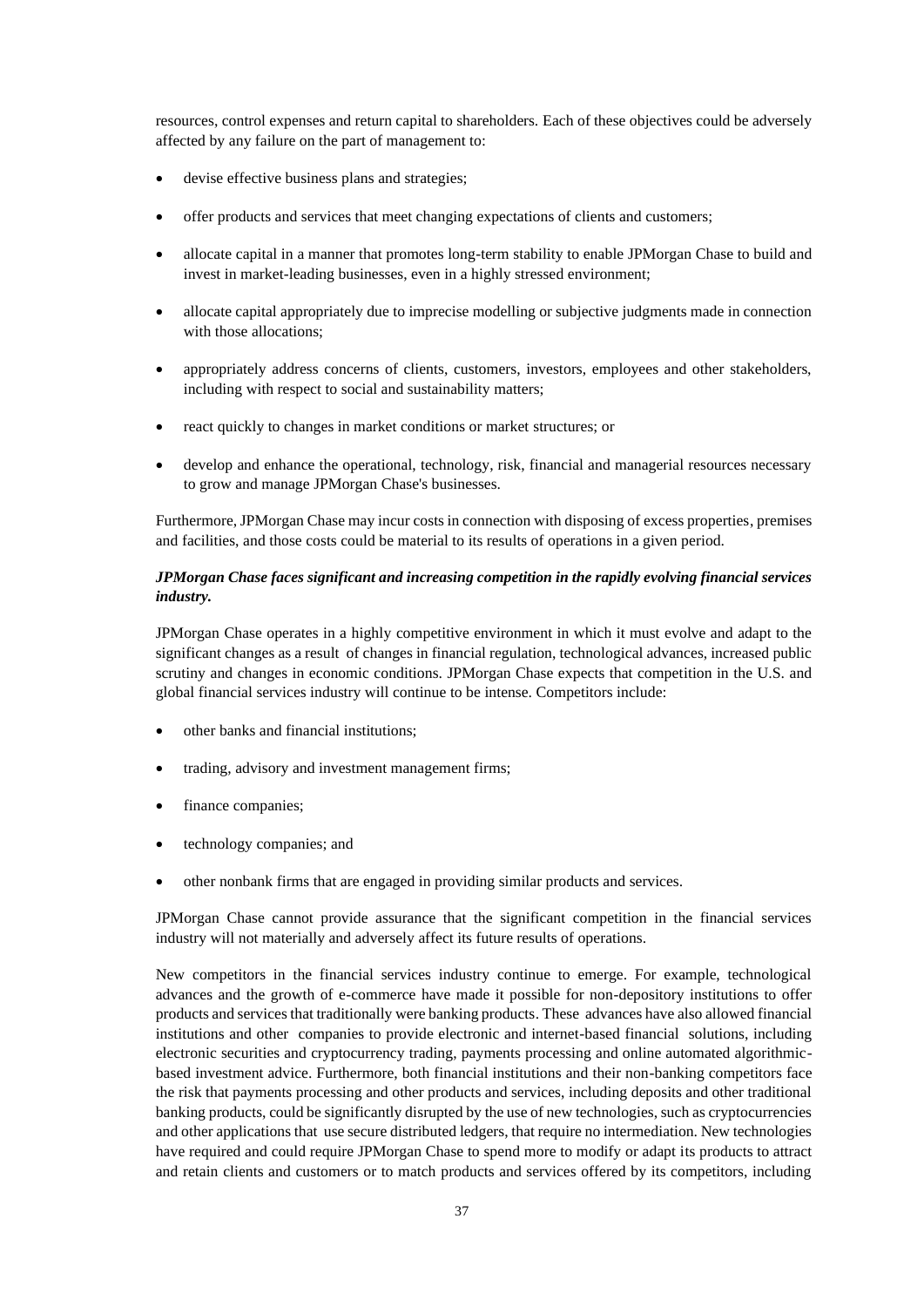resources, control expenses and return capital to shareholders. Each of these objectives could be adversely affected by any failure on the part of management to:

- devise effective business plans and strategies;
- offer products and services that meet changing expectations of clients and customers;
- allocate capital in a manner that promotes long-term stability to enable JPMorgan Chase to build and invest in market-leading businesses, even in a highly stressed environment;
- allocate capital appropriately due to imprecise modelling or subjective judgments made in connection with those allocations;
- appropriately address concerns of clients, customers, investors, employees and other stakeholders, including with respect to social and sustainability matters;
- react quickly to changes in market conditions or market structures; or
- develop and enhance the operational, technology, risk, financial and managerial resources necessary to grow and manage JPMorgan Chase's businesses.

Furthermore, JPMorgan Chase may incur costs in connection with disposing of excess properties, premises and facilities, and those costs could be material to its results of operations in a given period.

### *JPMorgan Chase faces significant and increasing competition in the rapidly evolving financial services industry.*

JPMorgan Chase operates in a highly competitive environment in which it must evolve and adapt to the significant changes as a result of changes in financial regulation, technological advances, increased public scrutiny and changes in economic conditions. JPMorgan Chase expects that competition in the U.S. and global financial services industry will continue to be intense. Competitors include:

- other banks and financial institutions;
- trading, advisory and investment management firms;
- finance companies;
- technology companies; and
- other nonbank firms that are engaged in providing similar products and services.

JPMorgan Chase cannot provide assurance that the significant competition in the financial services industry will not materially and adversely affect its future results of operations.

New competitors in the financial services industry continue to emerge. For example, technological advances and the growth of e-commerce have made it possible for non-depository institutions to offer products and services that traditionally were banking products. These advances have also allowed financial institutions and other companies to provide electronic and internet-based financial solutions, including electronic securities and cryptocurrency trading, payments processing and online automated algorithmicbased investment advice. Furthermore, both financial institutions and their non-banking competitors face the risk that payments processing and other products and services, including deposits and other traditional banking products, could be significantly disrupted by the use of new technologies, such as cryptocurrencies and other applications that use secure distributed ledgers, that require no intermediation. New technologies have required and could require JPMorgan Chase to spend more to modify or adapt its products to attract and retain clients and customers or to match products and services offered by its competitors, including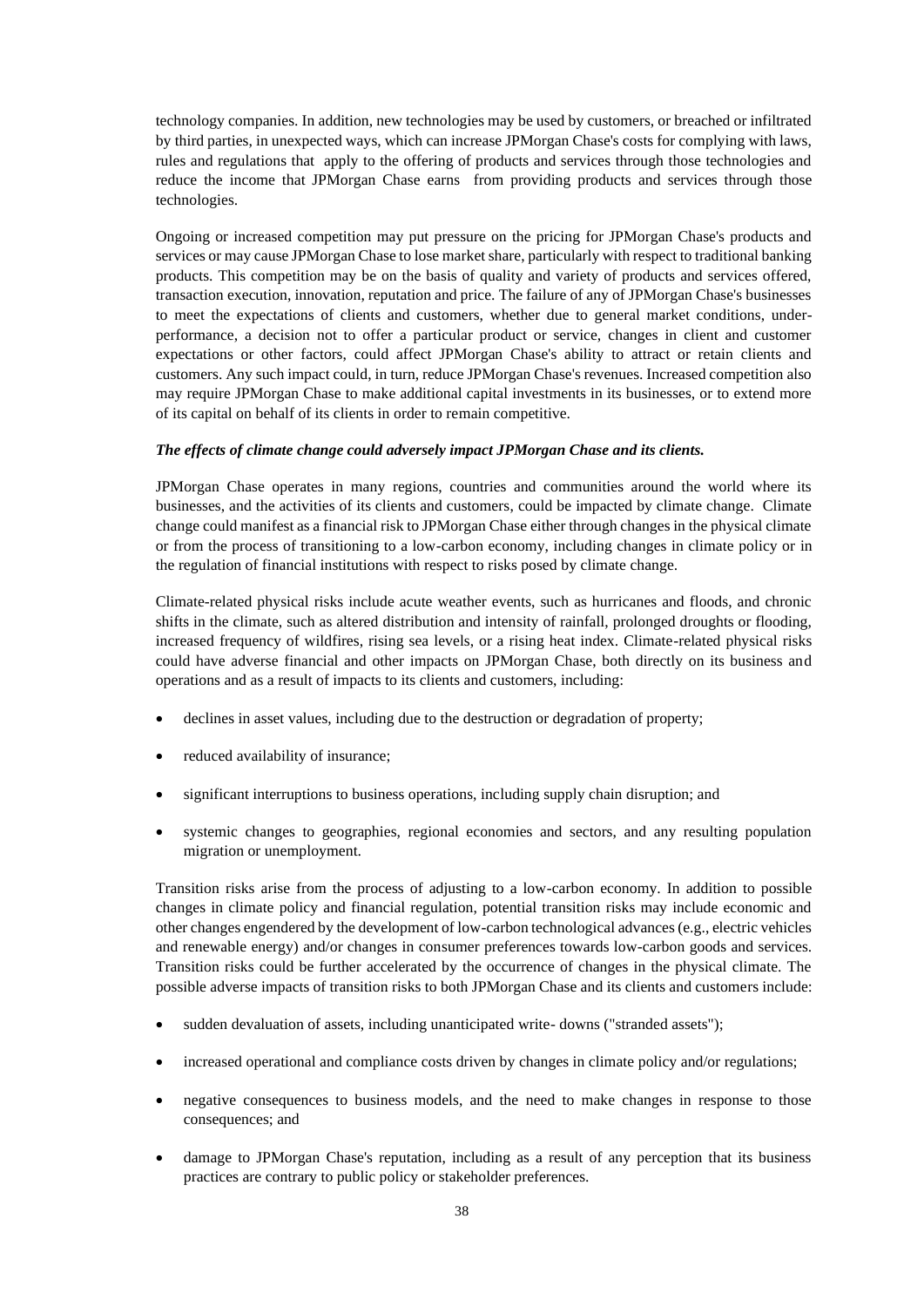technology companies. In addition, new technologies may be used by customers, or breached or infiltrated by third parties, in unexpected ways, which can increase JPMorgan Chase's costs for complying with laws, rules and regulations that apply to the offering of products and services through those technologies and reduce the income that JPMorgan Chase earns from providing products and services through those technologies.

Ongoing or increased competition may put pressure on the pricing for JPMorgan Chase's products and services or may cause JPMorgan Chase to lose market share, particularly with respect to traditional banking products. This competition may be on the basis of quality and variety of products and services offered, transaction execution, innovation, reputation and price. The failure of any of JPMorgan Chase's businesses to meet the expectations of clients and customers, whether due to general market conditions, underperformance, a decision not to offer a particular product or service, changes in client and customer expectations or other factors, could affect JPMorgan Chase's ability to attract or retain clients and customers. Any such impact could, in turn, reduce JPMorgan Chase's revenues. Increased competition also may require JPMorgan Chase to make additional capital investments in its businesses, or to extend more of its capital on behalf of its clients in order to remain competitive.

#### *The effects of climate change could adversely impact JPMorgan Chase and its clients.*

JPMorgan Chase operates in many regions, countries and communities around the world where its businesses, and the activities of its clients and customers, could be impacted by climate change. Climate change could manifest as a financial risk to JPMorgan Chase either through changes in the physical climate or from the process of transitioning to a low-carbon economy, including changes in climate policy or in the regulation of financial institutions with respect to risks posed by climate change.

Climate-related physical risks include acute weather events, such as hurricanes and floods, and chronic shifts in the climate, such as altered distribution and intensity of rainfall, prolonged droughts or flooding, increased frequency of wildfires, rising sea levels, or a rising heat index. Climate-related physical risks could have adverse financial and other impacts on JPMorgan Chase, both directly on its business and operations and as a result of impacts to its clients and customers, including:

- declines in asset values, including due to the destruction or degradation of property;
- reduced availability of insurance;
- significant interruptions to business operations, including supply chain disruption; and
- systemic changes to geographies, regional economies and sectors, and any resulting population migration or unemployment.

Transition risks arise from the process of adjusting to a low-carbon economy. In addition to possible changes in climate policy and financial regulation, potential transition risks may include economic and other changes engendered by the development of low-carbon technological advances (e.g., electric vehicles and renewable energy) and/or changes in consumer preferences towards low-carbon goods and services. Transition risks could be further accelerated by the occurrence of changes in the physical climate. The possible adverse impacts of transition risks to both JPMorgan Chase and its clients and customers include:

- sudden devaluation of assets, including unanticipated write-downs ("stranded assets");
- increased operational and compliance costs driven by changes in climate policy and/or regulations;
- negative consequences to business models, and the need to make changes in response to those consequences; and
- damage to JPMorgan Chase's reputation, including as a result of any perception that its business practices are contrary to public policy or stakeholder preferences.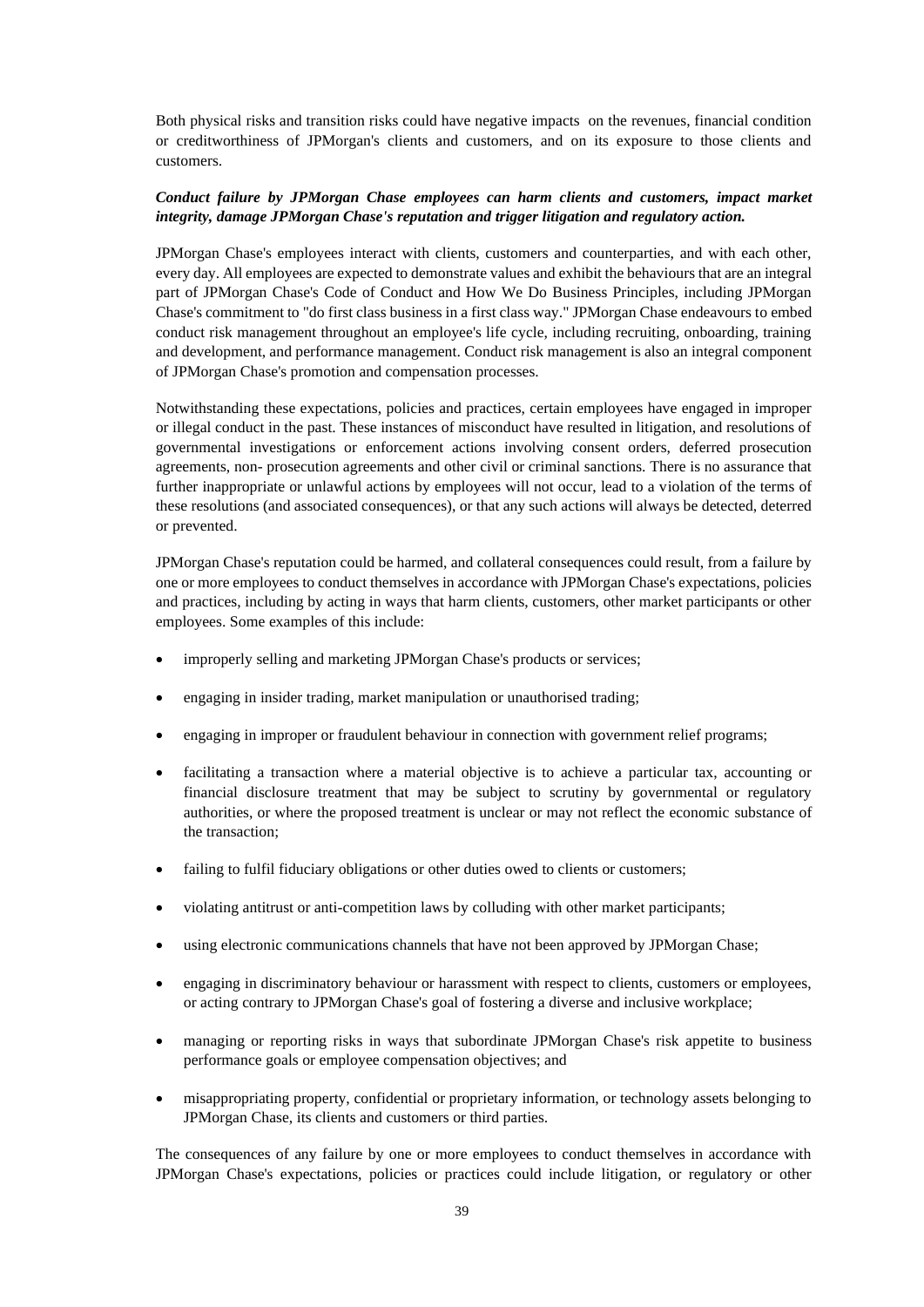Both physical risks and transition risks could have negative impacts on the revenues, financial condition or creditworthiness of JPMorgan's clients and customers, and on its exposure to those clients and customers.

## *Conduct failure by JPMorgan Chase employees can harm clients and customers, impact market integrity, damage JPMorgan Chase's reputation and trigger litigation and regulatory action.*

JPMorgan Chase's employees interact with clients, customers and counterparties, and with each other, every day. All employees are expected to demonstrate values and exhibit the behaviours that are an integral part of JPMorgan Chase's Code of Conduct and How We Do Business Principles, including JPMorgan Chase's commitment to "do first class business in a first class way." JPMorgan Chase endeavours to embed conduct risk management throughout an employee's life cycle, including recruiting, onboarding, training and development, and performance management. Conduct risk management is also an integral component of JPMorgan Chase's promotion and compensation processes.

Notwithstanding these expectations, policies and practices, certain employees have engaged in improper or illegal conduct in the past. These instances of misconduct have resulted in litigation, and resolutions of governmental investigations or enforcement actions involving consent orders, deferred prosecution agreements, non- prosecution agreements and other civil or criminal sanctions. There is no assurance that further inappropriate or unlawful actions by employees will not occur, lead to a violation of the terms of these resolutions (and associated consequences), or that any such actions will always be detected, deterred or prevented.

JPMorgan Chase's reputation could be harmed, and collateral consequences could result, from a failure by one or more employees to conduct themselves in accordance with JPMorgan Chase's expectations, policies and practices, including by acting in ways that harm clients, customers, other market participants or other employees. Some examples of this include:

- improperly selling and marketing JPMorgan Chase's products or services;
- engaging in insider trading, market manipulation or unauthorised trading;
- engaging in improper or fraudulent behaviour in connection with government relief programs;
- facilitating a transaction where a material objective is to achieve a particular tax, accounting or financial disclosure treatment that may be subject to scrutiny by governmental or regulatory authorities, or where the proposed treatment is unclear or may not reflect the economic substance of the transaction;
- failing to fulfil fiduciary obligations or other duties owed to clients or customers;
- violating antitrust or anti-competition laws by colluding with other market participants;
- using electronic communications channels that have not been approved by JPMorgan Chase;
- engaging in discriminatory behaviour or harassment with respect to clients, customers or employees, or acting contrary to JPMorgan Chase's goal of fostering a diverse and inclusive workplace;
- managing or reporting risks in ways that subordinate JPMorgan Chase's risk appetite to business performance goals or employee compensation objectives; and
- misappropriating property, confidential or proprietary information, or technology assets belonging to JPMorgan Chase, its clients and customers or third parties.

The consequences of any failure by one or more employees to conduct themselves in accordance with JPMorgan Chase's expectations, policies or practices could include litigation, or regulatory or other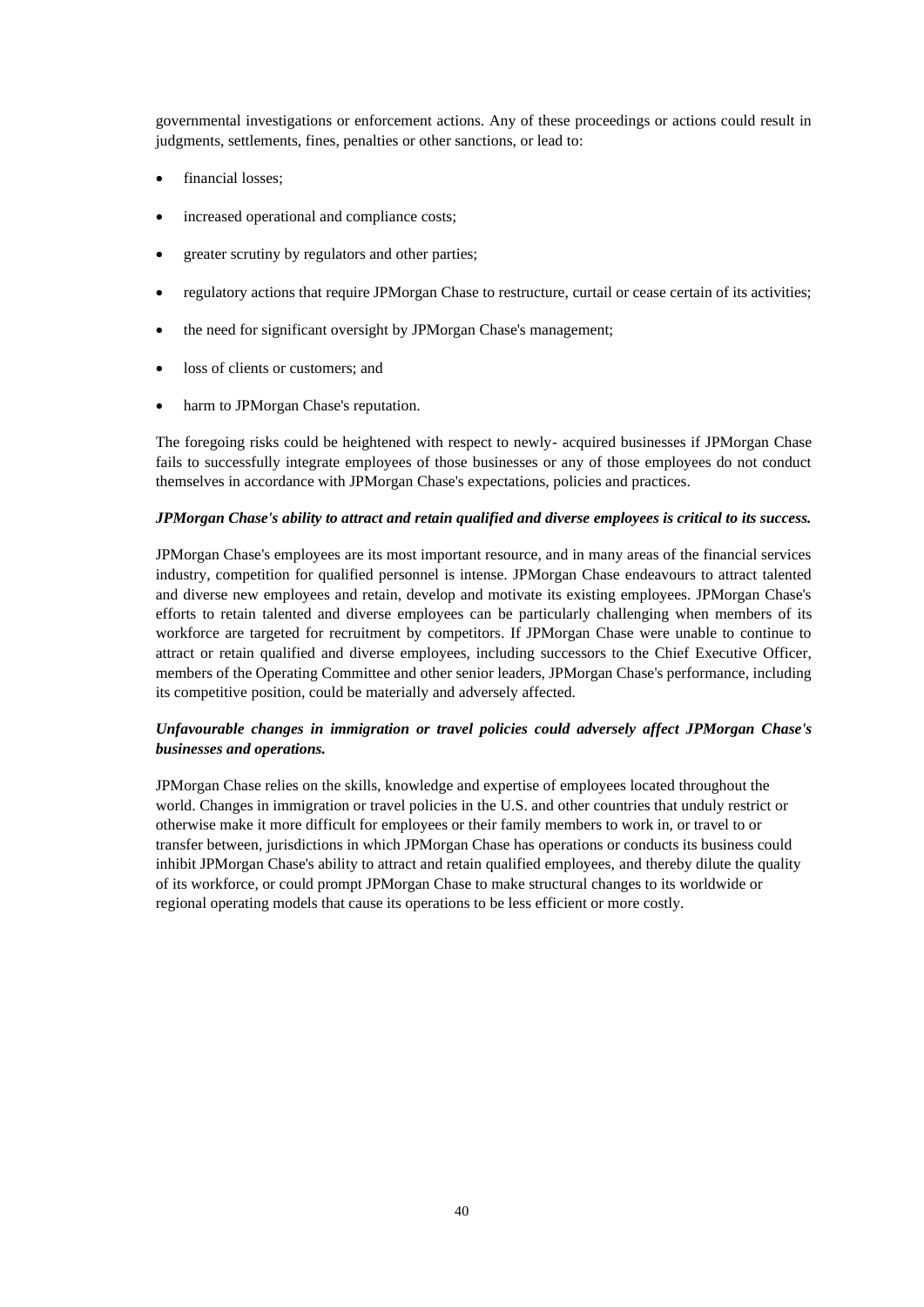governmental investigations or enforcement actions. Any of these proceedings or actions could result in judgments, settlements, fines, penalties or other sanctions, or lead to:

- financial losses;
- increased operational and compliance costs;
- greater scrutiny by regulators and other parties;
- regulatory actions that require JPMorgan Chase to restructure, curtail or cease certain of its activities;
- the need for significant oversight by JPMorgan Chase's management;
- loss of clients or customers: and
- harm to JPMorgan Chase's reputation.

The foregoing risks could be heightened with respect to newly- acquired businesses if JPMorgan Chase fails to successfully integrate employees of those businesses or any of those employees do not conduct themselves in accordance with JPMorgan Chase's expectations, policies and practices.

### *JPMorgan Chase's ability to attract and retain qualified and diverse employees is critical to its success.*

JPMorgan Chase's employees are its most important resource, and in many areas of the financial services industry, competition for qualified personnel is intense. JPMorgan Chase endeavours to attract talented and diverse new employees and retain, develop and motivate its existing employees. JPMorgan Chase's efforts to retain talented and diverse employees can be particularly challenging when members of its workforce are targeted for recruitment by competitors. If JPMorgan Chase were unable to continue to attract or retain qualified and diverse employees, including successors to the Chief Executive Officer, members of the Operating Committee and other senior leaders, JPMorgan Chase's performance, including its competitive position, could be materially and adversely affected.

# *Unfavourable changes in immigration or travel policies could adversely affect JPMorgan Chase's businesses and operations.*

JPMorgan Chase relies on the skills, knowledge and expertise of employees located throughout the world. Changes in immigration or travel policies in the U.S. and other countries that unduly restrict or otherwise make it more difficult for employees or their family members to work in, or travel to or transfer between, jurisdictions in which JPMorgan Chase has operations or conducts its business could inhibit JPMorgan Chase's ability to attract and retain qualified employees, and thereby dilute the quality of its workforce, or could prompt JPMorgan Chase to make structural changes to its worldwide or regional operating models that cause its operations to be less efficient or more costly.